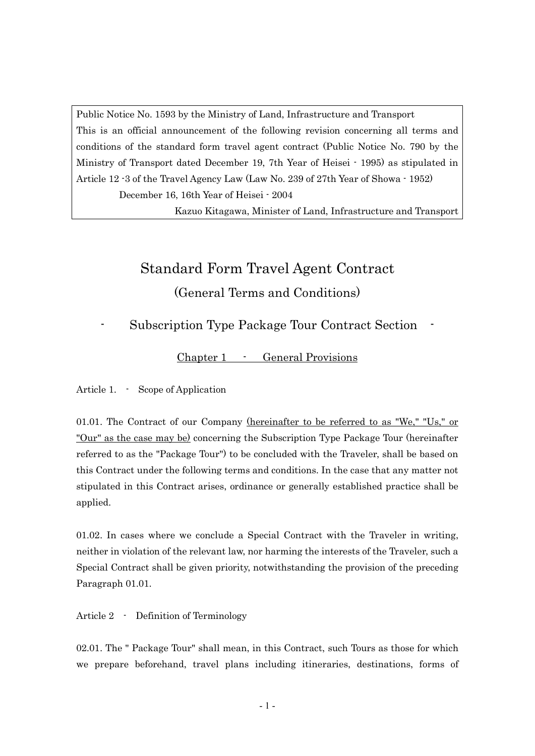Public Notice No. 1593 by the Ministry of Land, Infrastructure and Transport This is an official announcement of the following revision concerning all terms and conditions of the standard form travel agent contract (Public Notice No. 790 by the Ministry of Transport dated December 19, 7th Year of Heisei - 1995) as stipulated in Article 12 -3 of the Travel Agency Law (Law No. 239 of 27th Year of Showa - 1952)

December 16, 16th Year of Heisei - 2004

Kazuo Kitagawa, Minister of Land, Infrastructure and Transport

# Standard Form Travel Agent Contract (General Terms and Conditions)

### Subscription Type Package Tour Contract Section

Chapter 1 - General Provisions

Article 1. - Scope of Application

01.01. The Contract of our Company <u>(hereinafter to be referred to as "We," "Us," or</u> "Our" as the case may be) concerning the Subscription Type Package Tour (hereinafter referred to as the "Package Tour") to be concluded with the Traveler, shall be based on this Contract under the following terms and conditions. In the case that any matter not stipulated in this Contract arises, ordinance or generally established practice shall be applied.

01.02. In cases where we conclude a Special Contract with the Traveler in writing, neither in violation of the relevant law, nor harming the interests of the Traveler, such a Special Contract shall be given priority, notwithstanding the provision of the preceding Paragraph 01.01.

Article 2 - Definition of Terminology

02.01. The " Package Tour" shall mean, in this Contract, such Tours as those for which we prepare beforehand, travel plans including itineraries, destinations, forms of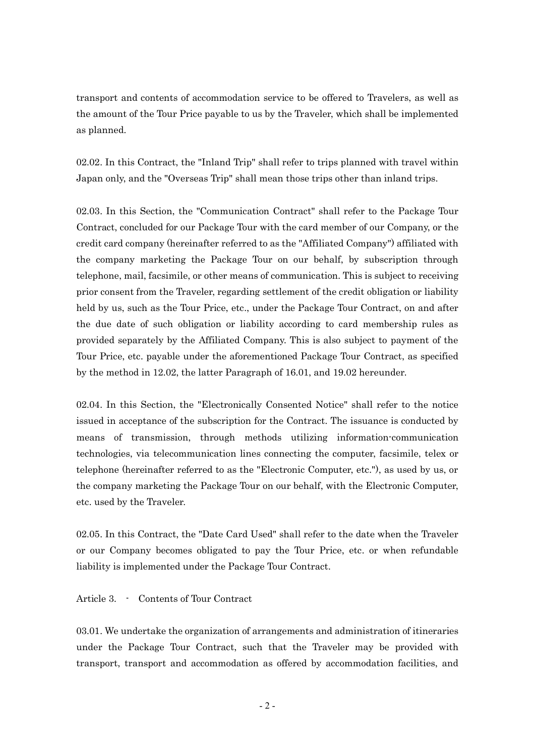transport and contents of accommodation service to be offered to Travelers, as well as the amount of the Tour Price payable to us by the Traveler, which shall be implemented as planned.

02.02. In this Contract, the "Inland Trip" shall refer to trips planned with travel within Japan only, and the "Overseas Trip" shall mean those trips other than inland trips.

02.03. In this Section, the "Communication Contract" shall refer to the Package Tour Contract, concluded for our Package Tour with the card member of our Company, or the credit card company (hereinafter referred to as the "Affiliated Company") affiliated with the company marketing the Package Tour on our behalf, by subscription through telephone, mail, facsimile, or other means of communication. This is subject to receiving prior consent from the Traveler, regarding settlement of the credit obligation or liability held by us, such as the Tour Price, etc., under the Package Tour Contract, on and after the due date of such obligation or liability according to card membership rules as provided separately by the Affiliated Company. This is also subject to payment of the Tour Price, etc. payable under the aforementioned Package Tour Contract, as specified by the method in 12.02, the latter Paragraph of 16.01, and 19.02 hereunder.

02.04. In this Section, the "Electronically Consented Notice" shall refer to the notice issued in acceptance of the subscription for the Contract. The issuance is conducted by means of transmission, through methods utilizing information-communication technologies, via telecommunication lines connecting the computer, facsimile, telex or telephone (hereinafter referred to as the "Electronic Computer, etc."), as used by us, or the company marketing the Package Tour on our behalf, with the Electronic Computer, etc. used by the Traveler.

02.05. In this Contract, the "Date Card Used" shall refer to the date when the Traveler or our Company becomes obligated to pay the Tour Price, etc. or when refundable liability is implemented under the Package Tour Contract.

Article 3. - Contents of Tour Contract

03.01. We undertake the organization of arrangements and administration of itineraries under the Package Tour Contract, such that the Traveler may be provided with transport, transport and accommodation as offered by accommodation facilities, and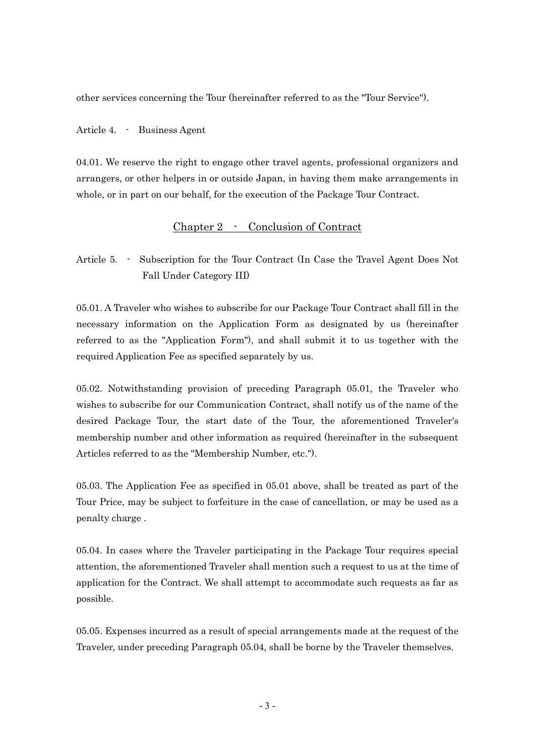other services concerning the Tour (hereinafter referred to as the "Tour Service").

Article 4. - Business Agent

04.01. We reserve the right to engage other travel agents, professional organizers and arrangers, or other helpers in or outside Japan, in having them make arrangements in whole, or in part on our behalf, for the execution of the Package Tour Contract.

#### Chapter 2 - Conclusion of Contract

Article 5. - Subscription for the Tour Contract (In Case the Travel Agent Does Not Fall Under Category III)

05.01. A Traveler who wishes to subscribe for our Package Tour Contract shall fill in the necessary information on the Application Form as designated by us (hereinafter referred to as the "Application Form"), and shall submit it to us together with the required Application Fee as specified separately by us.

05.02. Notwithstanding provision of preceding Paragraph 05.01, the Traveler who wishes to subscribe for our Communication Contract, shall notify us of the name of the desired Package Tour, the start date of the Tour, the aforementioned Traveler's membership number and other information as required (hereinafter in the subsequent Articles referred to as the "Membership Number, etc.").

05.03. The Application Fee as specified in 05.01 above, shall be treated as part of the Tour Price, may be subject to forfeiture in the case of cancellation, or may be used as a penalty charge .

05.04. In cases where the Traveler participating in the Package Tour requires special attention, the aforementioned Traveler shall mention such a request to us at the time of application for the Contract. We shall attempt to accommodate such requests as far as possible.

05.05. Expenses incurred as a result of special arrangements made at the request of the Traveler, under preceding Paragraph 05.04, shall be borne by the Traveler themselves.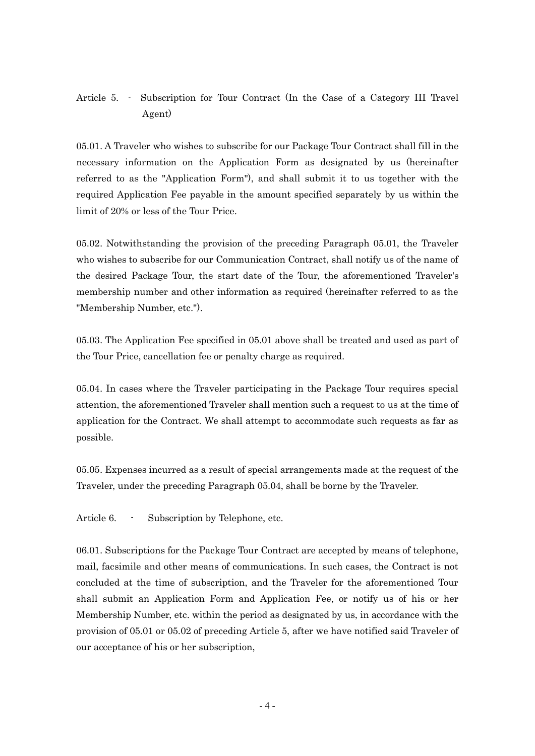### Article 5. - Subscription for Tour Contract (In the Case of a Category III Travel Agent)

05.01. A Traveler who wishes to subscribe for our Package Tour Contract shall fill in the necessary information on the Application Form as designated by us (hereinafter referred to as the "Application Form"), and shall submit it to us together with the required Application Fee payable in the amount specified separately by us within the limit of 20% or less of the Tour Price.

05.02. Notwithstanding the provision of the preceding Paragraph 05.01, the Traveler who wishes to subscribe for our Communication Contract, shall notify us of the name of the desired Package Tour, the start date of the Tour, the aforementioned Traveler's membership number and other information as required (hereinafter referred to as the "Membership Number, etc.").

05.03. The Application Fee specified in 05.01 above shall be treated and used as part of the Tour Price, cancellation fee or penalty charge as required.

05.04. In cases where the Traveler participating in the Package Tour requires special attention, the aforementioned Traveler shall mention such a request to us at the time of application for the Contract. We shall attempt to accommodate such requests as far as possible.

05.05. Expenses incurred as a result of special arrangements made at the request of the Traveler, under the preceding Paragraph 05.04, shall be borne by the Traveler.

Article 6. - Subscription by Telephone, etc.

06.01. Subscriptions for the Package Tour Contract are accepted by means of telephone, mail, facsimile and other means of communications. In such cases, the Contract is not concluded at the time of subscription, and the Traveler for the aforementioned Tour shall submit an Application Form and Application Fee, or notify us of his or her Membership Number, etc. within the period as designated by us, in accordance with the provision of 05.01 or 05.02 of preceding Article 5, after we have notified said Traveler of our acceptance of his or her subscription,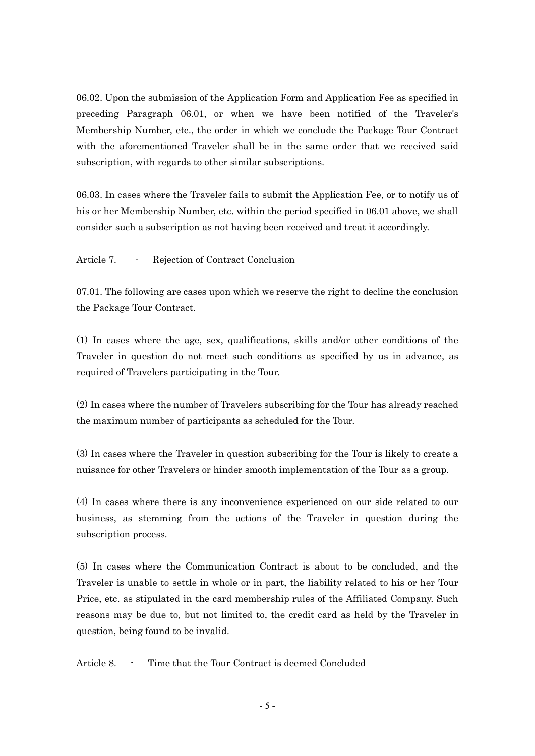06.02. Upon the submission of the Application Form and Application Fee as specified in preceding Paragraph 06.01, or when we have been notified of the Traveler's Membership Number, etc., the order in which we conclude the Package Tour Contract with the aforementioned Traveler shall be in the same order that we received said subscription, with regards to other similar subscriptions.

06.03. In cases where the Traveler fails to submit the Application Fee, or to notify us of his or her Membership Number, etc. within the period specified in 06.01 above, we shall consider such a subscription as not having been received and treat it accordingly.

Article 7. - Rejection of Contract Conclusion

07.01. The following are cases upon which we reserve the right to decline the conclusion the Package Tour Contract.

(1) In cases where the age, sex, qualifications, skills and/or other conditions of the Traveler in question do not meet such conditions as specified by us in advance, as required of Travelers participating in the Tour.

(2) In cases where the number of Travelers subscribing for the Tour has already reached the maximum number of participants as scheduled for the Tour.

(3) In cases where the Traveler in question subscribing for the Tour is likely to create a nuisance for other Travelers or hinder smooth implementation of the Tour as a group.

(4) In cases where there is any inconvenience experienced on our side related to our business, as stemming from the actions of the Traveler in question during the subscription process.

(5) In cases where the Communication Contract is about to be concluded, and the Traveler is unable to settle in whole or in part, the liability related to his or her Tour Price, etc. as stipulated in the card membership rules of the Affiliated Company. Such reasons may be due to, but not limited to, the credit card as held by the Traveler in question, being found to be invalid.

Article 8. - Time that the Tour Contract is deemed Concluded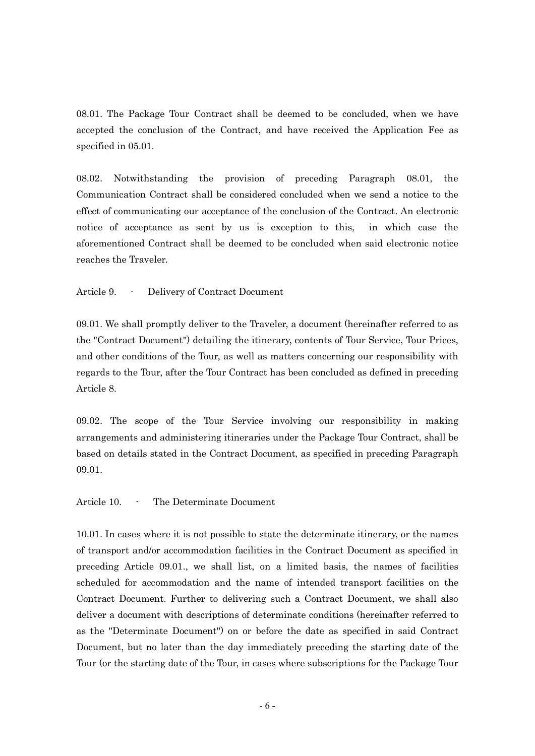08.01. The Package Tour Contract shall be deemed to be concluded, when we have accepted the conclusion of the Contract, and have received the Application Fee as specified in 05.01.

08.02. Notwithstanding the provision of preceding Paragraph 08.01, the Communication Contract shall be considered concluded when we send a notice to the effect of communicating our acceptance of the conclusion of the Contract. An electronic notice of acceptance as sent by us is exception to this, in which case the aforementioned Contract shall be deemed to be concluded when said electronic notice reaches the Traveler.

Article 9. - Delivery of Contract Document

09.01. We shall promptly deliver to the Traveler, a document (hereinafter referred to as the "Contract Document") detailing the itinerary, contents of Tour Service, Tour Prices, and other conditions of the Tour, as well as matters concerning our responsibility with regards to the Tour, after the Tour Contract has been concluded as defined in preceding Article 8.

09.02. The scope of the Tour Service involving our responsibility in making arrangements and administering itineraries under the Package Tour Contract, shall be based on details stated in the Contract Document, as specified in preceding Paragraph 09.01.

Article 10. - The Determinate Document

10.01. In cases where it is not possible to state the determinate itinerary, or the names of transport and/or accommodation facilities in the Contract Document as specified in preceding Article 09.01., we shall list, on a limited basis, the names of facilities scheduled for accommodation and the name of intended transport facilities on the Contract Document. Further to delivering such a Contract Document, we shall also deliver a document with descriptions of determinate conditions (hereinafter referred to as the "Determinate Document") on or before the date as specified in said Contract Document, but no later than the day immediately preceding the starting date of the Tour (or the starting date of the Tour, in cases where subscriptions for the Package Tour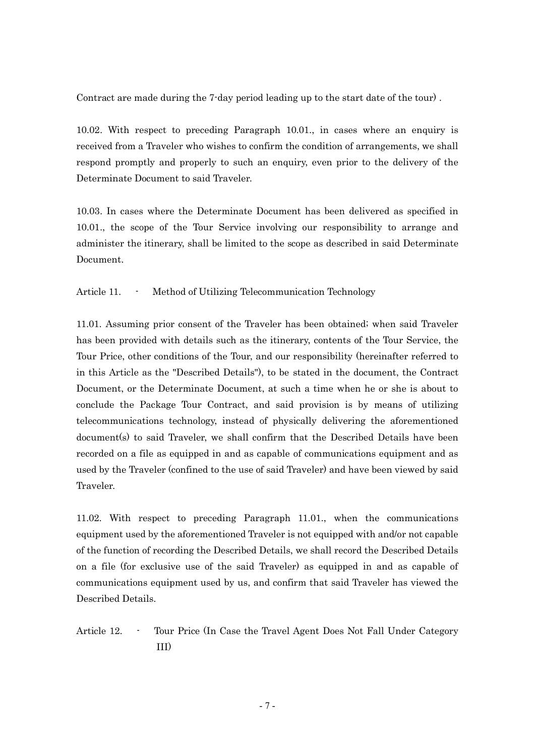Contract are made during the 7-day period leading up to the start date of the tour) .

10.02. With respect to preceding Paragraph 10.01., in cases where an enquiry is received from a Traveler who wishes to confirm the condition of arrangements, we shall respond promptly and properly to such an enquiry, even prior to the delivery of the Determinate Document to said Traveler.

10.03. In cases where the Determinate Document has been delivered as specified in 10.01., the scope of the Tour Service involving our responsibility to arrange and administer the itinerary, shall be limited to the scope as described in said Determinate Document.

Article 11. - Method of Utilizing Telecommunication Technology

11.01. Assuming prior consent of the Traveler has been obtained; when said Traveler has been provided with details such as the itinerary, contents of the Tour Service, the Tour Price, other conditions of the Tour, and our responsibility (hereinafter referred to in this Article as the "Described Details"), to be stated in the document, the Contract Document, or the Determinate Document, at such a time when he or she is about to conclude the Package Tour Contract, and said provision is by means of utilizing telecommunications technology, instead of physically delivering the aforementioned document(s) to said Traveler, we shall confirm that the Described Details have been recorded on a file as equipped in and as capable of communications equipment and as used by the Traveler (confined to the use of said Traveler) and have been viewed by said Traveler.

11.02. With respect to preceding Paragraph 11.01., when the communications equipment used by the aforementioned Traveler is not equipped with and/or not capable of the function of recording the Described Details, we shall record the Described Details on a file (for exclusive use of the said Traveler) as equipped in and as capable of communications equipment used by us, and confirm that said Traveler has viewed the Described Details.

Article 12. - Tour Price (In Case the Travel Agent Does Not Fall Under Category III)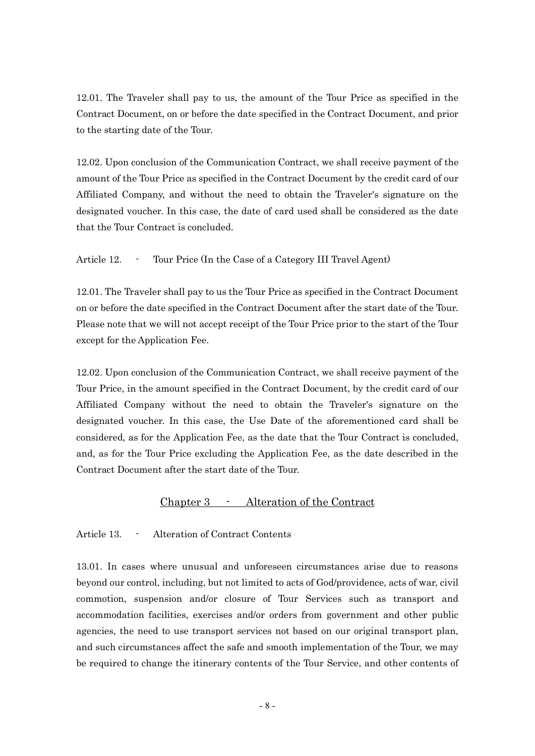12.01. The Traveler shall pay to us, the amount of the Tour Price as specified in the Contract Document, on or before the date specified in the Contract Document, and prior to the starting date of the Tour.

12.02. Upon conclusion of the Communication Contract, we shall receive payment of the amount of the Tour Price as specified in the Contract Document by the credit card of our Affiliated Company, and without the need to obtain the Traveler's signature on the designated voucher. In this case, the date of card used shall be considered as the date that the Tour Contract is concluded.

Article 12. - Tour Price (In the Case of a Category III Travel Agent)

12.01. The Traveler shall pay to us the Tour Price as specified in the Contract Document on or before the date specified in the Contract Document after the start date of the Tour. Please note that we will not accept receipt of the Tour Price prior to the start of the Tour except for the Application Fee.

12.02. Upon conclusion of the Communication Contract, we shall receive payment of the Tour Price, in the amount specified in the Contract Document, by the credit card of our Affiliated Company without the need to obtain the Traveler's signature on the designated voucher. In this case, the Use Date of the aforementioned card shall be considered, as for the Application Fee, as the date that the Tour Contract is concluded, and, as for the Tour Price excluding the Application Fee, as the date described in the Contract Document after the start date of the Tour.

### Chapter 3 - Alteration of the Contract

Article 13. - Alteration of Contract Contents

13.01. In cases where unusual and unforeseen circumstances arise due to reasons beyond our control, including, but not limited to acts of God/providence, acts of war, civil commotion, suspension and/or closure of Tour Services such as transport and accommodation facilities, exercises and/or orders from government and other public agencies, the need to use transport services not based on our original transport plan, and such circumstances affect the safe and smooth implementation of the Tour, we may be required to change the itinerary contents of the Tour Service, and other contents of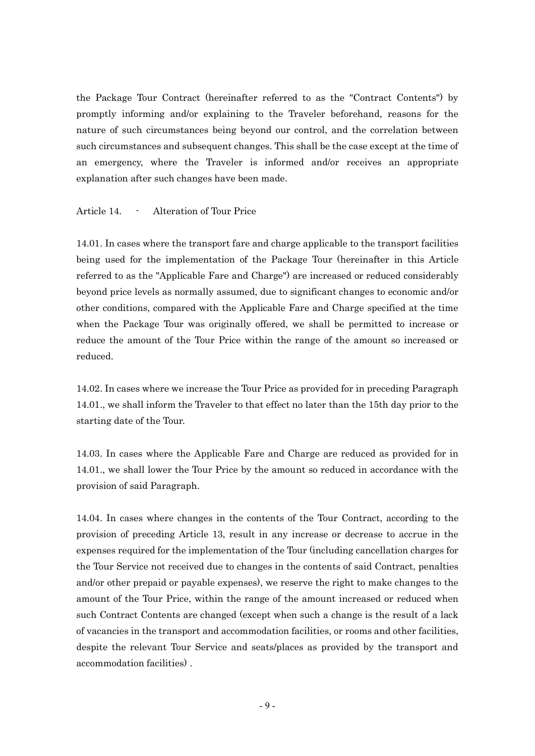the Package Tour Contract (hereinafter referred to as the "Contract Contents") by promptly informing and/or explaining to the Traveler beforehand, reasons for the nature of such circumstances being beyond our control, and the correlation between such circumstances and subsequent changes. This shall be the case except at the time of an emergency, where the Traveler is informed and/or receives an appropriate explanation after such changes have been made.

#### Article 14. - Alteration of Tour Price

14.01. In cases where the transport fare and charge applicable to the transport facilities being used for the implementation of the Package Tour (hereinafter in this Article referred to as the "Applicable Fare and Charge") are increased or reduced considerably beyond price levels as normally assumed, due to significant changes to economic and/or other conditions, compared with the Applicable Fare and Charge specified at the time when the Package Tour was originally offered, we shall be permitted to increase or reduce the amount of the Tour Price within the range of the amount so increased or reduced.

14.02. In cases where we increase the Tour Price as provided for in preceding Paragraph 14.01., we shall inform the Traveler to that effect no later than the 15th day prior to the starting date of the Tour.

14.03. In cases where the Applicable Fare and Charge are reduced as provided for in 14.01., we shall lower the Tour Price by the amount so reduced in accordance with the provision of said Paragraph.

14.04. In cases where changes in the contents of the Tour Contract, according to the provision of preceding Article 13, result in any increase or decrease to accrue in the expenses required for the implementation of the Tour (including cancellation charges for the Tour Service not received due to changes in the contents of said Contract, penalties and/or other prepaid or payable expenses), we reserve the right to make changes to the amount of the Tour Price, within the range of the amount increased or reduced when such Contract Contents are changed (except when such a change is the result of a lack of vacancies in the transport and accommodation facilities, or rooms and other facilities, despite the relevant Tour Service and seats/places as provided by the transport and accommodation facilities) .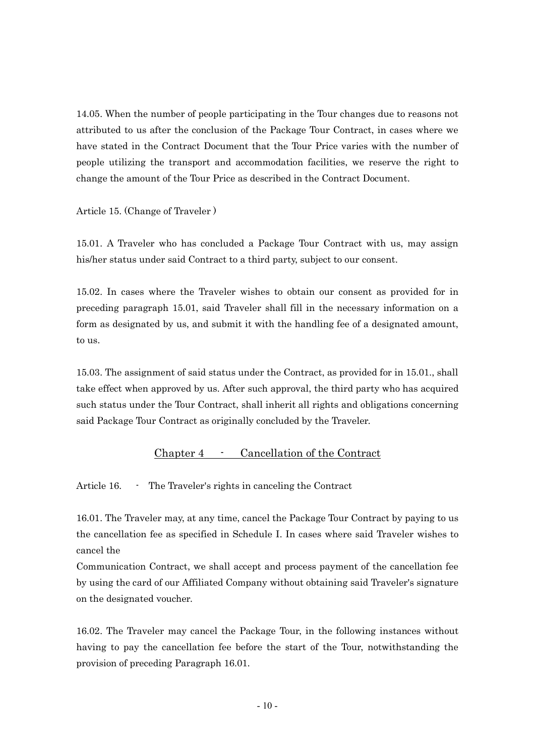14.05. When the number of people participating in the Tour changes due to reasons not attributed to us after the conclusion of the Package Tour Contract, in cases where we have stated in the Contract Document that the Tour Price varies with the number of people utilizing the transport and accommodation facilities, we reserve the right to change the amount of the Tour Price as described in the Contract Document.

Article 15. (Change of Traveler )

15.01. A Traveler who has concluded a Package Tour Contract with us, may assign his/her status under said Contract to a third party, subject to our consent.

15.02. In cases where the Traveler wishes to obtain our consent as provided for in preceding paragraph 15.01, said Traveler shall fill in the necessary information on a form as designated by us, and submit it with the handling fee of a designated amount, to us.

15.03. The assignment of said status under the Contract, as provided for in 15.01., shall take effect when approved by us. After such approval, the third party who has acquired such status under the Tour Contract, shall inherit all rights and obligations concerning said Package Tour Contract as originally concluded by the Traveler.

### Chapter 4 - Cancellation of the Contract

Article 16. - The Traveler's rights in canceling the Contract

16.01. The Traveler may, at any time, cancel the Package Tour Contract by paying to us the cancellation fee as specified in Schedule I. In cases where said Traveler wishes to cancel the

Communication Contract, we shall accept and process payment of the cancellation fee by using the card of our Affiliated Company without obtaining said Traveler's signature on the designated voucher.

16.02. The Traveler may cancel the Package Tour, in the following instances without having to pay the cancellation fee before the start of the Tour, notwithstanding the provision of preceding Paragraph 16.01.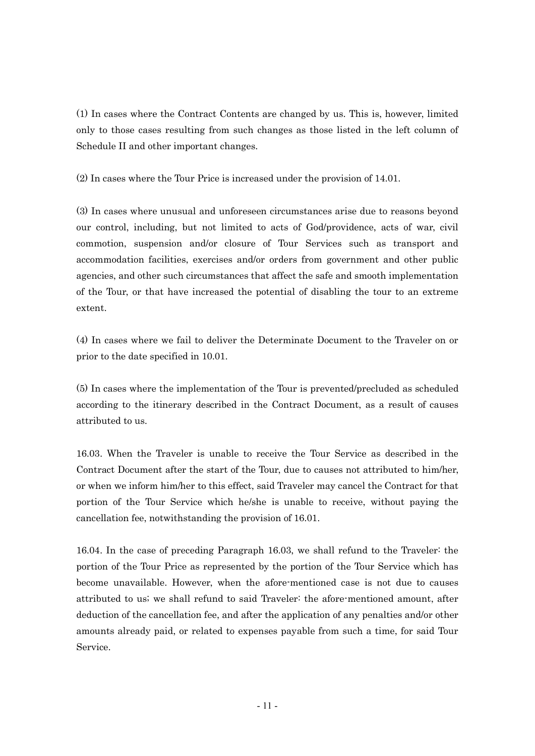(1) In cases where the Contract Contents are changed by us. This is, however, limited only to those cases resulting from such changes as those listed in the left column of Schedule II and other important changes.

(2) In cases where the Tour Price is increased under the provision of 14.01.

(3) In cases where unusual and unforeseen circumstances arise due to reasons beyond our control, including, but not limited to acts of God/providence, acts of war, civil commotion, suspension and/or closure of Tour Services such as transport and accommodation facilities, exercises and/or orders from government and other public agencies, and other such circumstances that affect the safe and smooth implementation of the Tour, or that have increased the potential of disabling the tour to an extreme extent.

(4) In cases where we fail to deliver the Determinate Document to the Traveler on or prior to the date specified in 10.01.

(5) In cases where the implementation of the Tour is prevented/precluded as scheduled according to the itinerary described in the Contract Document, as a result of causes attributed to us.

16.03. When the Traveler is unable to receive the Tour Service as described in the Contract Document after the start of the Tour, due to causes not attributed to him/her, or when we inform him/her to this effect, said Traveler may cancel the Contract for that portion of the Tour Service which he/she is unable to receive, without paying the cancellation fee, notwithstanding the provision of 16.01.

16.04. In the case of preceding Paragraph 16.03, we shall refund to the Traveler: the portion of the Tour Price as represented by the portion of the Tour Service which has become unavailable. However, when the afore-mentioned case is not due to causes attributed to us; we shall refund to said Traveler: the afore-mentioned amount, after deduction of the cancellation fee, and after the application of any penalties and/or other amounts already paid, or related to expenses payable from such a time, for said Tour Service.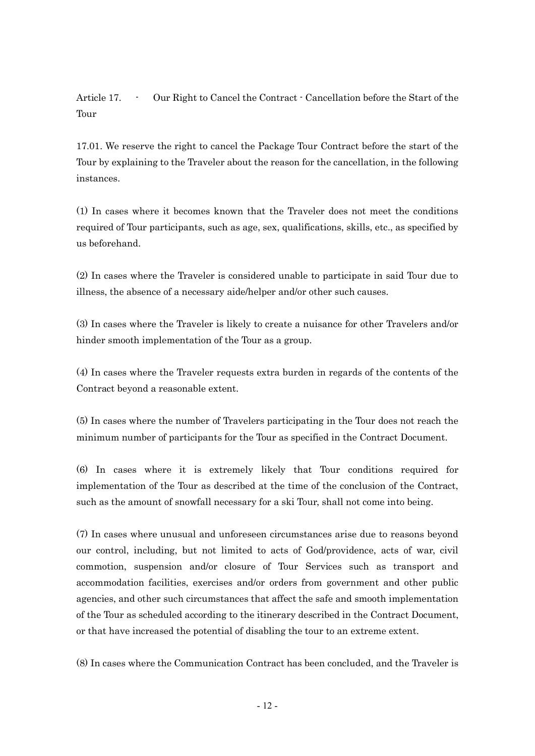Article 17. - Our Right to Cancel the Contract - Cancellation before the Start of the Tour

17.01. We reserve the right to cancel the Package Tour Contract before the start of the Tour by explaining to the Traveler about the reason for the cancellation, in the following instances.

(1) In cases where it becomes known that the Traveler does not meet the conditions required of Tour participants, such as age, sex, qualifications, skills, etc., as specified by us beforehand.

(2) In cases where the Traveler is considered unable to participate in said Tour due to illness, the absence of a necessary aide/helper and/or other such causes.

(3) In cases where the Traveler is likely to create a nuisance for other Travelers and/or hinder smooth implementation of the Tour as a group.

(4) In cases where the Traveler requests extra burden in regards of the contents of the Contract beyond a reasonable extent.

(5) In cases where the number of Travelers participating in the Tour does not reach the minimum number of participants for the Tour as specified in the Contract Document.

(6) In cases where it is extremely likely that Tour conditions required for implementation of the Tour as described at the time of the conclusion of the Contract, such as the amount of snowfall necessary for a ski Tour, shall not come into being.

(7) In cases where unusual and unforeseen circumstances arise due to reasons beyond our control, including, but not limited to acts of God/providence, acts of war, civil commotion, suspension and/or closure of Tour Services such as transport and accommodation facilities, exercises and/or orders from government and other public agencies, and other such circumstances that affect the safe and smooth implementation of the Tour as scheduled according to the itinerary described in the Contract Document, or that have increased the potential of disabling the tour to an extreme extent.

(8) In cases where the Communication Contract has been concluded, and the Traveler is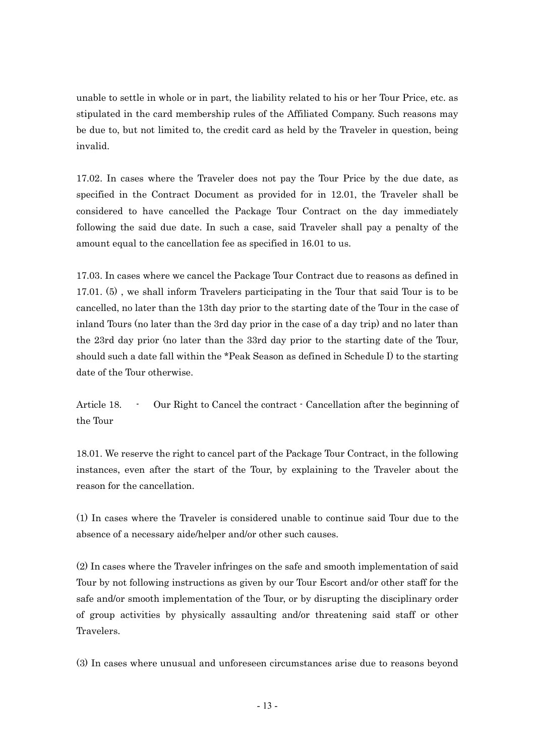unable to settle in whole or in part, the liability related to his or her Tour Price, etc. as stipulated in the card membership rules of the Affiliated Company. Such reasons may be due to, but not limited to, the credit card as held by the Traveler in question, being invalid.

17.02. In cases where the Traveler does not pay the Tour Price by the due date, as specified in the Contract Document as provided for in 12.01, the Traveler shall be considered to have cancelled the Package Tour Contract on the day immediately following the said due date. In such a case, said Traveler shall pay a penalty of the amount equal to the cancellation fee as specified in 16.01 to us.

17.03. In cases where we cancel the Package Tour Contract due to reasons as defined in 17.01. (5) , we shall inform Travelers participating in the Tour that said Tour is to be cancelled, no later than the 13th day prior to the starting date of the Tour in the case of inland Tours (no later than the 3rd day prior in the case of a day trip) and no later than the 23rd day prior (no later than the 33rd day prior to the starting date of the Tour, should such a date fall within the \*Peak Season as defined in Schedule I) to the starting date of the Tour otherwise.

Article 18. - Our Right to Cancel the contract - Cancellation after the beginning of the Tour

18.01. We reserve the right to cancel part of the Package Tour Contract, in the following instances, even after the start of the Tour, by explaining to the Traveler about the reason for the cancellation.

(1) In cases where the Traveler is considered unable to continue said Tour due to the absence of a necessary aide/helper and/or other such causes.

(2) In cases where the Traveler infringes on the safe and smooth implementation of said Tour by not following instructions as given by our Tour Escort and/or other staff for the safe and/or smooth implementation of the Tour, or by disrupting the disciplinary order of group activities by physically assaulting and/or threatening said staff or other Travelers.

(3) In cases where unusual and unforeseen circumstances arise due to reasons beyond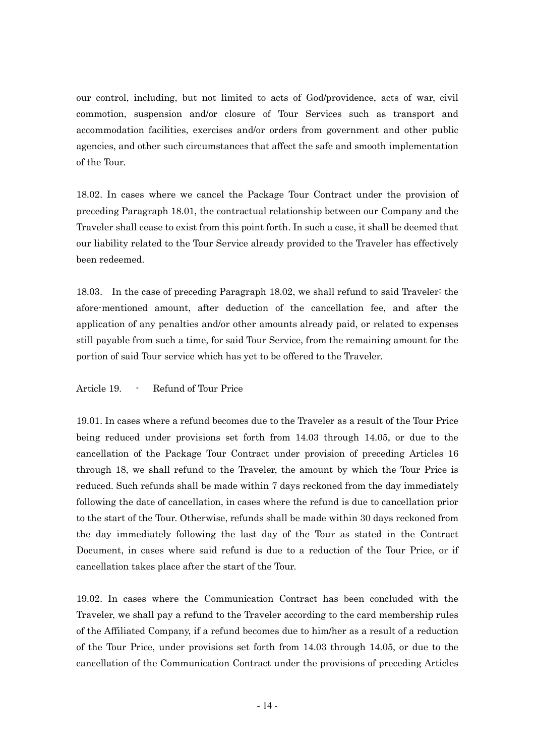our control, including, but not limited to acts of God/providence, acts of war, civil commotion, suspension and/or closure of Tour Services such as transport and accommodation facilities, exercises and/or orders from government and other public agencies, and other such circumstances that affect the safe and smooth implementation of the Tour.

18.02. In cases where we cancel the Package Tour Contract under the provision of preceding Paragraph 18.01, the contractual relationship between our Company and the Traveler shall cease to exist from this point forth. In such a case, it shall be deemed that our liability related to the Tour Service already provided to the Traveler has effectively been redeemed.

18.03. In the case of preceding Paragraph 18.02, we shall refund to said Traveler: the afore-mentioned amount, after deduction of the cancellation fee, and after the application of any penalties and/or other amounts already paid, or related to expenses still payable from such a time, for said Tour Service, from the remaining amount for the portion of said Tour service which has yet to be offered to the Traveler.

Article 19. - Refund of Tour Price

19.01. In cases where a refund becomes due to the Traveler as a result of the Tour Price being reduced under provisions set forth from 14.03 through 14.05, or due to the cancellation of the Package Tour Contract under provision of preceding Articles 16 through 18, we shall refund to the Traveler, the amount by which the Tour Price is reduced. Such refunds shall be made within 7 days reckoned from the day immediately following the date of cancellation, in cases where the refund is due to cancellation prior to the start of the Tour. Otherwise, refunds shall be made within 30 days reckoned from the day immediately following the last day of the Tour as stated in the Contract Document, in cases where said refund is due to a reduction of the Tour Price, or if cancellation takes place after the start of the Tour.

19.02. In cases where the Communication Contract has been concluded with the Traveler, we shall pay a refund to the Traveler according to the card membership rules of the Affiliated Company, if a refund becomes due to him/her as a result of a reduction of the Tour Price, under provisions set forth from 14.03 through 14.05, or due to the cancellation of the Communication Contract under the provisions of preceding Articles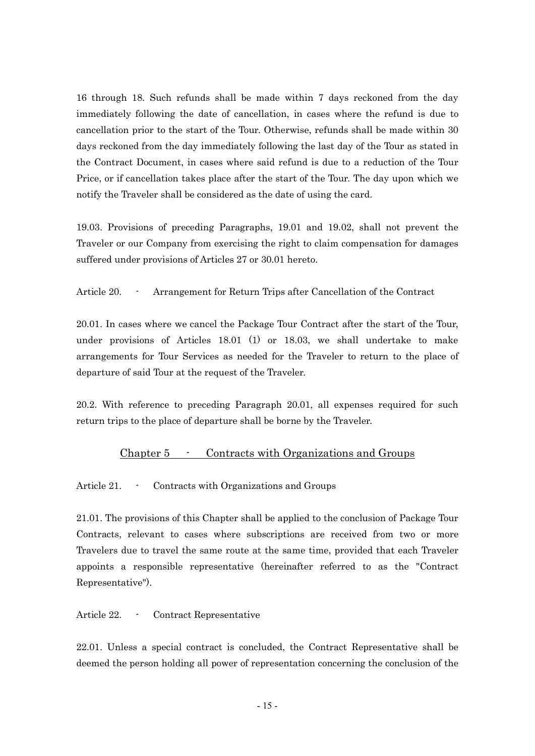16 through 18. Such refunds shall be made within 7 days reckoned from the day immediately following the date of cancellation, in cases where the refund is due to cancellation prior to the start of the Tour. Otherwise, refunds shall be made within 30 days reckoned from the day immediately following the last day of the Tour as stated in the Contract Document, in cases where said refund is due to a reduction of the Tour Price, or if cancellation takes place after the start of the Tour. The day upon which we notify the Traveler shall be considered as the date of using the card.

19.03. Provisions of preceding Paragraphs, 19.01 and 19.02, shall not prevent the Traveler or our Company from exercising the right to claim compensation for damages suffered under provisions of Articles 27 or 30.01 hereto.

Article 20. - Arrangement for Return Trips after Cancellation of the Contract

20.01. In cases where we cancel the Package Tour Contract after the start of the Tour, under provisions of Articles 18.01 (1) or 18.03, we shall undertake to make arrangements for Tour Services as needed for the Traveler to return to the place of departure of said Tour at the request of the Traveler.

20.2. With reference to preceding Paragraph 20.01, all expenses required for such return trips to the place of departure shall be borne by the Traveler.

#### Chapter 5 - Contracts with Organizations and Groups

Article 21. - Contracts with Organizations and Groups

21.01. The provisions of this Chapter shall be applied to the conclusion of Package Tour Contracts, relevant to cases where subscriptions are received from two or more Travelers due to travel the same route at the same time, provided that each Traveler appoints a responsible representative (hereinafter referred to as the "Contract Representative").

Article 22. - Contract Representative

22.01. Unless a special contract is concluded, the Contract Representative shall be deemed the person holding all power of representation concerning the conclusion of the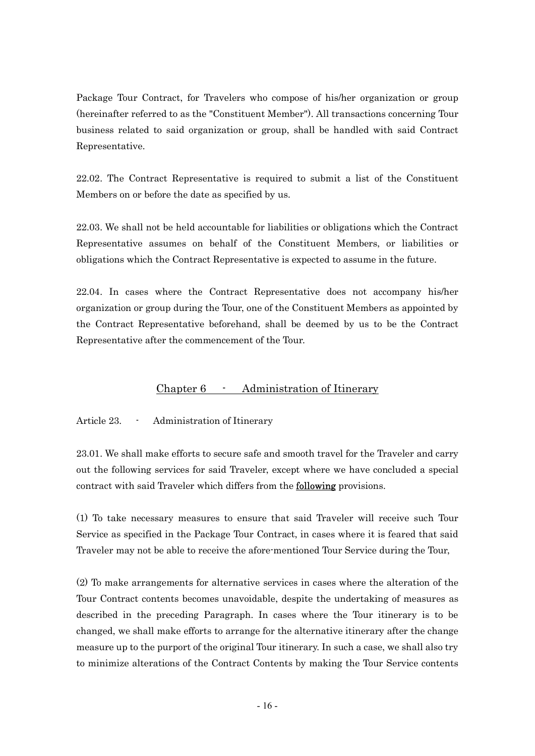Package Tour Contract, for Travelers who compose of his/her organization or group (hereinafter referred to as the "Constituent Member"). All transactions concerning Tour business related to said organization or group, shall be handled with said Contract Representative.

22.02. The Contract Representative is required to submit a list of the Constituent Members on or before the date as specified by us.

22.03. We shall not be held accountable for liabilities or obligations which the Contract Representative assumes on behalf of the Constituent Members, or liabilities or obligations which the Contract Representative is expected to assume in the future.

22.04. In cases where the Contract Representative does not accompany his/her organization or group during the Tour, one of the Constituent Members as appointed by the Contract Representative beforehand, shall be deemed by us to be the Contract Representative after the commencement of the Tour.

### Chapter 6 - Administration of Itinerary

Article 23. - Administration of Itinerary

23.01. We shall make efforts to secure safe and smooth travel for the Traveler and carry out the following services for said Traveler, except where we have concluded a special contract with said Traveler which differs from the following provisions.

(1) To take necessary measures to ensure that said Traveler will receive such Tour Service as specified in the Package Tour Contract, in cases where it is feared that said Traveler may not be able to receive the afore-mentioned Tour Service during the Tour,

(2) To make arrangements for alternative services in cases where the alteration of the Tour Contract contents becomes unavoidable, despite the undertaking of measures as described in the preceding Paragraph. In cases where the Tour itinerary is to be changed, we shall make efforts to arrange for the alternative itinerary after the change measure up to the purport of the original Tour itinerary. In such a case, we shall also try to minimize alterations of the Contract Contents by making the Tour Service contents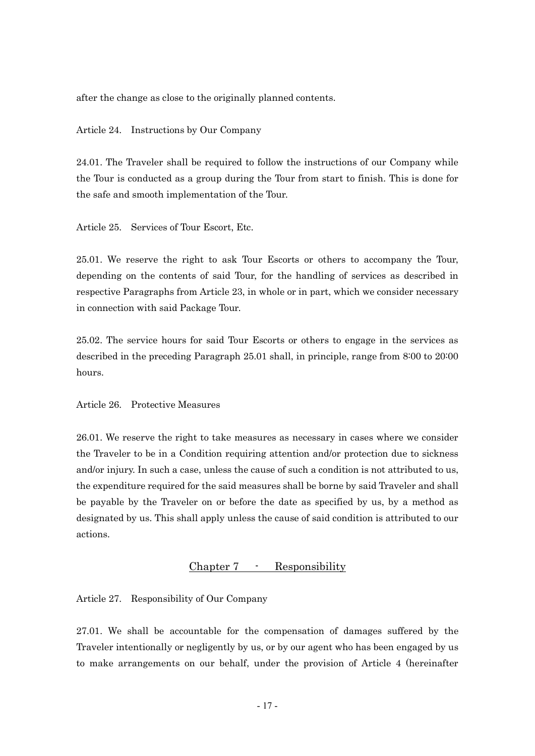after the change as close to the originally planned contents.

Article 24. Instructions by Our Company

24.01. The Traveler shall be required to follow the instructions of our Company while the Tour is conducted as a group during the Tour from start to finish. This is done for the safe and smooth implementation of the Tour.

Article 25. Services of Tour Escort, Etc.

25.01. We reserve the right to ask Tour Escorts or others to accompany the Tour, depending on the contents of said Tour, for the handling of services as described in respective Paragraphs from Article 23, in whole or in part, which we consider necessary in connection with said Package Tour.

25.02. The service hours for said Tour Escorts or others to engage in the services as described in the preceding Paragraph 25.01 shall, in principle, range from 8:00 to 20:00 hours.

Article 26. Protective Measures

26.01. We reserve the right to take measures as necessary in cases where we consider the Traveler to be in a Condition requiring attention and/or protection due to sickness and/or injury. In such a case, unless the cause of such a condition is not attributed to us, the expenditure required for the said measures shall be borne by said Traveler and shall be payable by the Traveler on or before the date as specified by us, by a method as designated by us. This shall apply unless the cause of said condition is attributed to our actions.

#### Chapter 7 - Responsibility

Article 27. Responsibility of Our Company

27.01. We shall be accountable for the compensation of damages suffered by the Traveler intentionally or negligently by us, or by our agent who has been engaged by us to make arrangements on our behalf, under the provision of Article 4 (hereinafter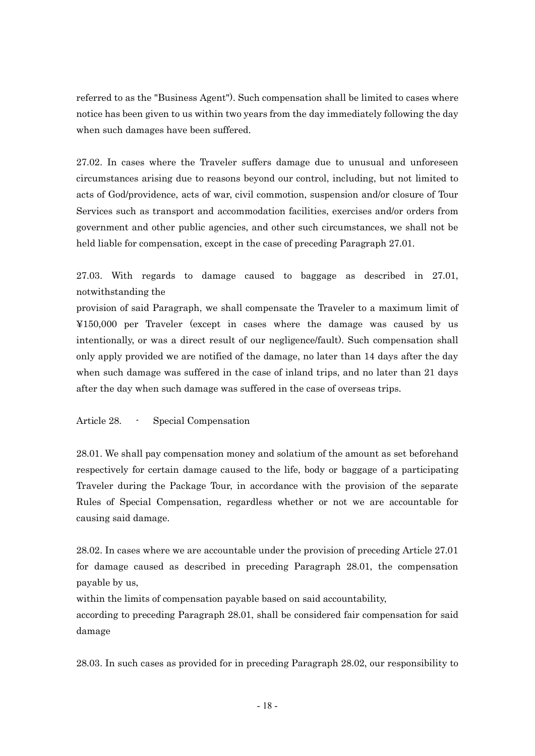referred to as the "Business Agent"). Such compensation shall be limited to cases where notice has been given to us within two years from the day immediately following the day when such damages have been suffered.

27.02. In cases where the Traveler suffers damage due to unusual and unforeseen circumstances arising due to reasons beyond our control, including, but not limited to acts of God/providence, acts of war, civil commotion, suspension and/or closure of Tour Services such as transport and accommodation facilities, exercises and/or orders from government and other public agencies, and other such circumstances, we shall not be held liable for compensation, except in the case of preceding Paragraph 27.01.

27.03. With regards to damage caused to baggage as described in 27.01, notwithstanding the

provision of said Paragraph, we shall compensate the Traveler to a maximum limit of ¥150,000 per Traveler (except in cases where the damage was caused by us intentionally, or was a direct result of our negligence/fault). Such compensation shall only apply provided we are notified of the damage, no later than 14 days after the day when such damage was suffered in the case of inland trips, and no later than 21 days after the day when such damage was suffered in the case of overseas trips.

Article 28. - Special Compensation

28.01. We shall pay compensation money and solatium of the amount as set beforehand respectively for certain damage caused to the life, body or baggage of a participating Traveler during the Package Tour, in accordance with the provision of the separate Rules of Special Compensation, regardless whether or not we are accountable for causing said damage.

28.02. In cases where we are accountable under the provision of preceding Article 27.01 for damage caused as described in preceding Paragraph 28.01, the compensation payable by us,

within the limits of compensation payable based on said accountability,

according to preceding Paragraph 28.01, shall be considered fair compensation for said damage

28.03. In such cases as provided for in preceding Paragraph 28.02, our responsibility to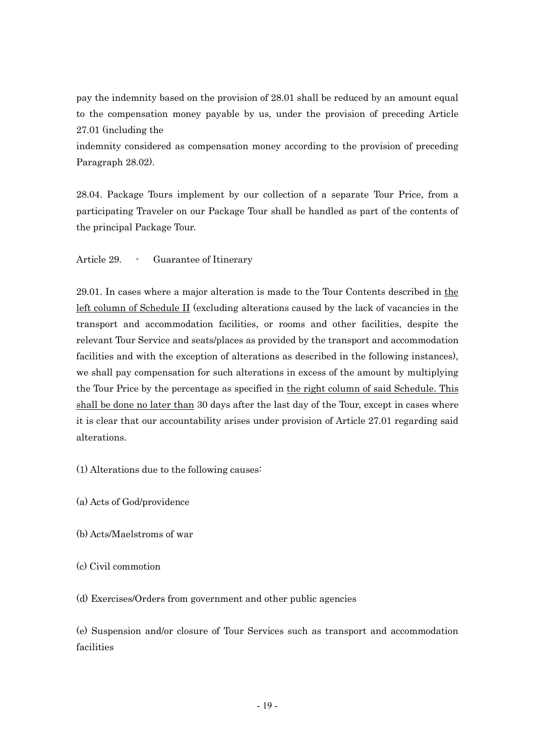pay the indemnity based on the provision of 28.01 shall be reduced by an amount equal to the compensation money payable by us, under the provision of preceding Article 27.01 (including the

indemnity considered as compensation money according to the provision of preceding Paragraph 28.02).

28.04. Package Tours implement by our collection of a separate Tour Price, from a participating Traveler on our Package Tour shall be handled as part of the contents of the principal Package Tour.

Article 29. - Guarantee of Itinerary

29.01. In cases where a major alteration is made to the Tour Contents described in the left column of Schedule II (excluding alterations caused by the lack of vacancies in the transport and accommodation facilities, or rooms and other facilities, despite the relevant Tour Service and seats/places as provided by the transport and accommodation facilities and with the exception of alterations as described in the following instances), we shall pay compensation for such alterations in excess of the amount by multiplying the Tour Price by the percentage as specified in the right column of said Schedule. This shall be done no later than 30 days after the last day of the Tour, except in cases where it is clear that our accountability arises under provision of Article 27.01 regarding said alterations.

(1) Alterations due to the following causes:

- (a) Acts of God/providence
- (b) Acts/Maelstroms of war
- (c) Civil commotion

(d) Exercises/Orders from government and other public agencies

(e) Suspension and/or closure of Tour Services such as transport and accommodation facilities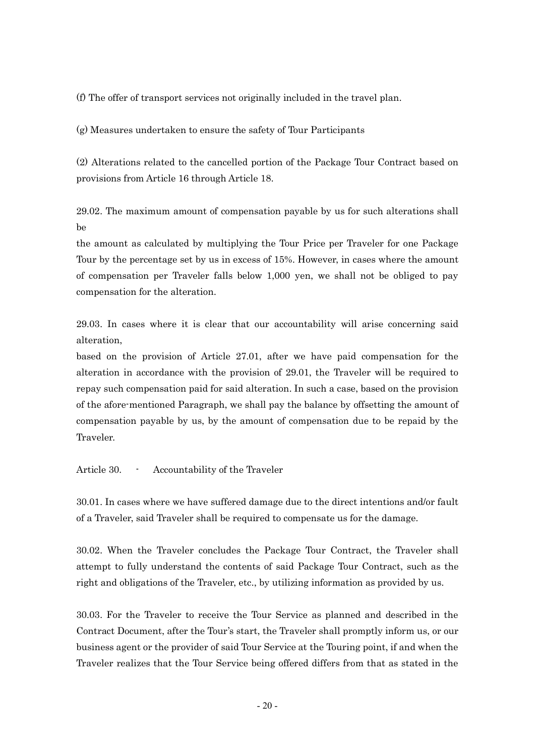(f) The offer of transport services not originally included in the travel plan.

(g) Measures undertaken to ensure the safety of Tour Participants

(2) Alterations related to the cancelled portion of the Package Tour Contract based on provisions from Article 16 through Article 18.

29.02. The maximum amount of compensation payable by us for such alterations shall be

the amount as calculated by multiplying the Tour Price per Traveler for one Package Tour by the percentage set by us in excess of 15%. However, in cases where the amount of compensation per Traveler falls below 1,000 yen, we shall not be obliged to pay compensation for the alteration.

29.03. In cases where it is clear that our accountability will arise concerning said alteration,

based on the provision of Article 27.01, after we have paid compensation for the alteration in accordance with the provision of 29.01, the Traveler will be required to repay such compensation paid for said alteration. In such a case, based on the provision of the afore-mentioned Paragraph, we shall pay the balance by offsetting the amount of compensation payable by us, by the amount of compensation due to be repaid by the Traveler.

Article 30. - Accountability of the Traveler

30.01. In cases where we have suffered damage due to the direct intentions and/or fault of a Traveler, said Traveler shall be required to compensate us for the damage.

30.02. When the Traveler concludes the Package Tour Contract, the Traveler shall attempt to fully understand the contents of said Package Tour Contract, such as the right and obligations of the Traveler, etc., by utilizing information as provided by us.

30.03. For the Traveler to receive the Tour Service as planned and described in the Contract Document, after the Tour's start, the Traveler shall promptly inform us, or our business agent or the provider of said Tour Service at the Touring point, if and when the Traveler realizes that the Tour Service being offered differs from that as stated in the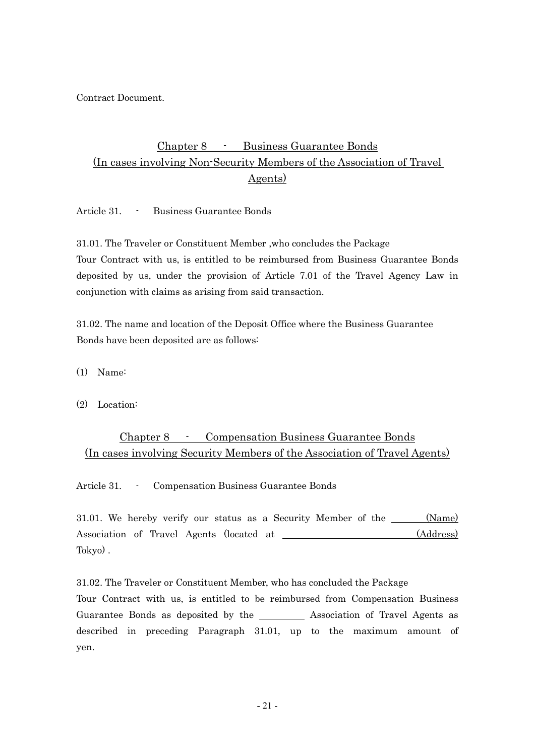Contract Document.

### Chapter 8 - Business Guarantee Bonds (In cases involving Non-Security Members of the Association of Travel Agents)

Article 31. - Business Guarantee Bonds

31.01. The Traveler or Constituent Member ,who concludes the Package Tour Contract with us, is entitled to be reimbursed from Business Guarantee Bonds deposited by us, under the provision of Article 7.01 of the Travel Agency Law in conjunction with claims as arising from said transaction.

31.02. The name and location of the Deposit Office where the Business Guarantee Bonds have been deposited are as follows:

(1) Name:

(2) Location:

### Chapter 8 - Compensation Business Guarantee Bonds (In cases involving Security Members of the Association of Travel Agents)

Article 31. - Compensation Business Guarantee Bonds

31.01. We hereby verify our status as a Security Member of the \_\_\_\_\_ (Name) Association of Travel Agents (located at (Address) Tokyo) .

31.02. The Traveler or Constituent Member, who has concluded the Package

Tour Contract with us, is entitled to be reimbursed from Compensation Business Guarantee Bonds as deposited by the Association of Travel Agents as described in preceding Paragraph 31.01, up to the maximum amount of yen.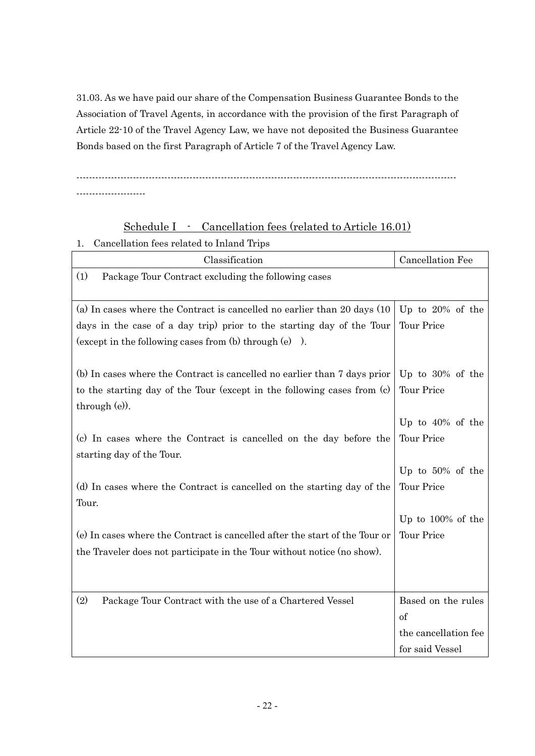31.03. As we have paid our share of the Compensation Business Guarantee Bonds to the Association of Travel Agents, in accordance with the provision of the first Paragraph of Article 22-10 of the Travel Agency Law, we have not deposited the Business Guarantee Bonds based on the first Paragraph of Article 7 of the Travel Agency Law.

-------------------------------------------------------------------------------------------------------------------------

----------------------

### Schedule I - Cancellation fees (related to Article 16.01)

1. Cancellation fees related to Inland Trips

| Classification                                                                           | Cancellation Fee     |
|------------------------------------------------------------------------------------------|----------------------|
| (1)<br>Package Tour Contract excluding the following cases                               |                      |
| (a) In cases where the Contract is cancelled no earlier than 20 days (10)                | Up to $20\%$ of the  |
| days in the case of a day trip) prior to the starting day of the Tour                    | Tour Price           |
| (except in the following cases from $(b)$ through $(e)$ ).                               |                      |
| (b) In cases where the Contract is cancelled no earlier than 7 days prior                | Up to $30\%$ of the  |
| to the starting day of the Tour (except in the following cases from (c)<br>through (e)). | Tour Price           |
|                                                                                          | Up to $40\%$ of the  |
| (c) In cases where the Contract is cancelled on the day before the                       | Tour Price           |
| starting day of the Tour.                                                                |                      |
|                                                                                          | Up to $50\%$ of the  |
| (d) In cases where the Contract is cancelled on the starting day of the<br>Tour.         | Tour Price           |
|                                                                                          | Up to $100\%$ of the |
| (e) In cases where the Contract is cancelled after the start of the Tour or              | Tour Price           |
| the Traveler does not participate in the Tour without notice (no show).                  |                      |
|                                                                                          |                      |
| (2)<br>Package Tour Contract with the use of a Chartered Vessel                          | Based on the rules   |
|                                                                                          | of                   |
|                                                                                          | the cancellation fee |
|                                                                                          | for said Vessel      |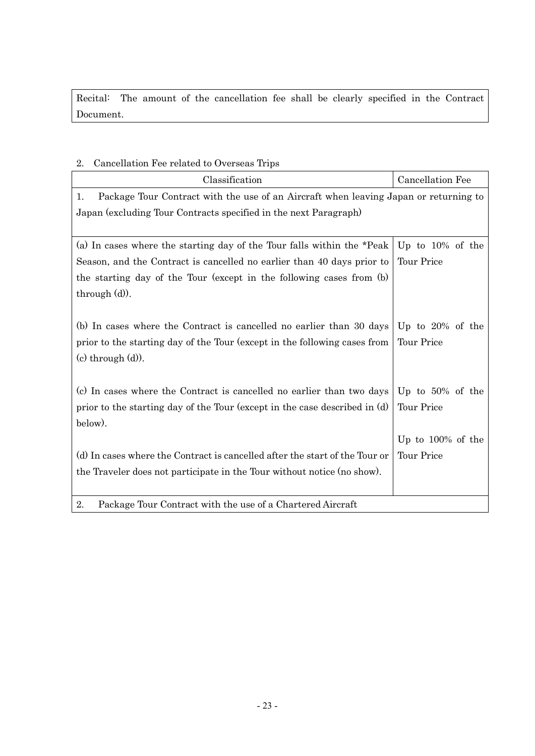Recital: The amount of the cancellation fee shall be clearly specified in the Contract Document.

### 2. Cancellation Fee related to Overseas Trips

| Classification                                                                             | Cancellation Fee     |  |
|--------------------------------------------------------------------------------------------|----------------------|--|
| Package Tour Contract with the use of an Aircraft when leaving Japan or returning to<br>1. |                      |  |
| Japan (excluding Tour Contracts specified in the next Paragraph)                           |                      |  |
|                                                                                            |                      |  |
| (a) In cases where the starting day of the Tour falls within the *Peak                     | Up to $10\%$ of the  |  |
| Season, and the Contract is cancelled no earlier than 40 days prior to                     | <b>Tour Price</b>    |  |
| the starting day of the Tour (except in the following cases from (b)                       |                      |  |
| through $(d)$ ).                                                                           |                      |  |
|                                                                                            |                      |  |
| (b) In cases where the Contract is cancelled no earlier than 30 days                       | Up to $20\%$ of the  |  |
| prior to the starting day of the Tour (except in the following cases from                  | Tour Price           |  |
| $(c)$ through $(d)$ ).                                                                     |                      |  |
|                                                                                            |                      |  |
| (c) In cases where the Contract is cancelled no earlier than two days                      | Up to $50\%$ of the  |  |
| prior to the starting day of the Tour (except in the case described in (d)                 | <b>Tour Price</b>    |  |
| below).                                                                                    |                      |  |
|                                                                                            | Up to $100\%$ of the |  |
| (d) In cases where the Contract is cancelled after the start of the Tour or                | <b>Tour Price</b>    |  |
| the Traveler does not participate in the Tour without notice (no show).                    |                      |  |
|                                                                                            |                      |  |
| 2.<br>Package Tour Contract with the use of a Chartered Aircraft                           |                      |  |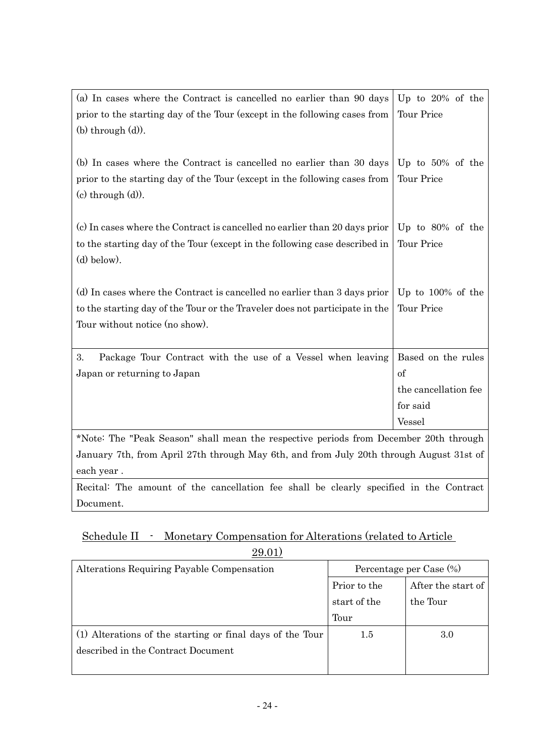| (a) In cases where the Contract is cancelled no earlier than 90 days                                | Up to $20\%$ of the  |  |
|-----------------------------------------------------------------------------------------------------|----------------------|--|
| prior to the starting day of the Tour (except in the following cases from<br>$(b)$ through $(d)$ ). | Tour Price           |  |
|                                                                                                     |                      |  |
| (b) In cases where the Contract is cancelled no earlier than 30 days                                | Up to $50\%$ of the  |  |
| prior to the starting day of the Tour (except in the following cases from                           | Tour Price           |  |
| $(c)$ through $(d)$ ).                                                                              |                      |  |
| (c) In cases where the Contract is cancelled no earlier than 20 days prior $\vert$ Up to 80% of the |                      |  |
| to the starting day of the Tour (except in the following case described in                          | Tour Price           |  |
| $(d)$ below).                                                                                       |                      |  |
|                                                                                                     |                      |  |
| (d) In cases where the Contract is cancelled no earlier than 3 days prior                           | Up to $100\%$ of the |  |
| to the starting day of the Tour or the Traveler does not participate in the                         | Tour Price           |  |
| Tour without notice (no show).                                                                      |                      |  |
|                                                                                                     |                      |  |
| Package Tour Contract with the use of a Vessel when leaving<br>3.                                   | Based on the rules   |  |
| Japan or returning to Japan                                                                         | of                   |  |
|                                                                                                     | the cancellation fee |  |
|                                                                                                     | for said             |  |
|                                                                                                     | Vessel               |  |
| *Note: The "Dool' General" shall mean the regnestive periods from December 20th through             |                      |  |

\*Note: The "Peak Season" shall mean the respective periods from December 20th through January 7th, from April 27th through May 6th, and from July 20th through August 31st of each year .

Recital: The amount of the cancellation fee shall be clearly specified in the Contract Document.

### Schedule II - Monetary Compensation for Alterations (related to Article 29.01)

| 40.01/                                                    |                         |                    |
|-----------------------------------------------------------|-------------------------|--------------------|
| Alterations Requiring Payable Compensation                | Percentage per Case (%) |                    |
|                                                           | Prior to the            | After the start of |
|                                                           | start of the            | the Tour           |
|                                                           | Tour                    |                    |
| (1) Alterations of the starting or final days of the Tour | $1.5\,$                 | 3.0                |
| described in the Contract Document                        |                         |                    |
|                                                           |                         |                    |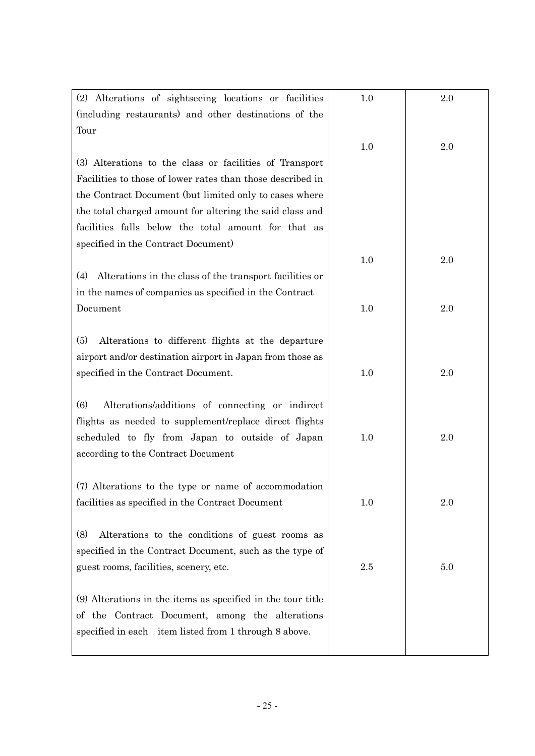| (2) Alterations of sightseeing locations or facilities              | 1.0 | 2.0 |
|---------------------------------------------------------------------|-----|-----|
| (including restaurants) and other destinations of the               |     |     |
| Tour                                                                |     |     |
|                                                                     | 1.0 | 2.0 |
| (3) Alterations to the class or facilities of Transport             |     |     |
| Facilities to those of lower rates than those described in          |     |     |
| the Contract Document (but limited only to cases where              |     |     |
| the total charged amount for altering the said class and            |     |     |
| facilities falls below the total amount for that as                 |     |     |
| specified in the Contract Document)                                 |     |     |
|                                                                     | 1.0 | 2.0 |
| (4)<br>Alterations in the class of the transport facilities or      |     |     |
| in the names of companies as specified in the Contract              |     |     |
| Document                                                            | 1.0 | 2.0 |
|                                                                     |     |     |
| (5)<br>Alterations to different flights at the departure            |     |     |
| airport and/or destination airport in Japan from those as           |     |     |
| specified in the Contract Document.                                 | 1.0 | 2.0 |
|                                                                     |     |     |
| $\left(6\right)$<br>Alterations/additions of connecting or indirect |     |     |
| flights as needed to supplement/replace direct flights              |     |     |
| scheduled to fly from Japan to outside of Japan                     | 1.0 | 2.0 |
| according to the Contract Document                                  |     |     |
|                                                                     |     |     |
| (7) Alterations to the type or name of accommodation                |     |     |
| facilities as specified in the Contract Document                    | 1.0 | 2.0 |
|                                                                     |     |     |
| (8)<br>Alterations to the conditions of guest rooms as              |     |     |
| specified in the Contract Document, such as the type of             |     |     |
| guest rooms, facilities, scenery, etc.                              | 2.5 | 5.0 |
|                                                                     |     |     |
| (9) Alterations in the items as specified in the tour title         |     |     |
| of the Contract Document, among the alterations                     |     |     |
| specified in each item listed from 1 through 8 above.               |     |     |
|                                                                     |     |     |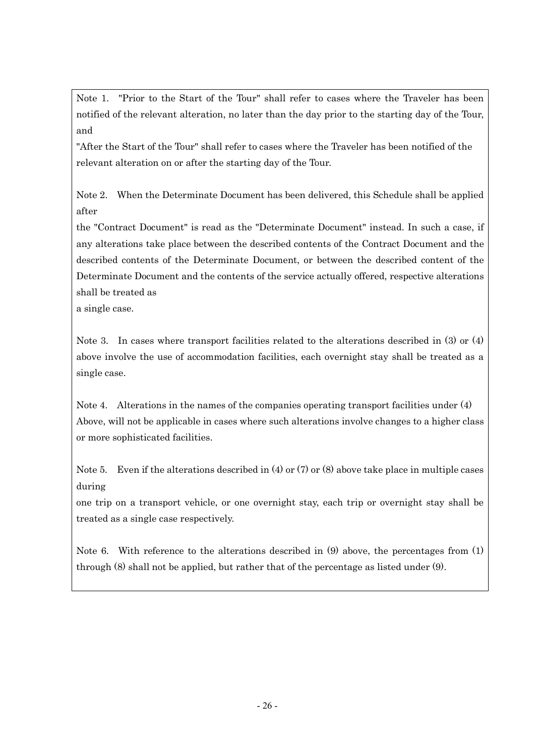Note 1. "Prior to the Start of the Tour" shall refer to cases where the Traveler has been notified of the relevant alteration, no later than the day prior to the starting day of the Tour, and

"After the Start of the Tour" shall refer to cases where the Traveler has been notified of the relevant alteration on or after the starting day of the Tour.

Note 2. When the Determinate Document has been delivered, this Schedule shall be applied after

the "Contract Document" is read as the "Determinate Document" instead. In such a case, if any alterations take place between the described contents of the Contract Document and the described contents of the Determinate Document, or between the described content of the Determinate Document and the contents of the service actually offered, respective alterations shall be treated as

a single case.

Note 3. In cases where transport facilities related to the alterations described in (3) or (4) above involve the use of accommodation facilities, each overnight stay shall be treated as a single case.

Note 4. Alterations in the names of the companies operating transport facilities under (4) Above, will not be applicable in cases where such alterations involve changes to a higher class or more sophisticated facilities.

Note 5. Even if the alterations described in  $(4)$  or  $(7)$  or  $(8)$  above take place in multiple cases during

one trip on a transport vehicle, or one overnight stay, each trip or overnight stay shall be treated as a single case respectively.

Note 6. With reference to the alterations described in (9) above, the percentages from (1) through (8) shall not be applied, but rather that of the percentage as listed under (9).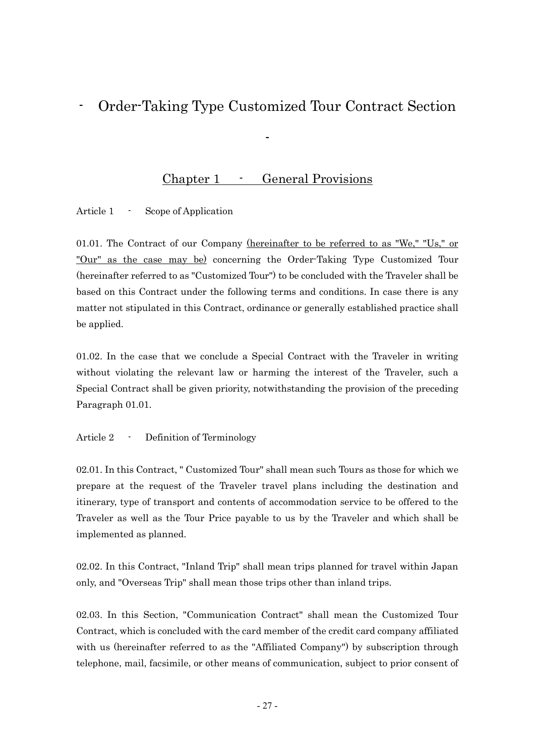## - Order-Taking Type Customized Tour Contract Section

# Chapter 1 - General Provisions

-

Article 1 - Scope of Application

01.01. The Contract of our Company (hereinafter to be referred to as "We," "Us," or "Our" as the case may be) concerning the Order-Taking Type Customized Tour (hereinafter referred to as "Customized Tour") to be concluded with the Traveler shall be based on this Contract under the following terms and conditions. In case there is any matter not stipulated in this Contract, ordinance or generally established practice shall be applied.

01.02. In the case that we conclude a Special Contract with the Traveler in writing without violating the relevant law or harming the interest of the Traveler, such a Special Contract shall be given priority, notwithstanding the provision of the preceding Paragraph 01.01.

Article 2 - Definition of Terminology

02.01. In this Contract, " Customized Tour" shall mean such Tours as those for which we prepare at the request of the Traveler travel plans including the destination and itinerary, type of transport and contents of accommodation service to be offered to the Traveler as well as the Tour Price payable to us by the Traveler and which shall be implemented as planned.

02.02. In this Contract, "Inland Trip" shall mean trips planned for travel within Japan only, and "Overseas Trip" shall mean those trips other than inland trips.

02.03. In this Section, "Communication Contract" shall mean the Customized Tour Contract, which is concluded with the card member of the credit card company affiliated with us (hereinafter referred to as the "Affiliated Company") by subscription through telephone, mail, facsimile, or other means of communication, subject to prior consent of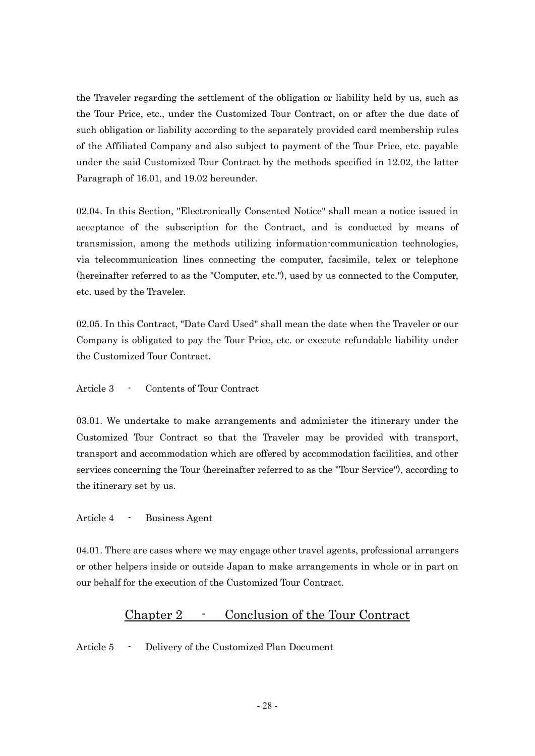the Traveler regarding the settlement of the obligation or liability held by us, such as the Tour Price, etc., under the Customized Tour Contract, on or after the due date of such obligation or liability according to the separately provided card membership rules of the Affiliated Company and also subject to payment of the Tour Price, etc. payable under the said Customized Tour Contract by the methods specified in 12.02, the latter Paragraph of 16.01, and 19.02 hereunder.

02.04. In this Section, "Electronically Consented Notice" shall mean a notice issued in acceptance of the subscription for the Contract, and is conducted by means of transmission, among the methods utilizing information-communication technologies, via telecommunication lines connecting the computer, facsimile, telex or telephone (hereinafter referred to as the "Computer, etc."), used by us connected to the Computer, etc. used by the Traveler.

02.05. In this Contract, "Date Card Used" shall mean the date when the Traveler or our Company is obligated to pay the Tour Price, etc. or execute refundable liability under the Customized Tour Contract.

#### Article 3 - Contents of Tour Contract

03.01. We undertake to make arrangements and administer the itinerary under the Customized Tour Contract so that the Traveler may be provided with transport, transport and accommodation which are offered by accommodation facilities, and other services concerning the Tour (hereinafter referred to as the "Tour Service"), according to the itinerary set by us.

Article 4 - Business Agent

04.01. There are cases where we may engage other travel agents, professional arrangers or other helpers inside or outside Japan to make arrangements in whole or in part on our behalf for the execution of the Customized Tour Contract.

### Chapter 2 - Conclusion of the Tour Contract

Article 5 - Delivery of the Customized Plan Document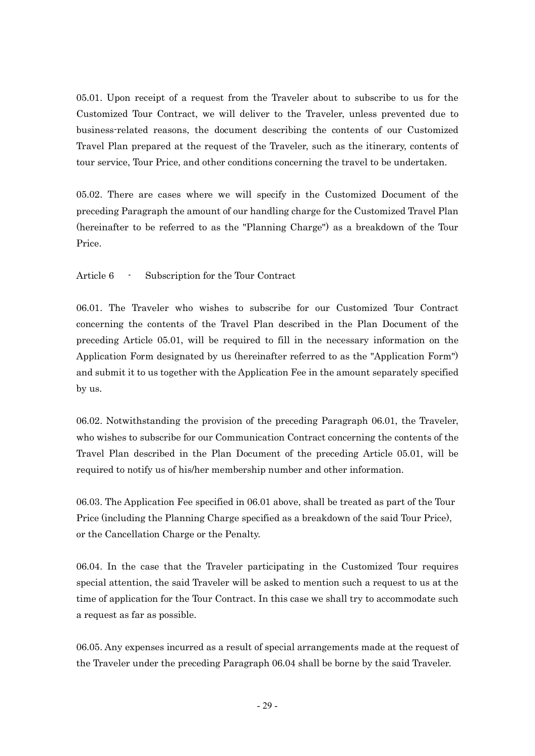05.01. Upon receipt of a request from the Traveler about to subscribe to us for the Customized Tour Contract, we will deliver to the Traveler, unless prevented due to business-related reasons, the document describing the contents of our Customized Travel Plan prepared at the request of the Traveler, such as the itinerary, contents of tour service, Tour Price, and other conditions concerning the travel to be undertaken.

05.02. There are cases where we will specify in the Customized Document of the preceding Paragraph the amount of our handling charge for the Customized Travel Plan (hereinafter to be referred to as the "Planning Charge") as a breakdown of the Tour Price.

#### Article 6 - Subscription for the Tour Contract

06.01. The Traveler who wishes to subscribe for our Customized Tour Contract concerning the contents of the Travel Plan described in the Plan Document of the preceding Article 05.01, will be required to fill in the necessary information on the Application Form designated by us (hereinafter referred to as the "Application Form") and submit it to us together with the Application Fee in the amount separately specified by us.

06.02. Notwithstanding the provision of the preceding Paragraph 06.01, the Traveler, who wishes to subscribe for our Communication Contract concerning the contents of the Travel Plan described in the Plan Document of the preceding Article 05.01, will be required to notify us of his/her membership number and other information.

06.03. The Application Fee specified in 06.01 above, shall be treated as part of the Tour Price (including the Planning Charge specified as a breakdown of the said Tour Price), or the Cancellation Charge or the Penalty.

06.04. In the case that the Traveler participating in the Customized Tour requires special attention, the said Traveler will be asked to mention such a request to us at the time of application for the Tour Contract. In this case we shall try to accommodate such a request as far as possible.

06.05. Any expenses incurred as a result of special arrangements made at the request of the Traveler under the preceding Paragraph 06.04 shall be borne by the said Traveler.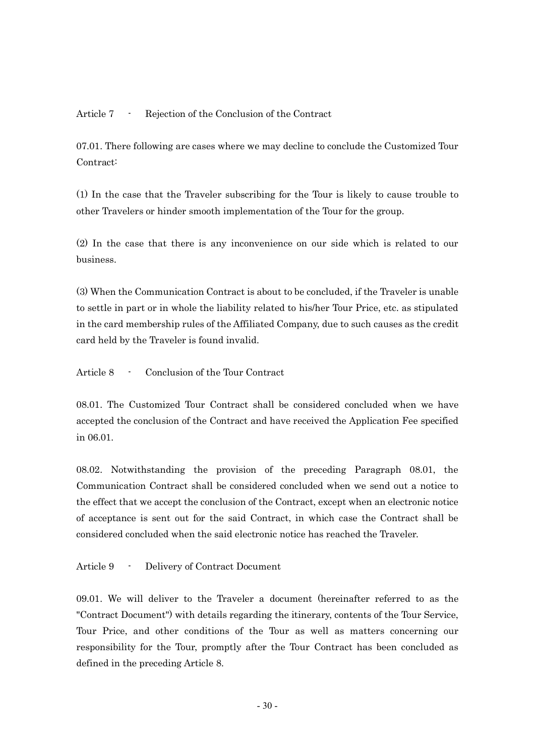Article 7 - Rejection of the Conclusion of the Contract

07.01. There following are cases where we may decline to conclude the Customized Tour Contract:

(1) In the case that the Traveler subscribing for the Tour is likely to cause trouble to other Travelers or hinder smooth implementation of the Tour for the group.

(2) In the case that there is any inconvenience on our side which is related to our business.

(3) When the Communication Contract is about to be concluded, if the Traveler is unable to settle in part or in whole the liability related to his/her Tour Price, etc. as stipulated in the card membership rules of the Affiliated Company, due to such causes as the credit card held by the Traveler is found invalid.

Article 8 - Conclusion of the Tour Contract

08.01. The Customized Tour Contract shall be considered concluded when we have accepted the conclusion of the Contract and have received the Application Fee specified in 06.01.

08.02. Notwithstanding the provision of the preceding Paragraph 08.01, the Communication Contract shall be considered concluded when we send out a notice to the effect that we accept the conclusion of the Contract, except when an electronic notice of acceptance is sent out for the said Contract, in which case the Contract shall be considered concluded when the said electronic notice has reached the Traveler.

Article 9 - Delivery of Contract Document

09.01. We will deliver to the Traveler a document (hereinafter referred to as the "Contract Document") with details regarding the itinerary, contents of the Tour Service, Tour Price, and other conditions of the Tour as well as matters concerning our responsibility for the Tour, promptly after the Tour Contract has been concluded as defined in the preceding Article 8.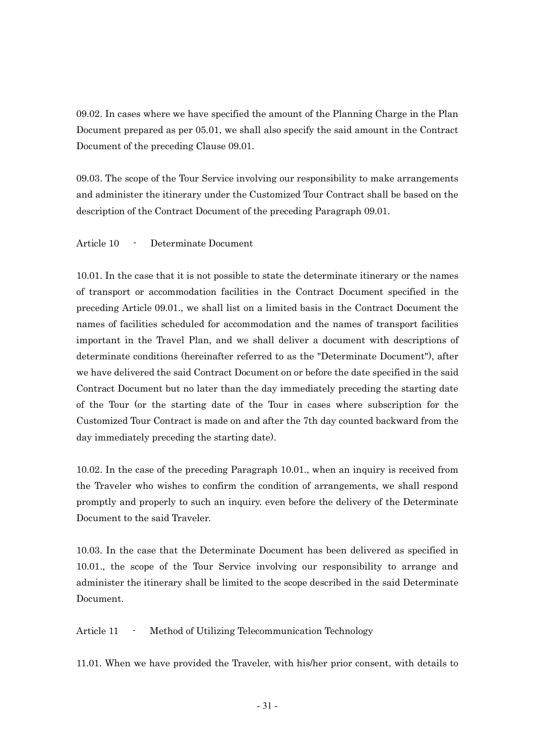09.02. In cases where we have specified the amount of the Planning Charge in the Plan Document prepared as per 05.01, we shall also specify the said amount in the Contract Document of the preceding Clause 09.01.

09.03. The scope of the Tour Service involving our responsibility to make arrangements and administer the itinerary under the Customized Tour Contract shall be based on the description of the Contract Document of the preceding Paragraph 09.01.

Article 10 - Determinate Document

10.01. In the case that it is not possible to state the determinate itinerary or the names of transport or accommodation facilities in the Contract Document specified in the preceding Article 09.01., we shall list on a limited basis in the Contract Document the names of facilities scheduled for accommodation and the names of transport facilities important in the Travel Plan, and we shall deliver a document with descriptions of determinate conditions (hereinafter referred to as the "Determinate Document"), after we have delivered the said Contract Document on or before the date specified in the said Contract Document but no later than the day immediately preceding the starting date of the Tour (or the starting date of the Tour in cases where subscription for the Customized Tour Contract is made on and after the 7th day counted backward from the day immediately preceding the starting date).

10.02. In the case of the preceding Paragraph 10.01., when an inquiry is received from the Traveler who wishes to confirm the condition of arrangements, we shall respond promptly and properly to such an inquiry. even before the delivery of the Determinate Document to the said Traveler.

10.03. In the case that the Determinate Document has been delivered as specified in 10.01., the scope of the Tour Service involving our responsibility to arrange and administer the itinerary shall be limited to the scope described in the said Determinate Document.

Article 11 - Method of Utilizing Telecommunication Technology

11.01. When we have provided the Traveler, with his/her prior consent, with details to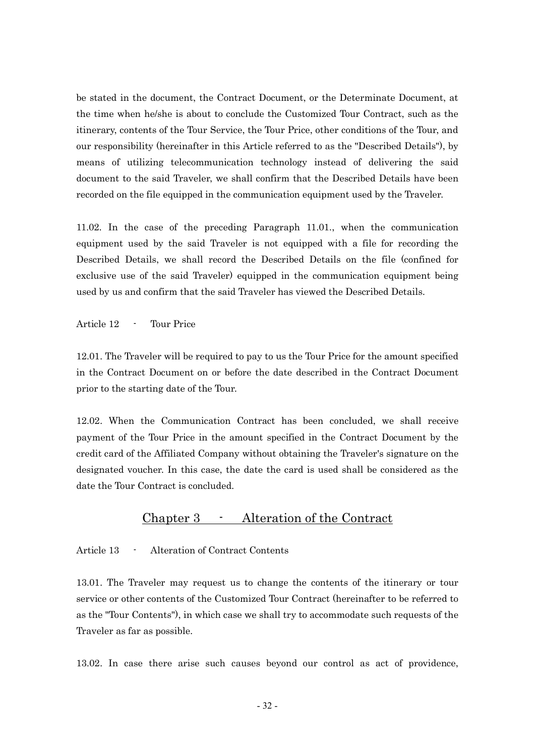be stated in the document, the Contract Document, or the Determinate Document, at the time when he/she is about to conclude the Customized Tour Contract, such as the itinerary, contents of the Tour Service, the Tour Price, other conditions of the Tour, and our responsibility (hereinafter in this Article referred to as the "Described Details"), by means of utilizing telecommunication technology instead of delivering the said document to the said Traveler, we shall confirm that the Described Details have been recorded on the file equipped in the communication equipment used by the Traveler.

11.02. In the case of the preceding Paragraph 11.01., when the communication equipment used by the said Traveler is not equipped with a file for recording the Described Details, we shall record the Described Details on the file (confined for exclusive use of the said Traveler) equipped in the communication equipment being used by us and confirm that the said Traveler has viewed the Described Details.

Article 12 - Tour Price

12.01. The Traveler will be required to pay to us the Tour Price for the amount specified in the Contract Document on or before the date described in the Contract Document prior to the starting date of the Tour.

12.02. When the Communication Contract has been concluded, we shall receive payment of the Tour Price in the amount specified in the Contract Document by the credit card of the Affiliated Company without obtaining the Traveler's signature on the designated voucher. In this case, the date the card is used shall be considered as the date the Tour Contract is concluded.

### Chapter 3 - Alteration of the Contract

Article 13 - Alteration of Contract Contents

13.01. The Traveler may request us to change the contents of the itinerary or tour service or other contents of the Customized Tour Contract (hereinafter to be referred to as the "Tour Contents"), in which case we shall try to accommodate such requests of the Traveler as far as possible.

13.02. In case there arise such causes beyond our control as act of providence,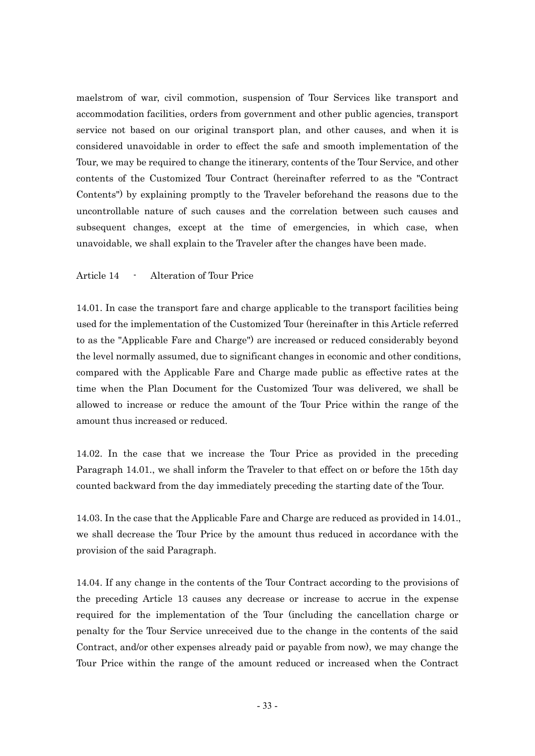maelstrom of war, civil commotion, suspension of Tour Services like transport and accommodation facilities, orders from government and other public agencies, transport service not based on our original transport plan, and other causes, and when it is considered unavoidable in order to effect the safe and smooth implementation of the Tour, we may be required to change the itinerary, contents of the Tour Service, and other contents of the Customized Tour Contract (hereinafter referred to as the "Contract Contents") by explaining promptly to the Traveler beforehand the reasons due to the uncontrollable nature of such causes and the correlation between such causes and subsequent changes, except at the time of emergencies, in which case, when unavoidable, we shall explain to the Traveler after the changes have been made.

#### Article 14 - Alteration of Tour Price

14.01. In case the transport fare and charge applicable to the transport facilities being used for the implementation of the Customized Tour (hereinafter in this Article referred to as the "Applicable Fare and Charge") are increased or reduced considerably beyond the level normally assumed, due to significant changes in economic and other conditions, compared with the Applicable Fare and Charge made public as effective rates at the time when the Plan Document for the Customized Tour was delivered, we shall be allowed to increase or reduce the amount of the Tour Price within the range of the amount thus increased or reduced.

14.02. In the case that we increase the Tour Price as provided in the preceding Paragraph 14.01., we shall inform the Traveler to that effect on or before the 15th day counted backward from the day immediately preceding the starting date of the Tour.

14.03. In the case that the Applicable Fare and Charge are reduced as provided in 14.01., we shall decrease the Tour Price by the amount thus reduced in accordance with the provision of the said Paragraph.

14.04. If any change in the contents of the Tour Contract according to the provisions of the preceding Article 13 causes any decrease or increase to accrue in the expense required for the implementation of the Tour (including the cancellation charge or penalty for the Tour Service unreceived due to the change in the contents of the said Contract, and/or other expenses already paid or payable from now), we may change the Tour Price within the range of the amount reduced or increased when the Contract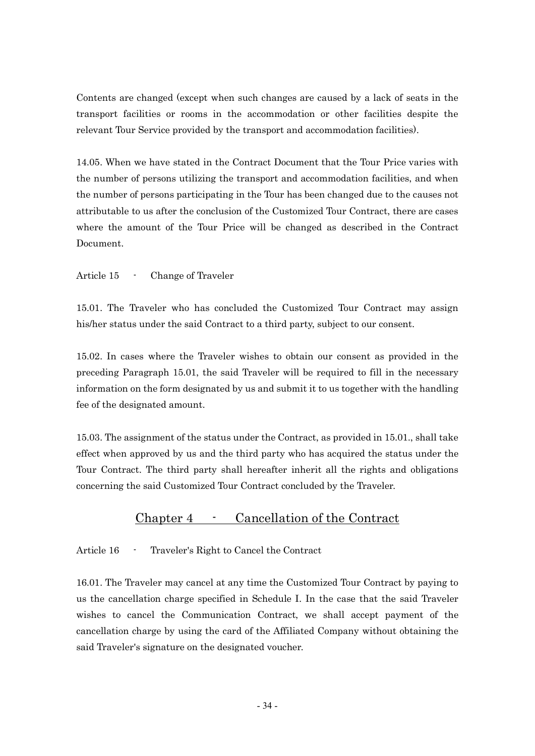Contents are changed (except when such changes are caused by a lack of seats in the transport facilities or rooms in the accommodation or other facilities despite the relevant Tour Service provided by the transport and accommodation facilities).

14.05. When we have stated in the Contract Document that the Tour Price varies with the number of persons utilizing the transport and accommodation facilities, and when the number of persons participating in the Tour has been changed due to the causes not attributable to us after the conclusion of the Customized Tour Contract, there are cases where the amount of the Tour Price will be changed as described in the Contract Document.

Article 15 - Change of Traveler

15.01. The Traveler who has concluded the Customized Tour Contract may assign his/her status under the said Contract to a third party, subject to our consent.

15.02. In cases where the Traveler wishes to obtain our consent as provided in the preceding Paragraph 15.01, the said Traveler will be required to fill in the necessary information on the form designated by us and submit it to us together with the handling fee of the designated amount.

15.03. The assignment of the status under the Contract, as provided in 15.01., shall take effect when approved by us and the third party who has acquired the status under the Tour Contract. The third party shall hereafter inherit all the rights and obligations concerning the said Customized Tour Contract concluded by the Traveler.

### Chapter 4 - Cancellation of the Contract

Article 16 - Traveler's Right to Cancel the Contract

16.01. The Traveler may cancel at any time the Customized Tour Contract by paying to us the cancellation charge specified in Schedule I. In the case that the said Traveler wishes to cancel the Communication Contract, we shall accept payment of the cancellation charge by using the card of the Affiliated Company without obtaining the said Traveler's signature on the designated voucher.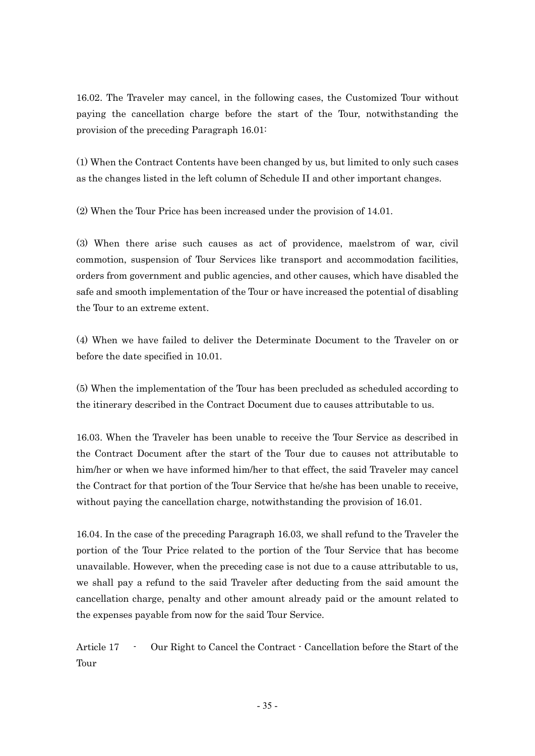16.02. The Traveler may cancel, in the following cases, the Customized Tour without paying the cancellation charge before the start of the Tour, notwithstanding the provision of the preceding Paragraph 16.01:

(1) When the Contract Contents have been changed by us, but limited to only such cases as the changes listed in the left column of Schedule II and other important changes.

(2) When the Tour Price has been increased under the provision of 14.01.

(3) When there arise such causes as act of providence, maelstrom of war, civil commotion, suspension of Tour Services like transport and accommodation facilities, orders from government and public agencies, and other causes, which have disabled the safe and smooth implementation of the Tour or have increased the potential of disabling the Tour to an extreme extent.

(4) When we have failed to deliver the Determinate Document to the Traveler on or before the date specified in 10.01.

(5) When the implementation of the Tour has been precluded as scheduled according to the itinerary described in the Contract Document due to causes attributable to us.

16.03. When the Traveler has been unable to receive the Tour Service as described in the Contract Document after the start of the Tour due to causes not attributable to him/her or when we have informed him/her to that effect, the said Traveler may cancel the Contract for that portion of the Tour Service that he/she has been unable to receive, without paying the cancellation charge, notwithstanding the provision of 16.01.

16.04. In the case of the preceding Paragraph 16.03, we shall refund to the Traveler the portion of the Tour Price related to the portion of the Tour Service that has become unavailable. However, when the preceding case is not due to a cause attributable to us, we shall pay a refund to the said Traveler after deducting from the said amount the cancellation charge, penalty and other amount already paid or the amount related to the expenses payable from now for the said Tour Service.

Article 17 - Our Right to Cancel the Contract - Cancellation before the Start of the Tour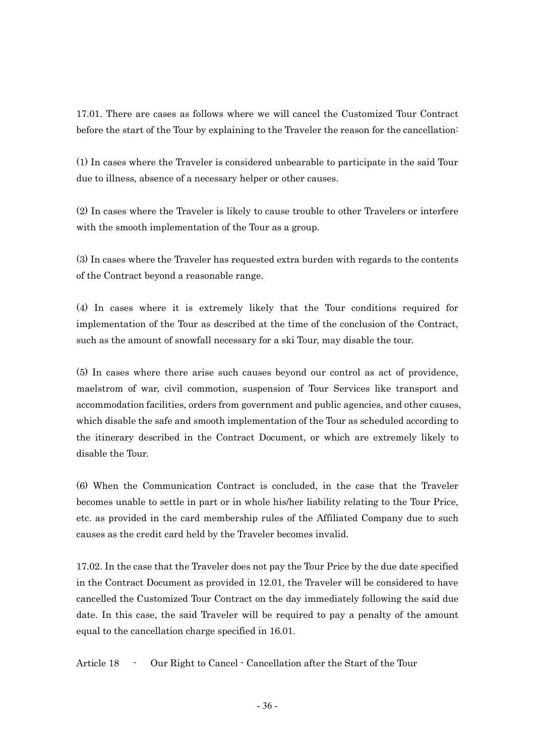17.01. There are cases as follows where we will cancel the Customized Tour Contract before the start of the Tour by explaining to the Traveler the reason for the cancellation:

(1) In cases where the Traveler is considered unbearable to participate in the said Tour due to illness, absence of a necessary helper or other causes.

(2) In cases where the Traveler is likely to cause trouble to other Travelers or interfere with the smooth implementation of the Tour as a group.

(3) In cases where the Traveler has requested extra burden with regards to the contents of the Contract beyond a reasonable range.

(4) In cases where it is extremely likely that the Tour conditions required for implementation of the Tour as described at the time of the conclusion of the Contract, such as the amount of snowfall necessary for a ski Tour, may disable the tour.

(5) In cases where there arise such causes beyond our control as act of providence, maelstrom of war, civil commotion, suspension of Tour Services like transport and accommodation facilities, orders from government and public agencies, and other causes, which disable the safe and smooth implementation of the Tour as scheduled according to the itinerary described in the Contract Document, or which are extremely likely to disable the Tour.

(6) When the Communication Contract is concluded, in the case that the Traveler becomes unable to settle in part or in whole his/her liability relating to the Tour Price, etc. as provided in the card membership rules of the Affiliated Company due to such causes as the credit card held by the Traveler becomes invalid.

17.02. In the case that the Traveler does not pay the Tour Price by the due date specified in the Contract Document as provided in 12.01, the Traveler will be considered to have cancelled the Customized Tour Contract on the day immediately following the said due date. In this case, the said Traveler will be required to pay a penalty of the amount equal to the cancellation charge specified in 16.01.

Article 18 - Our Right to Cancel - Cancellation after the Start of the Tour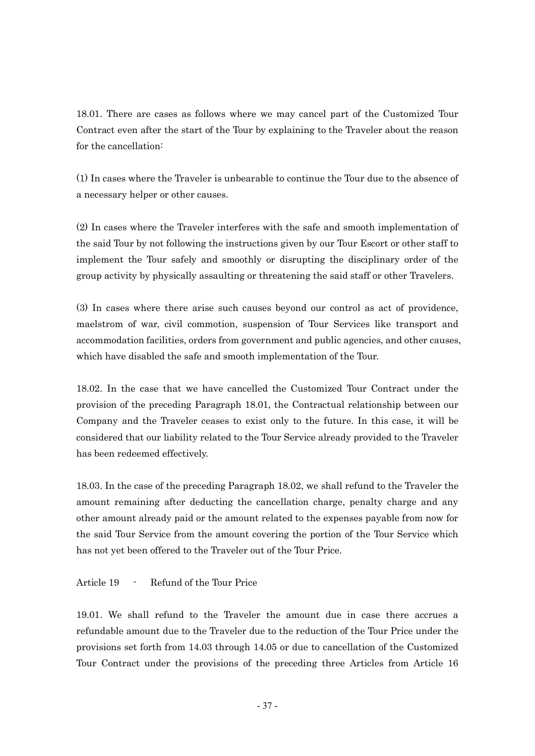18.01. There are cases as follows where we may cancel part of the Customized Tour Contract even after the start of the Tour by explaining to the Traveler about the reason for the cancellation:

(1) In cases where the Traveler is unbearable to continue the Tour due to the absence of a necessary helper or other causes.

(2) In cases where the Traveler interferes with the safe and smooth implementation of the said Tour by not following the instructions given by our Tour Escort or other staff to implement the Tour safely and smoothly or disrupting the disciplinary order of the group activity by physically assaulting or threatening the said staff or other Travelers.

(3) In cases where there arise such causes beyond our control as act of providence, maelstrom of war, civil commotion, suspension of Tour Services like transport and accommodation facilities, orders from government and public agencies, and other causes, which have disabled the safe and smooth implementation of the Tour.

18.02. In the case that we have cancelled the Customized Tour Contract under the provision of the preceding Paragraph 18.01, the Contractual relationship between our Company and the Traveler ceases to exist only to the future. In this case, it will be considered that our liability related to the Tour Service already provided to the Traveler has been redeemed effectively.

18.03. In the case of the preceding Paragraph 18.02, we shall refund to the Traveler the amount remaining after deducting the cancellation charge, penalty charge and any other amount already paid or the amount related to the expenses payable from now for the said Tour Service from the amount covering the portion of the Tour Service which has not yet been offered to the Traveler out of the Tour Price.

Article 19 - Refund of the Tour Price

19.01. We shall refund to the Traveler the amount due in case there accrues a refundable amount due to the Traveler due to the reduction of the Tour Price under the provisions set forth from 14.03 through 14.05 or due to cancellation of the Customized Tour Contract under the provisions of the preceding three Articles from Article 16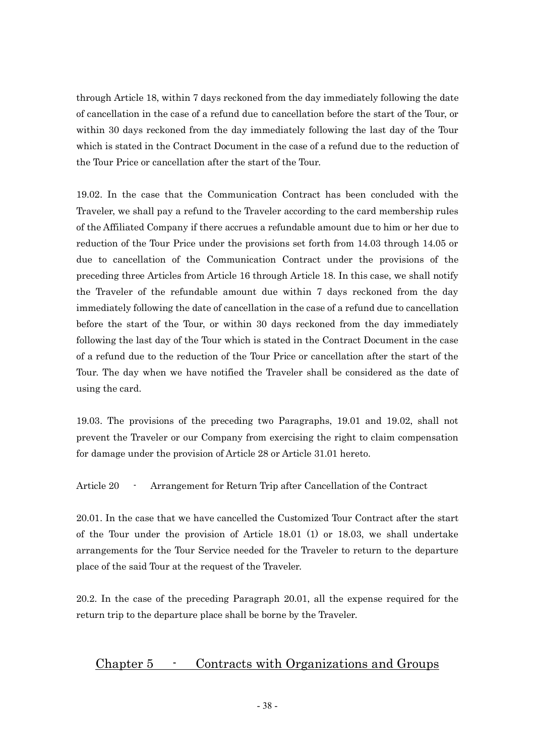through Article 18, within 7 days reckoned from the day immediately following the date of cancellation in the case of a refund due to cancellation before the start of the Tour, or within 30 days reckoned from the day immediately following the last day of the Tour which is stated in the Contract Document in the case of a refund due to the reduction of the Tour Price or cancellation after the start of the Tour.

19.02. In the case that the Communication Contract has been concluded with the Traveler, we shall pay a refund to the Traveler according to the card membership rules of the Affiliated Company if there accrues a refundable amount due to him or her due to reduction of the Tour Price under the provisions set forth from 14.03 through 14.05 or due to cancellation of the Communication Contract under the provisions of the preceding three Articles from Article 16 through Article 18. In this case, we shall notify the Traveler of the refundable amount due within 7 days reckoned from the day immediately following the date of cancellation in the case of a refund due to cancellation before the start of the Tour, or within 30 days reckoned from the day immediately following the last day of the Tour which is stated in the Contract Document in the case of a refund due to the reduction of the Tour Price or cancellation after the start of the Tour. The day when we have notified the Traveler shall be considered as the date of using the card.

19.03. The provisions of the preceding two Paragraphs, 19.01 and 19.02, shall not prevent the Traveler or our Company from exercising the right to claim compensation for damage under the provision of Article 28 or Article 31.01 hereto.

Article 20 - Arrangement for Return Trip after Cancellation of the Contract

20.01. In the case that we have cancelled the Customized Tour Contract after the start of the Tour under the provision of Article 18.01 (1) or 18.03, we shall undertake arrangements for the Tour Service needed for the Traveler to return to the departure place of the said Tour at the request of the Traveler.

20.2. In the case of the preceding Paragraph 20.01, all the expense required for the return trip to the departure place shall be borne by the Traveler.

### Chapter 5 - Contracts with Organizations and Groups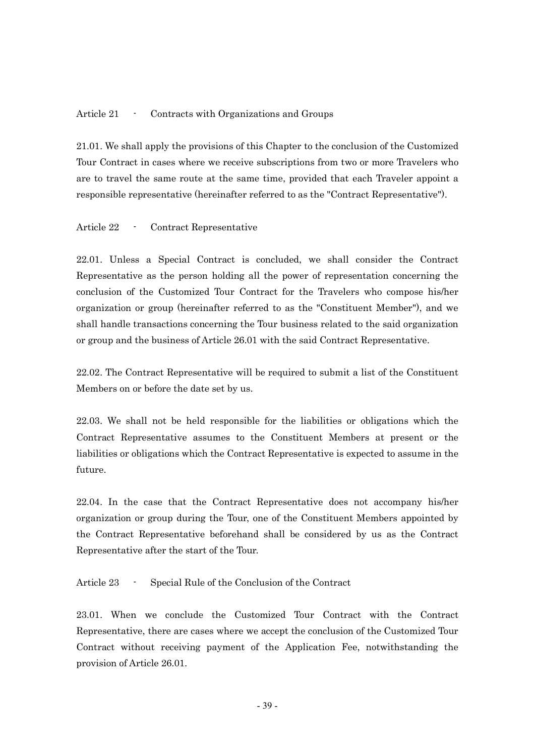#### Article 21 - Contracts with Organizations and Groups

21.01. We shall apply the provisions of this Chapter to the conclusion of the Customized Tour Contract in cases where we receive subscriptions from two or more Travelers who are to travel the same route at the same time, provided that each Traveler appoint a responsible representative (hereinafter referred to as the "Contract Representative").

#### Article 22 - Contract Representative

22.01. Unless a Special Contract is concluded, we shall consider the Contract Representative as the person holding all the power of representation concerning the conclusion of the Customized Tour Contract for the Travelers who compose his/her organization or group (hereinafter referred to as the "Constituent Member"), and we shall handle transactions concerning the Tour business related to the said organization or group and the business of Article 26.01 with the said Contract Representative.

22.02. The Contract Representative will be required to submit a list of the Constituent Members on or before the date set by us.

22.03. We shall not be held responsible for the liabilities or obligations which the Contract Representative assumes to the Constituent Members at present or the liabilities or obligations which the Contract Representative is expected to assume in the future.

22.04. In the case that the Contract Representative does not accompany his/her organization or group during the Tour, one of the Constituent Members appointed by the Contract Representative beforehand shall be considered by us as the Contract Representative after the start of the Tour.

Article 23 - Special Rule of the Conclusion of the Contract

23.01. When we conclude the Customized Tour Contract with the Contract Representative, there are cases where we accept the conclusion of the Customized Tour Contract without receiving payment of the Application Fee, notwithstanding the provision of Article 26.01.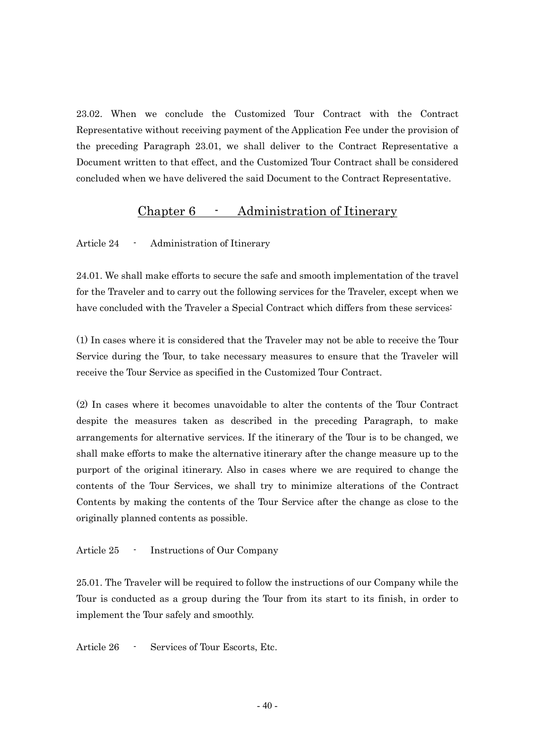23.02. When we conclude the Customized Tour Contract with the Contract Representative without receiving payment of the Application Fee under the provision of the preceding Paragraph 23.01, we shall deliver to the Contract Representative a Document written to that effect, and the Customized Tour Contract shall be considered concluded when we have delivered the said Document to the Contract Representative.

### Chapter 6 - Administration of Itinerary

Article 24 - Administration of Itinerary

24.01. We shall make efforts to secure the safe and smooth implementation of the travel for the Traveler and to carry out the following services for the Traveler, except when we have concluded with the Traveler a Special Contract which differs from these services:

(1) In cases where it is considered that the Traveler may not be able to receive the Tour Service during the Tour, to take necessary measures to ensure that the Traveler will receive the Tour Service as specified in the Customized Tour Contract.

(2) In cases where it becomes unavoidable to alter the contents of the Tour Contract despite the measures taken as described in the preceding Paragraph, to make arrangements for alternative services. If the itinerary of the Tour is to be changed, we shall make efforts to make the alternative itinerary after the change measure up to the purport of the original itinerary. Also in cases where we are required to change the contents of the Tour Services, we shall try to minimize alterations of the Contract Contents by making the contents of the Tour Service after the change as close to the originally planned contents as possible.

#### Article 25 - Instructions of Our Company

25.01. The Traveler will be required to follow the instructions of our Company while the Tour is conducted as a group during the Tour from its start to its finish, in order to implement the Tour safely and smoothly.

Article 26 - Services of Tour Escorts, Etc.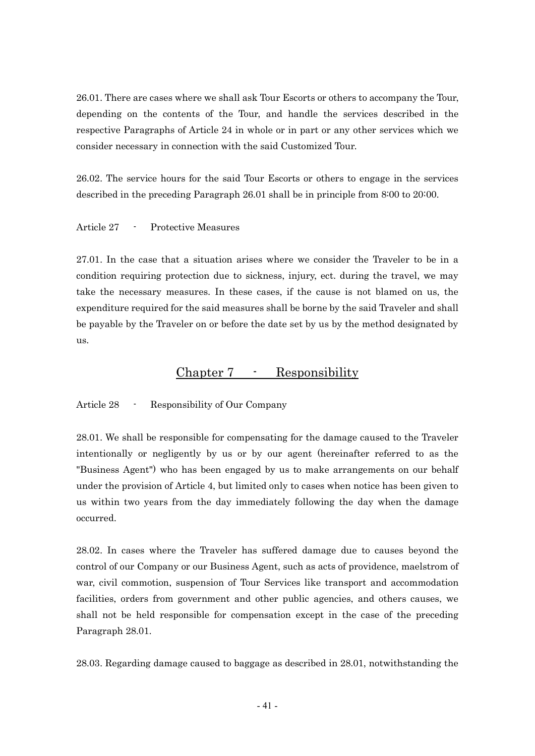26.01. There are cases where we shall ask Tour Escorts or others to accompany the Tour, depending on the contents of the Tour, and handle the services described in the respective Paragraphs of Article 24 in whole or in part or any other services which we consider necessary in connection with the said Customized Tour.

26.02. The service hours for the said Tour Escorts or others to engage in the services described in the preceding Paragraph 26.01 shall be in principle from 8:00 to 20:00.

#### Article 27 - Protective Measures

27.01. In the case that a situation arises where we consider the Traveler to be in a condition requiring protection due to sickness, injury, ect. during the travel, we may take the necessary measures. In these cases, if the cause is not blamed on us, the expenditure required for the said measures shall be borne by the said Traveler and shall be payable by the Traveler on or before the date set by us by the method designated by us.

### Chapter 7 - Responsibility

Article 28 - Responsibility of Our Company

28.01. We shall be responsible for compensating for the damage caused to the Traveler intentionally or negligently by us or by our agent (hereinafter referred to as the "Business Agent") who has been engaged by us to make arrangements on our behalf under the provision of Article 4, but limited only to cases when notice has been given to us within two years from the day immediately following the day when the damage occurred.

28.02. In cases where the Traveler has suffered damage due to causes beyond the control of our Company or our Business Agent, such as acts of providence, maelstrom of war, civil commotion, suspension of Tour Services like transport and accommodation facilities, orders from government and other public agencies, and others causes, we shall not be held responsible for compensation except in the case of the preceding Paragraph 28.01.

28.03. Regarding damage caused to baggage as described in 28.01, notwithstanding the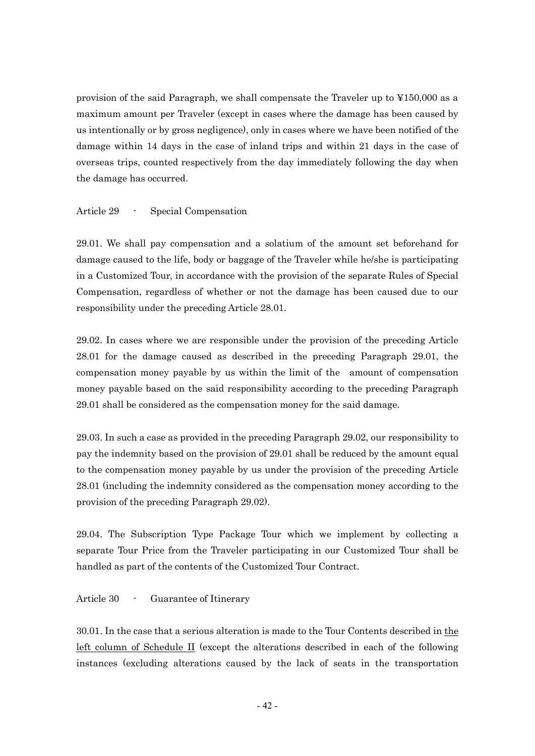provision of the said Paragraph, we shall compensate the Traveler up to ¥150,000 as a maximum amount per Traveler (except in cases where the damage has been caused by us intentionally or by gross negligence), only in cases where we have been notified of the damage within 14 days in the case of inland trips and within 21 days in the case of overseas trips, counted respectively from the day immediately following the day when the damage has occurred.

#### Article 29 - Special Compensation

29.01. We shall pay compensation and a solatium of the amount set beforehand for damage caused to the life, body or baggage of the Traveler while he/she is participating in a Customized Tour, in accordance with the provision of the separate Rules of Special Compensation, regardless of whether or not the damage has been caused due to our responsibility under the preceding Article 28.01.

29.02. In cases where we are responsible under the provision of the preceding Article 28.01 for the damage caused as described in the preceding Paragraph 29.01, the compensation money payable by us within the limit of the amount of compensation money payable based on the said responsibility according to the preceding Paragraph 29.01 shall be considered as the compensation money for the said damage.

29.03. In such a case as provided in the preceding Paragraph 29.02, our responsibility to pay the indemnity based on the provision of 29.01 shall be reduced by the amount equal to the compensation money payable by us under the provision of the preceding Article 28.01 (including the indemnity considered as the compensation money according to the provision of the preceding Paragraph 29.02).

29.04. The Subscription Type Package Tour which we implement by collecting a separate Tour Price from the Traveler participating in our Customized Tour shall be handled as part of the contents of the Customized Tour Contract.

Article 30 - Guarantee of Itinerary

30.01. In the case that a serious alteration is made to the Tour Contents described in the left column of Schedule II (except the alterations described in each of the following instances (excluding alterations caused by the lack of seats in the transportation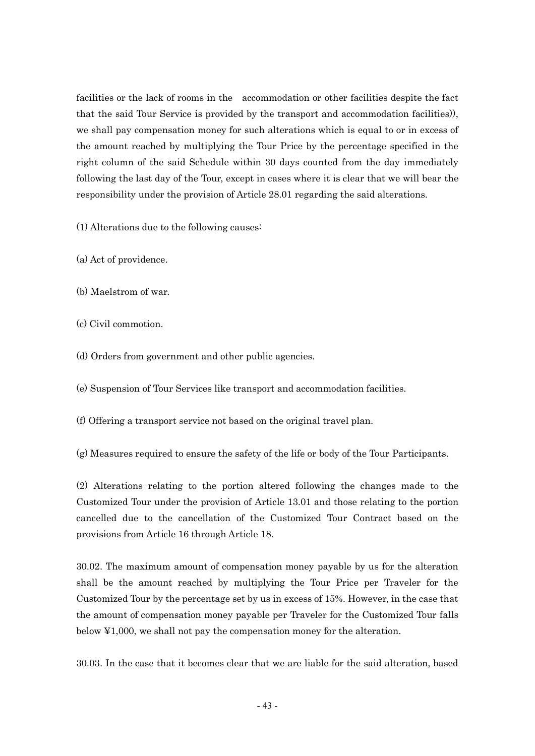facilities or the lack of rooms in the accommodation or other facilities despite the fact that the said Tour Service is provided by the transport and accommodation facilities)), we shall pay compensation money for such alterations which is equal to or in excess of the amount reached by multiplying the Tour Price by the percentage specified in the right column of the said Schedule within 30 days counted from the day immediately following the last day of the Tour, except in cases where it is clear that we will bear the responsibility under the provision of Article 28.01 regarding the said alterations.

(1) Alterations due to the following causes:

(a) Act of providence.

(b) Maelstrom of war.

(c) Civil commotion.

(d) Orders from government and other public agencies.

(e) Suspension of Tour Services like transport and accommodation facilities.

(f) Offering a transport service not based on the original travel plan.

(g) Measures required to ensure the safety of the life or body of the Tour Participants.

(2) Alterations relating to the portion altered following the changes made to the Customized Tour under the provision of Article 13.01 and those relating to the portion cancelled due to the cancellation of the Customized Tour Contract based on the provisions from Article 16 through Article 18.

30.02. The maximum amount of compensation money payable by us for the alteration shall be the amount reached by multiplying the Tour Price per Traveler for the Customized Tour by the percentage set by us in excess of 15%. However, in the case that the amount of compensation money payable per Traveler for the Customized Tour falls below ¥1,000, we shall not pay the compensation money for the alteration.

30.03. In the case that it becomes clear that we are liable for the said alteration, based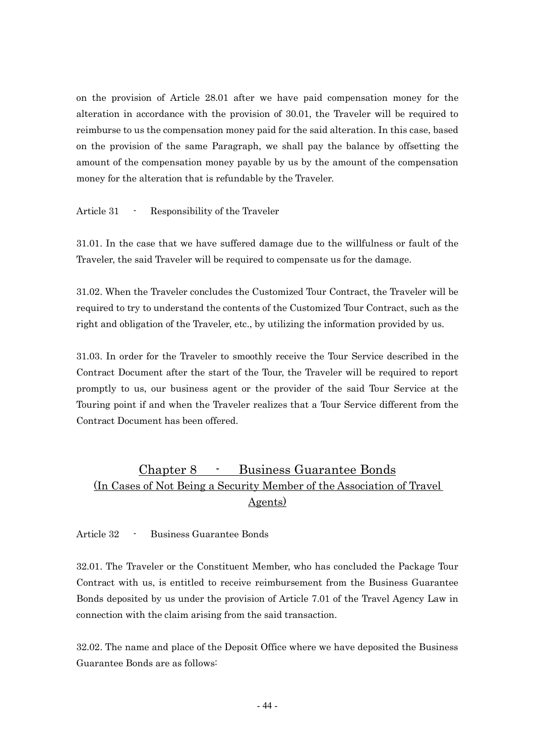on the provision of Article 28.01 after we have paid compensation money for the alteration in accordance with the provision of 30.01, the Traveler will be required to reimburse to us the compensation money paid for the said alteration. In this case, based on the provision of the same Paragraph, we shall pay the balance by offsetting the amount of the compensation money payable by us by the amount of the compensation money for the alteration that is refundable by the Traveler.

Article 31 - Responsibility of the Traveler

31.01. In the case that we have suffered damage due to the willfulness or fault of the Traveler, the said Traveler will be required to compensate us for the damage.

31.02. When the Traveler concludes the Customized Tour Contract, the Traveler will be required to try to understand the contents of the Customized Tour Contract, such as the right and obligation of the Traveler, etc., by utilizing the information provided by us.

31.03. In order for the Traveler to smoothly receive the Tour Service described in the Contract Document after the start of the Tour, the Traveler will be required to report promptly to us, our business agent or the provider of the said Tour Service at the Touring point if and when the Traveler realizes that a Tour Service different from the Contract Document has been offered.

### Chapter 8 - Business Guarantee Bonds (In Cases of Not Being a Security Member of the Association of Travel Agents)

Article 32 - Business Guarantee Bonds

32.01. The Traveler or the Constituent Member, who has concluded the Package Tour Contract with us, is entitled to receive reimbursement from the Business Guarantee Bonds deposited by us under the provision of Article 7.01 of the Travel Agency Law in connection with the claim arising from the said transaction.

32.02. The name and place of the Deposit Office where we have deposited the Business Guarantee Bonds are as follows: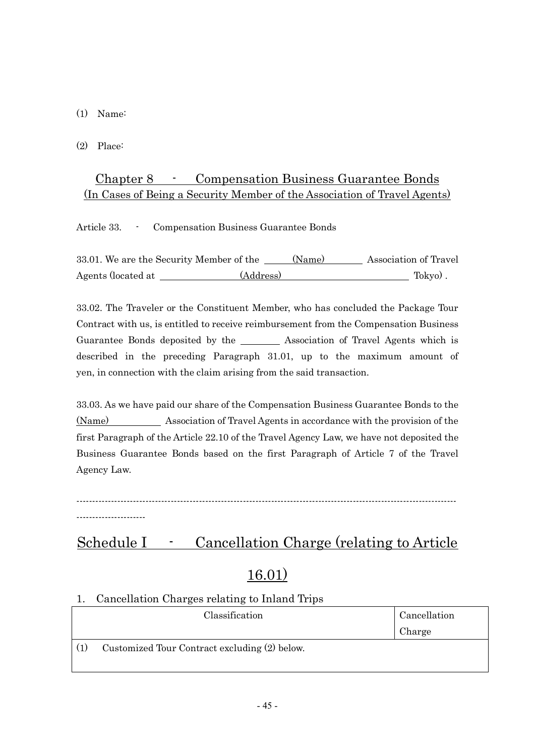(1) Name:

(2) Place:

### Chapter 8 - Compensation Business Guarantee Bonds (In Cases of Being a Security Member of the Association of Travel Agents)

Article 33. - Compensation Business Guarantee Bonds

33.01. We are the Security Member of the (Name) Association of Travel Agents (located at (Address) Tokyo) .

33.02. The Traveler or the Constituent Member, who has concluded the Package Tour Contract with us, is entitled to receive reimbursement from the Compensation Business Guarantee Bonds deposited by the Association of Travel Agents which is described in the preceding Paragraph 31.01, up to the maximum amount of yen, in connection with the claim arising from the said transaction.

33.03. As we have paid our share of the Compensation Business Guarantee Bonds to the (Name) Association of Travel Agents in accordance with the provision of the first Paragraph of the Article 22.10 of the Travel Agency Law, we have not deposited the Business Guarantee Bonds based on the first Paragraph of Article 7 of the Travel Agency Law.

-------------------------------------------------------------------------------------------------------------------------

----------------------

## Schedule I - Cancellation Charge (relating to Article

## 16.01)

### 1. Cancellation Charges relating to Inland Trips

| Classification |                                               | Cancellation |  |
|----------------|-----------------------------------------------|--------------|--|
|                |                                               | Charge       |  |
|                | Customized Tour Contract excluding (2) below. |              |  |
|                |                                               |              |  |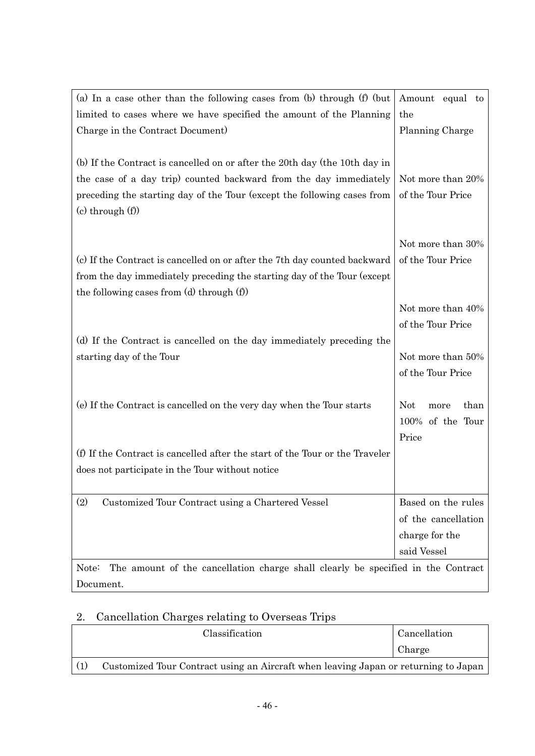| (a) In a case other than the following cases from (b) through $(f)$ (but                  | Amount equal to            |
|-------------------------------------------------------------------------------------------|----------------------------|
| limited to cases where we have specified the amount of the Planning                       | the                        |
| Charge in the Contract Document)                                                          | Planning Charge            |
|                                                                                           |                            |
| (b) If the Contract is cancelled on or after the 20th day (the 10th day in                |                            |
| the case of a day trip) counted backward from the day immediately                         | Not more than 20%          |
| preceding the starting day of the Tour (except the following cases from                   | of the Tour Price          |
| $(c)$ through $(f)$                                                                       |                            |
|                                                                                           |                            |
|                                                                                           | Not more than 30%          |
| (c) If the Contract is cancelled on or after the 7th day counted backward                 | of the Tour Price          |
| from the day immediately preceding the starting day of the Tour (except                   |                            |
| the following cases from $(d)$ through $(f)$                                              |                            |
|                                                                                           | Not more than 40%          |
|                                                                                           | of the Tour Price          |
| (d) If the Contract is cancelled on the day immediately preceding the                     |                            |
| starting day of the Tour                                                                  | Not more than 50%          |
|                                                                                           | of the Tour Price          |
|                                                                                           |                            |
| (e) If the Contract is cancelled on the very day when the Tour starts                     | <b>Not</b><br>than<br>more |
|                                                                                           | 100% of the Tour           |
|                                                                                           | Price                      |
| (f) If the Contract is cancelled after the start of the Tour or the Traveler              |                            |
| does not participate in the Tour without notice                                           |                            |
|                                                                                           |                            |
| (2)<br>Customized Tour Contract using a Chartered Vessel                                  | Based on the rules         |
|                                                                                           | of the cancellation        |
|                                                                                           | charge for the             |
|                                                                                           | said Vessel                |
| The amount of the cancellation charge shall clearly be specified in the Contract<br>Note: |                            |
| Document.                                                                                 |                            |

## 2. Cancellation Charges relating to Overseas Trips

| Classification |                                                                                     | Cancellation |  |
|----------------|-------------------------------------------------------------------------------------|--------------|--|
|                |                                                                                     | Charge       |  |
|                | Customized Tour Contract using an Aircraft when leaving Japan or returning to Japan |              |  |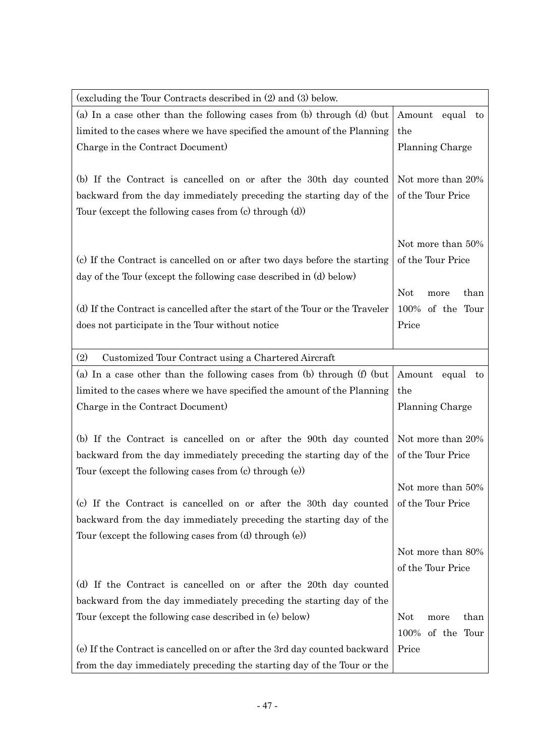| (excluding the Tour Contracts described in (2) and (3) below.                                                                            |                            |  |  |
|------------------------------------------------------------------------------------------------------------------------------------------|----------------------------|--|--|
| (a) In a case other than the following cases from (b) through (d) (but                                                                   | Amount<br>equal to         |  |  |
| limited to the cases where we have specified the amount of the Planning                                                                  | the                        |  |  |
| Charge in the Contract Document)                                                                                                         | Planning Charge            |  |  |
|                                                                                                                                          |                            |  |  |
| (b) If the Contract is cancelled on or after the 30th day counted                                                                        | Not more than 20%          |  |  |
| backward from the day immediately preceding the starting day of the                                                                      | of the Tour Price          |  |  |
| Tour (except the following cases from $(c)$ through $(d)$ )                                                                              |                            |  |  |
|                                                                                                                                          |                            |  |  |
|                                                                                                                                          | Not more than 50%          |  |  |
| (c) If the Contract is cancelled on or after two days before the starting                                                                | of the Tour Price          |  |  |
| day of the Tour (except the following case described in (d) below)                                                                       |                            |  |  |
|                                                                                                                                          | <b>Not</b><br>than<br>more |  |  |
| (d) If the Contract is cancelled after the start of the Tour or the Traveler                                                             | 100%<br>of the Tour        |  |  |
| does not participate in the Tour without notice                                                                                          | Price                      |  |  |
|                                                                                                                                          |                            |  |  |
| (2)<br>Customized Tour Contract using a Chartered Aircraft                                                                               |                            |  |  |
| (a) In a case other than the following cases from (b) through $(f)$ (but                                                                 | Amount equal<br>to         |  |  |
| limited to the cases where we have specified the amount of the Planning                                                                  | the                        |  |  |
| Charge in the Contract Document)                                                                                                         | Planning Charge            |  |  |
|                                                                                                                                          | Not more than 20%          |  |  |
| (b) If the Contract is cancelled on or after the 90th day counted<br>backward from the day immediately preceding the starting day of the | of the Tour Price          |  |  |
| Tour (except the following cases from $(c)$ through $(e)$ )                                                                              |                            |  |  |
|                                                                                                                                          | Not more than 50%          |  |  |
| (c) If the Contract is cancelled on or after the 30th day counted                                                                        | of the Tour Price          |  |  |
| backward from the day immediately preceding the starting day of the                                                                      |                            |  |  |
| Tour (except the following cases from $(d)$ through $(e)$ )                                                                              |                            |  |  |
|                                                                                                                                          | Not more than 80%          |  |  |
|                                                                                                                                          | of the Tour Price          |  |  |
| (d) If the Contract is cancelled on or after the 20th day counted                                                                        |                            |  |  |
| backward from the day immediately preceding the starting day of the                                                                      |                            |  |  |
| Tour (except the following case described in (e) below)                                                                                  | <b>Not</b><br>than<br>more |  |  |
|                                                                                                                                          | 100%<br>of the<br>Tour     |  |  |
| (e) If the Contract is cancelled on or after the 3rd day counted backward                                                                | Price                      |  |  |
| from the day immediately preceding the starting day of the Tour or the                                                                   |                            |  |  |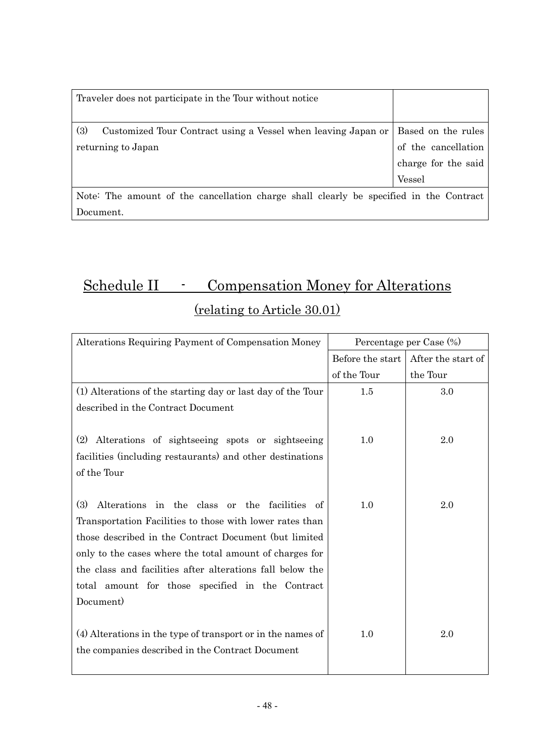| Traveler does not participate in the Tour without notice                                   |                                           |  |  |  |
|--------------------------------------------------------------------------------------------|-------------------------------------------|--|--|--|
| (3)<br>Customized Tour Contract using a Vessel when leaving Japan or<br>returning to Japan | Based on the rules<br>of the cancellation |  |  |  |
|                                                                                            | charge for the said<br><b>Vessel</b>      |  |  |  |
| Note: The amount of the cancellation charge shall clearly be specified in the Contract     |                                           |  |  |  |

Document.

# Schedule II - Compensation Money for Alterations (relating to Article 30.01)

| Alterations Requiring Payment of Compensation Money         | Percentage per Case (%) |                    |  |
|-------------------------------------------------------------|-------------------------|--------------------|--|
|                                                             | Before the start        | After the start of |  |
|                                                             | of the Tour             | the Tour           |  |
| (1) Alterations of the starting day or last day of the Tour | $1.5\,$                 | 3.0                |  |
| described in the Contract Document                          |                         |                    |  |
|                                                             |                         |                    |  |
| Alterations of sightseeing spots or sightseeing<br>(2)      | 1.0                     | 2.0                |  |
| facilities (including restaurants) and other destinations   |                         |                    |  |
| of the Tour                                                 |                         |                    |  |
|                                                             |                         |                    |  |
| (3)<br>Alterations in the class or the facilities of        | 1.0                     | 2.0                |  |
| Transportation Facilities to those with lower rates than    |                         |                    |  |
| those described in the Contract Document (but limited       |                         |                    |  |
| only to the cases where the total amount of charges for     |                         |                    |  |
| the class and facilities after alterations fall below the   |                         |                    |  |
| total amount for those specified in the Contract            |                         |                    |  |
| Document)                                                   |                         |                    |  |
|                                                             |                         |                    |  |
| (4) Alterations in the type of transport or in the names of | 1.0                     | 2.0                |  |
| the companies described in the Contract Document            |                         |                    |  |
|                                                             |                         |                    |  |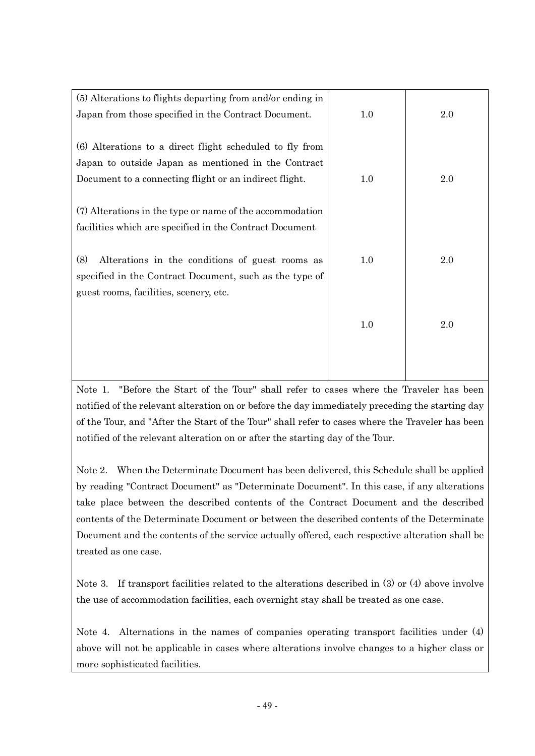| (5) Alterations to flights departing from and/or ending in |         |     |
|------------------------------------------------------------|---------|-----|
| Japan from those specified in the Contract Document.       | $1.0\,$ | 2.0 |
|                                                            |         |     |
| (6) Alterations to a direct flight scheduled to fly from   |         |     |
| Japan to outside Japan as mentioned in the Contract        |         |     |
| Document to a connecting flight or an indirect flight.     | 1.0     | 2.0 |
|                                                            |         |     |
| (7) Alterations in the type or name of the accommodation   |         |     |
| facilities which are specified in the Contract Document    |         |     |
|                                                            |         |     |
| (8)<br>Alterations in the conditions of guest rooms as     | 1.0     | 2.0 |
| specified in the Contract Document, such as the type of    |         |     |
| guest rooms, facilities, scenery, etc.                     |         |     |
|                                                            |         |     |
|                                                            | 1.0     | 2.0 |
|                                                            |         |     |
|                                                            |         |     |
|                                                            |         |     |

Note 1. "Before the Start of the Tour" shall refer to cases where the Traveler has been notified of the relevant alteration on or before the day immediately preceding the starting day of the Tour, and "After the Start of the Tour" shall refer to cases where the Traveler has been notified of the relevant alteration on or after the starting day of the Tour.

Note 2. When the Determinate Document has been delivered, this Schedule shall be applied by reading "Contract Document" as "Determinate Document". In this case, if any alterations take place between the described contents of the Contract Document and the described contents of the Determinate Document or between the described contents of the Determinate Document and the contents of the service actually offered, each respective alteration shall be treated as one case.

Note 3. If transport facilities related to the alterations described in (3) or (4) above involve the use of accommodation facilities, each overnight stay shall be treated as one case.

Note 4. Alternations in the names of companies operating transport facilities under (4) above will not be applicable in cases where alterations involve changes to a higher class or more sophisticated facilities.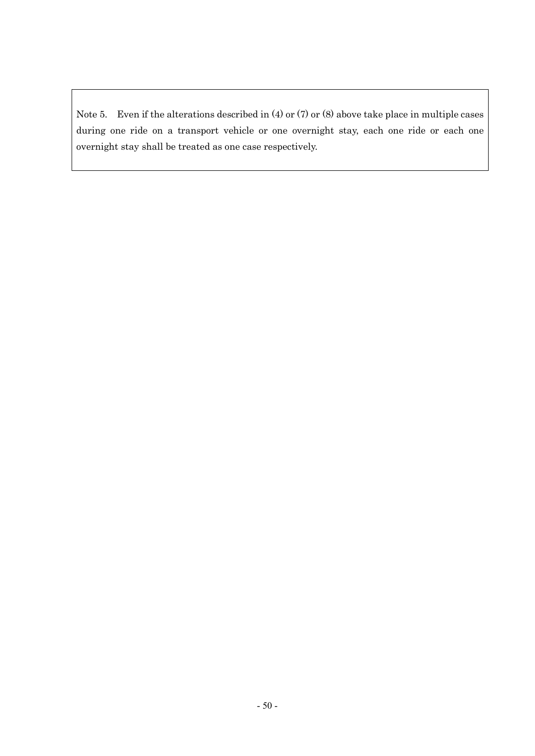Note 5. Even if the alterations described in (4) or (7) or (8) above take place in multiple cases during one ride on a transport vehicle or one overnight stay, each one ride or each one overnight stay shall be treated as one case respectively.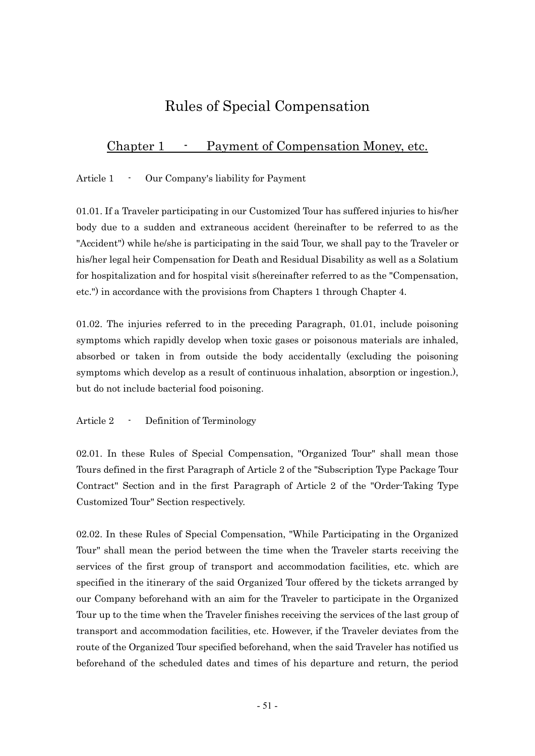## Rules of Special Compensation

### Chapter 1 - Payment of Compensation Money, etc.

Article 1 - Our Company's liability for Payment

01.01. If a Traveler participating in our Customized Tour has suffered injuries to his/her body due to a sudden and extraneous accident (hereinafter to be referred to as the "Accident") while he/she is participating in the said Tour, we shall pay to the Traveler or his/her legal heir Compensation for Death and Residual Disability as well as a Solatium for hospitalization and for hospital visit s(hereinafter referred to as the "Compensation, etc.") in accordance with the provisions from Chapters 1 through Chapter 4.

01.02. The injuries referred to in the preceding Paragraph, 01.01, include poisoning symptoms which rapidly develop when toxic gases or poisonous materials are inhaled, absorbed or taken in from outside the body accidentally (excluding the poisoning symptoms which develop as a result of continuous inhalation, absorption or ingestion.), but do not include bacterial food poisoning.

Article 2 - Definition of Terminology

02.01. In these Rules of Special Compensation, "Organized Tour" shall mean those Tours defined in the first Paragraph of Article 2 of the "Subscription Type Package Tour Contract" Section and in the first Paragraph of Article 2 of the "Order-Taking Type Customized Tour" Section respectively.

02.02. In these Rules of Special Compensation, "While Participating in the Organized Tour" shall mean the period between the time when the Traveler starts receiving the services of the first group of transport and accommodation facilities, etc. which are specified in the itinerary of the said Organized Tour offered by the tickets arranged by our Company beforehand with an aim for the Traveler to participate in the Organized Tour up to the time when the Traveler finishes receiving the services of the last group of transport and accommodation facilities, etc. However, if the Traveler deviates from the route of the Organized Tour specified beforehand, when the said Traveler has notified us beforehand of the scheduled dates and times of his departure and return, the period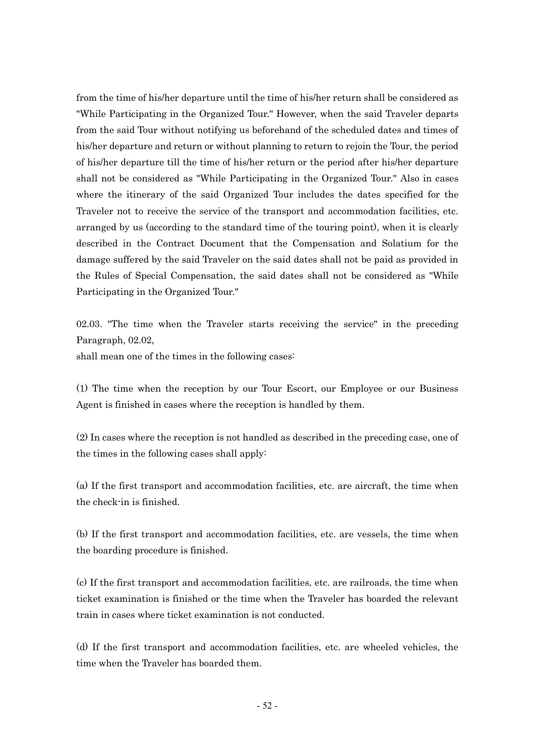from the time of his/her departure until the time of his/her return shall be considered as "While Participating in the Organized Tour." However, when the said Traveler departs from the said Tour without notifying us beforehand of the scheduled dates and times of his/her departure and return or without planning to return to rejoin the Tour, the period of his/her departure till the time of his/her return or the period after his/her departure shall not be considered as "While Participating in the Organized Tour." Also in cases where the itinerary of the said Organized Tour includes the dates specified for the Traveler not to receive the service of the transport and accommodation facilities, etc. arranged by us (according to the standard time of the touring point), when it is clearly described in the Contract Document that the Compensation and Solatium for the damage suffered by the said Traveler on the said dates shall not be paid as provided in the Rules of Special Compensation, the said dates shall not be considered as "While Participating in the Organized Tour."

02.03. "The time when the Traveler starts receiving the service" in the preceding Paragraph, 02.02,

shall mean one of the times in the following cases:

(1) The time when the reception by our Tour Escort, our Employee or our Business Agent is finished in cases where the reception is handled by them.

(2) In cases where the reception is not handled as described in the preceding case, one of the times in the following cases shall apply:

(a) If the first transport and accommodation facilities, etc. are aircraft, the time when the check-in is finished.

(b) If the first transport and accommodation facilities, etc. are vessels, the time when the boarding procedure is finished.

(c) If the first transport and accommodation facilities, etc. are railroads, the time when ticket examination is finished or the time when the Traveler has boarded the relevant train in cases where ticket examination is not conducted.

(d) If the first transport and accommodation facilities, etc. are wheeled vehicles, the time when the Traveler has boarded them.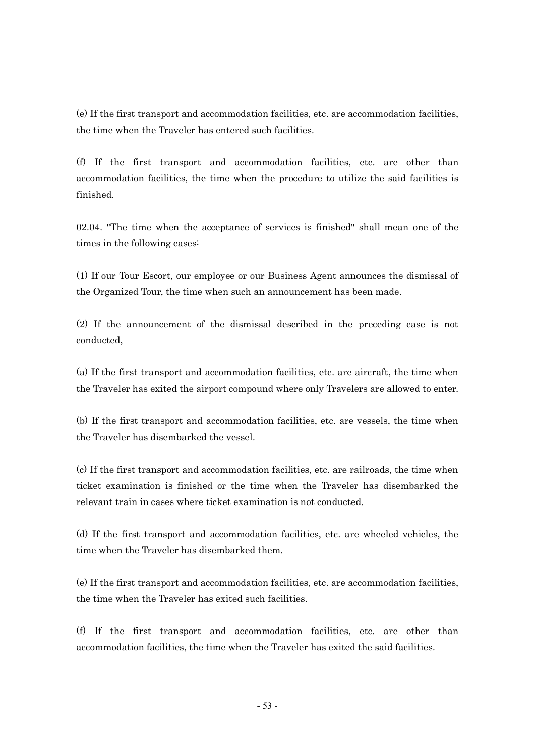(e) If the first transport and accommodation facilities, etc. are accommodation facilities, the time when the Traveler has entered such facilities.

(f) If the first transport and accommodation facilities, etc. are other than accommodation facilities, the time when the procedure to utilize the said facilities is finished.

02.04. "The time when the acceptance of services is finished" shall mean one of the times in the following cases:

(1) If our Tour Escort, our employee or our Business Agent announces the dismissal of the Organized Tour, the time when such an announcement has been made.

(2) If the announcement of the dismissal described in the preceding case is not conducted,

(a) If the first transport and accommodation facilities, etc. are aircraft, the time when the Traveler has exited the airport compound where only Travelers are allowed to enter.

(b) If the first transport and accommodation facilities, etc. are vessels, the time when the Traveler has disembarked the vessel.

(c) If the first transport and accommodation facilities, etc. are railroads, the time when ticket examination is finished or the time when the Traveler has disembarked the relevant train in cases where ticket examination is not conducted.

(d) If the first transport and accommodation facilities, etc. are wheeled vehicles, the time when the Traveler has disembarked them.

(e) If the first transport and accommodation facilities, etc. are accommodation facilities, the time when the Traveler has exited such facilities.

(f) If the first transport and accommodation facilities, etc. are other than accommodation facilities, the time when the Traveler has exited the said facilities.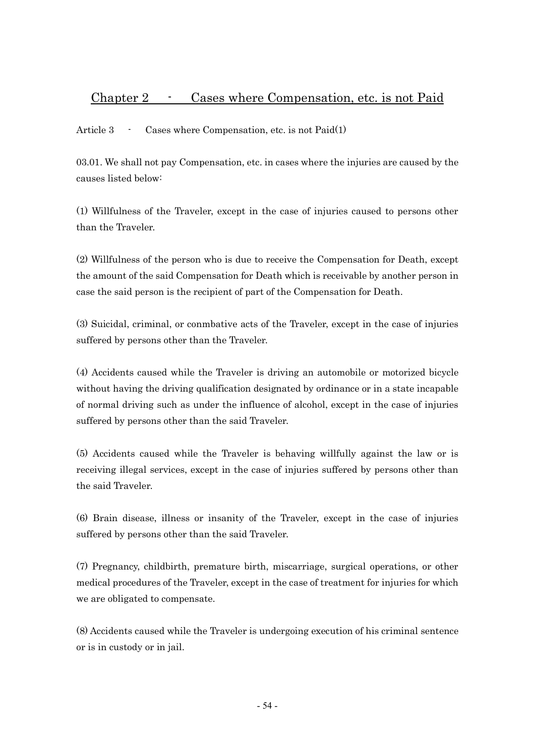### Chapter 2 - Cases where Compensation, etc. is not Paid

Article 3 - Cases where Compensation, etc. is not Paid(1)

03.01. We shall not pay Compensation, etc. in cases where the injuries are caused by the causes listed below:

(1) Willfulness of the Traveler, except in the case of injuries caused to persons other than the Traveler.

(2) Willfulness of the person who is due to receive the Compensation for Death, except the amount of the said Compensation for Death which is receivable by another person in case the said person is the recipient of part of the Compensation for Death.

(3) Suicidal, criminal, or conmbative acts of the Traveler, except in the case of injuries suffered by persons other than the Traveler.

(4) Accidents caused while the Traveler is driving an automobile or motorized bicycle without having the driving qualification designated by ordinance or in a state incapable of normal driving such as under the influence of alcohol, except in the case of injuries suffered by persons other than the said Traveler.

(5) Accidents caused while the Traveler is behaving willfully against the law or is receiving illegal services, except in the case of injuries suffered by persons other than the said Traveler.

(6) Brain disease, illness or insanity of the Traveler, except in the case of injuries suffered by persons other than the said Traveler.

(7) Pregnancy, childbirth, premature birth, miscarriage, surgical operations, or other medical procedures of the Traveler, except in the case of treatment for injuries for which we are obligated to compensate.

(8) Accidents caused while the Traveler is undergoing execution of his criminal sentence or is in custody or in jail.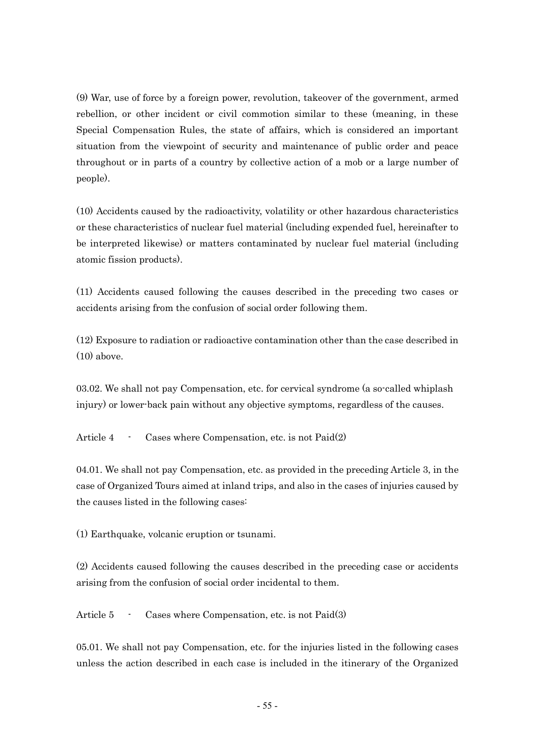(9) War, use of force by a foreign power, revolution, takeover of the government, armed rebellion, or other incident or civil commotion similar to these (meaning, in these Special Compensation Rules, the state of affairs, which is considered an important situation from the viewpoint of security and maintenance of public order and peace throughout or in parts of a country by collective action of a mob or a large number of people).

(10) Accidents caused by the radioactivity, volatility or other hazardous characteristics or these characteristics of nuclear fuel material (including expended fuel, hereinafter to be interpreted likewise) or matters contaminated by nuclear fuel material (including atomic fission products).

(11) Accidents caused following the causes described in the preceding two cases or accidents arising from the confusion of social order following them.

(12) Exposure to radiation or radioactive contamination other than the case described in (10) above.

03.02. We shall not pay Compensation, etc. for cervical syndrome (a so-called whiplash injury) or lower-back pain without any objective symptoms, regardless of the causes.

Article 4 - Cases where Compensation, etc. is not Paid(2)

04.01. We shall not pay Compensation, etc. as provided in the preceding Article 3, in the case of Organized Tours aimed at inland trips, and also in the cases of injuries caused by the causes listed in the following cases:

(1) Earthquake, volcanic eruption or tsunami.

(2) Accidents caused following the causes described in the preceding case or accidents arising from the confusion of social order incidental to them.

Article 5 - Cases where Compensation, etc. is not Paid(3)

05.01. We shall not pay Compensation, etc. for the injuries listed in the following cases unless the action described in each case is included in the itinerary of the Organized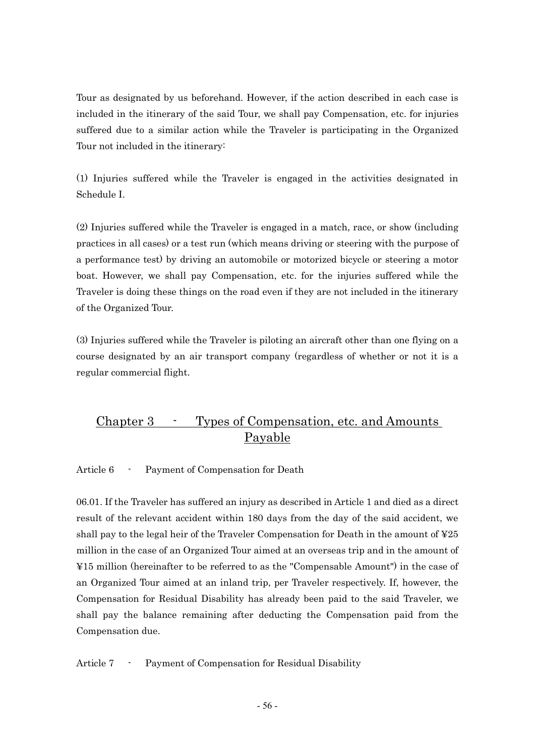Tour as designated by us beforehand. However, if the action described in each case is included in the itinerary of the said Tour, we shall pay Compensation, etc. for injuries suffered due to a similar action while the Traveler is participating in the Organized Tour not included in the itinerary:

(1) Injuries suffered while the Traveler is engaged in the activities designated in Schedule I.

(2) Injuries suffered while the Traveler is engaged in a match, race, or show (including practices in all cases) or a test run (which means driving or steering with the purpose of a performance test) by driving an automobile or motorized bicycle or steering a motor boat. However, we shall pay Compensation, etc. for the injuries suffered while the Traveler is doing these things on the road even if they are not included in the itinerary of the Organized Tour.

(3) Injuries suffered while the Traveler is piloting an aircraft other than one flying on a course designated by an air transport company (regardless of whether or not it is a regular commercial flight.

### Chapter 3 - Types of Compensation, etc. and Amounts Payable

Article 6 - Payment of Compensation for Death

06.01. If the Traveler has suffered an injury as described in Article 1 and died as a direct result of the relevant accident within 180 days from the day of the said accident, we shall pay to the legal heir of the Traveler Compensation for Death in the amount of  $\text{\textless}25$ million in the case of an Organized Tour aimed at an overseas trip and in the amount of ¥15 million (hereinafter to be referred to as the "Compensable Amount") in the case of an Organized Tour aimed at an inland trip, per Traveler respectively. If, however, the Compensation for Residual Disability has already been paid to the said Traveler, we shall pay the balance remaining after deducting the Compensation paid from the Compensation due.

Article 7 - Payment of Compensation for Residual Disability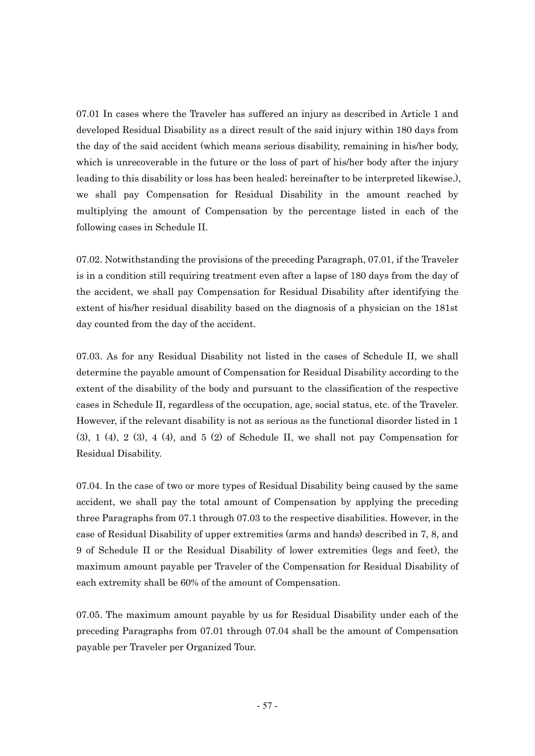07.01 In cases where the Traveler has suffered an injury as described in Article 1 and developed Residual Disability as a direct result of the said injury within 180 days from the day of the said accident (which means serious disability, remaining in his/her body, which is unrecoverable in the future or the loss of part of his/her body after the injury leading to this disability or loss has been healed; hereinafter to be interpreted likewise.), we shall pay Compensation for Residual Disability in the amount reached by multiplying the amount of Compensation by the percentage listed in each of the following cases in Schedule II.

07.02. Notwithstanding the provisions of the preceding Paragraph, 07.01, if the Traveler is in a condition still requiring treatment even after a lapse of 180 days from the day of the accident, we shall pay Compensation for Residual Disability after identifying the extent of his/her residual disability based on the diagnosis of a physician on the 181st day counted from the day of the accident.

07.03. As for any Residual Disability not listed in the cases of Schedule II, we shall determine the payable amount of Compensation for Residual Disability according to the extent of the disability of the body and pursuant to the classification of the respective cases in Schedule II, regardless of the occupation, age, social status, etc. of the Traveler. However, if the relevant disability is not as serious as the functional disorder listed in 1  $(3)$ ,  $1$   $(4)$ ,  $2$   $(3)$ ,  $4$   $(4)$ , and  $5$   $(2)$  of Schedule II, we shall not pay Compensation for Residual Disability.

07.04. In the case of two or more types of Residual Disability being caused by the same accident, we shall pay the total amount of Compensation by applying the preceding three Paragraphs from 07.1 through 07.03 to the respective disabilities. However, in the case of Residual Disability of upper extremities (arms and hands) described in 7, 8, and 9 of Schedule II or the Residual Disability of lower extremities (legs and feet), the maximum amount payable per Traveler of the Compensation for Residual Disability of each extremity shall be 60% of the amount of Compensation.

07.05. The maximum amount payable by us for Residual Disability under each of the preceding Paragraphs from 07.01 through 07.04 shall be the amount of Compensation payable per Traveler per Organized Tour.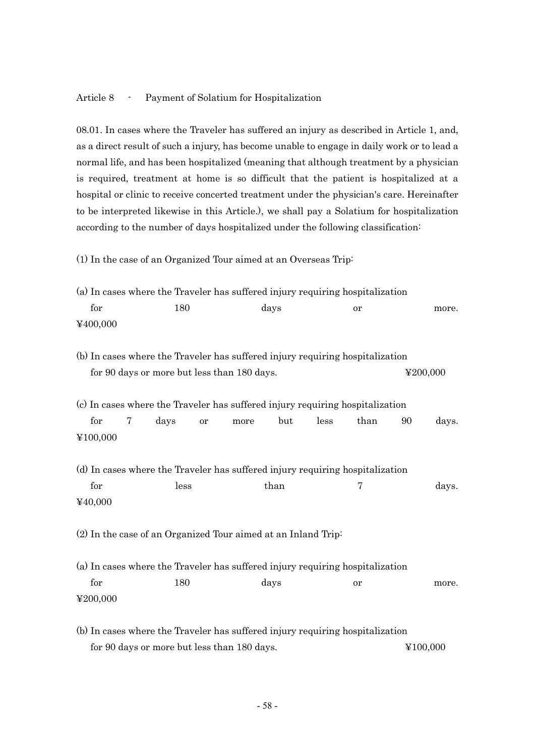#### Article 8 - Payment of Solatium for Hospitalization

08.01. In cases where the Traveler has suffered an injury as described in Article 1, and, as a direct result of such a injury, has become unable to engage in daily work or to lead a normal life, and has been hospitalized (meaning that although treatment by a physician is required, treatment at home is so difficult that the patient is hospitalized at a hospital or clinic to receive concerted treatment under the physician's care. Hereinafter to be interpreted likewise in this Article.), we shall pay a Solatium for hospitalization according to the number of days hospitalized under the following classification:

(1) In the case of an Organized Tour aimed at an Overseas Trip:

|                                                                               | (a) In cases where the Traveler has suffered injury requiring hospitalization |   |      |           |                                             |      |                                                                                       |      |    |          |  |
|-------------------------------------------------------------------------------|-------------------------------------------------------------------------------|---|------|-----------|---------------------------------------------|------|---------------------------------------------------------------------------------------|------|----|----------|--|
| for                                                                           |                                                                               |   | 180  |           |                                             | days |                                                                                       | or   |    | more.    |  |
| ¥400,000                                                                      |                                                                               |   |      |           |                                             |      |                                                                                       |      |    |          |  |
|                                                                               |                                                                               |   |      |           |                                             |      | (b) In cases where the Traveler has suffered injury requiring hospitalization         |      |    |          |  |
|                                                                               |                                                                               |   |      |           | for 90 days or more but less than 180 days. |      |                                                                                       |      |    | ¥200,000 |  |
| for                                                                           |                                                                               | 7 | days | <b>or</b> | more                                        | but  | (c) In cases where the Traveler has suffered injury requiring hospitalization<br>less | than | 90 | days.    |  |
| ¥100,000                                                                      |                                                                               |   |      |           |                                             |      |                                                                                       |      |    |          |  |
| for<br>¥40,000                                                                |                                                                               |   | less |           |                                             | than | (d) In cases where the Traveler has suffered injury requiring hospitalization         | 7    |    | days.    |  |
|                                                                               | (2) In the case of an Organized Tour aimed at an Inland Trip:                 |   |      |           |                                             |      |                                                                                       |      |    |          |  |
| (a) In cases where the Traveler has suffered injury requiring hospitalization |                                                                               |   |      |           |                                             |      |                                                                                       |      |    |          |  |
| for                                                                           |                                                                               |   | 180  |           |                                             | days |                                                                                       | or   |    | more.    |  |
| ¥200,000                                                                      |                                                                               |   |      |           |                                             |      |                                                                                       |      |    |          |  |
| (b) In cases where the Traveler has suffered injury requiring hospitalization |                                                                               |   |      |           |                                             |      |                                                                                       |      |    |          |  |

for 90 days or more but less than 180 days.  $\angle$  ¥100,000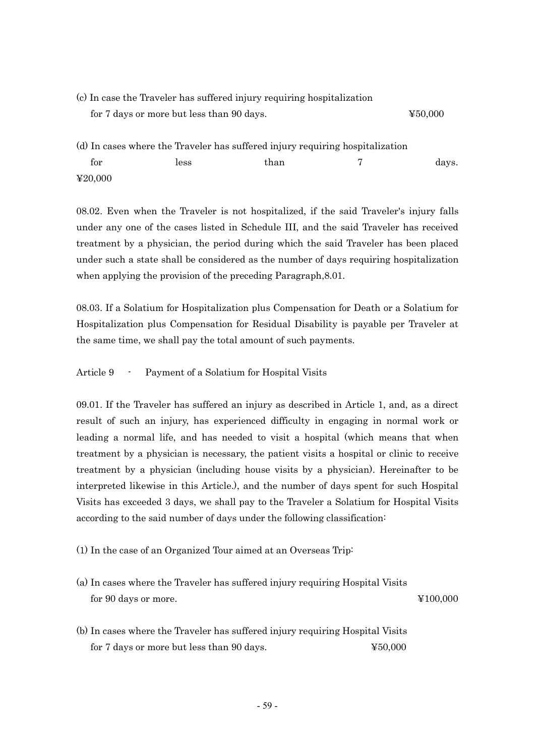| (c) In case the Traveler has suffered injury requiring hospitalization |                                           |                                                                               |  |         |
|------------------------------------------------------------------------|-------------------------------------------|-------------------------------------------------------------------------------|--|---------|
|                                                                        | for 7 days or more but less than 90 days. |                                                                               |  | 450,000 |
|                                                                        |                                           | (d) In cases where the Traveler has suffered injury requiring hospitalization |  |         |
| for                                                                    | less                                      | than                                                                          |  | days.   |

08.02. Even when the Traveler is not hospitalized, if the said Traveler's injury falls under any one of the cases listed in Schedule III, and the said Traveler has received treatment by a physician, the period during which the said Traveler has been placed under such a state shall be considered as the number of days requiring hospitalization when applying the provision of the preceding Paragraph,8.01.

08.03. If a Solatium for Hospitalization plus Compensation for Death or a Solatium for Hospitalization plus Compensation for Residual Disability is payable per Traveler at the same time, we shall pay the total amount of such payments.

Article 9 - Payment of a Solatium for Hospital Visits

¥20,000

09.01. If the Traveler has suffered an injury as described in Article 1, and, as a direct result of such an injury, has experienced difficulty in engaging in normal work or leading a normal life, and has needed to visit a hospital (which means that when treatment by a physician is necessary, the patient visits a hospital or clinic to receive treatment by a physician (including house visits by a physician). Hereinafter to be interpreted likewise in this Article.), and the number of days spent for such Hospital Visits has exceeded 3 days, we shall pay to the Traveler a Solatium for Hospital Visits according to the said number of days under the following classification:

(1) In the case of an Organized Tour aimed at an Overseas Trip:

- (a) In cases where the Traveler has suffered injury requiring Hospital Visits for 90 days or more.  $\angle 4100,000$
- (b) In cases where the Traveler has suffered injury requiring Hospital Visits for 7 days or more but less than 90 days.  $\qquad\qquad$   $\qquad\qquad$   $\qquad\qquad$   $\qquad\qquad$   $\qquad$   $\qquad\qquad$   $\qquad\qquad$   $\qquad$   $\qquad$   $\qquad$   $\qquad$   $\qquad$   $\qquad$   $\qquad$   $\qquad$   $\qquad$   $\qquad$   $\qquad$   $\qquad$   $\qquad$   $\qquad$   $\qquad$   $\qquad$   $\qquad$   $\qquad$   $\qquad$   $\qquad$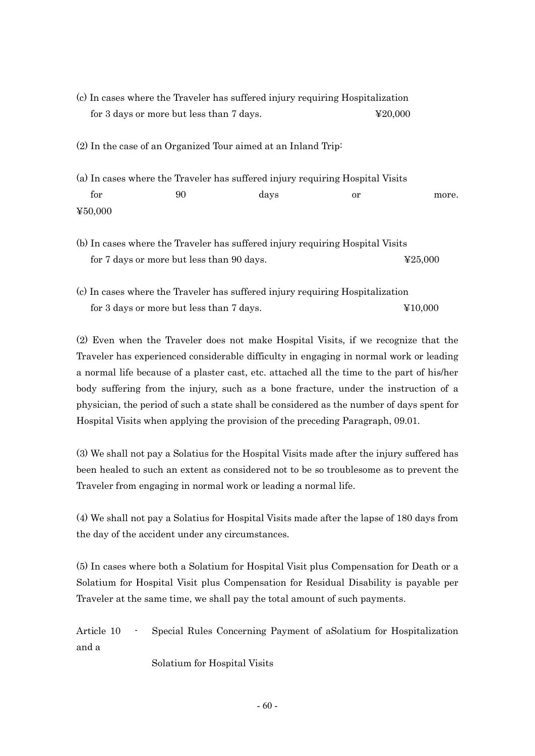- (c) In cases where the Traveler has suffered injury requiring Hospitalization for 3 days or more but less than 7 days.  $\text{\$20,000}$ (2) In the case of an Organized Tour aimed at an Inland Trip: (a) In cases where the Traveler has suffered injury requiring Hospital Visits for 90 days or more. ¥50,000 (b) In cases where the Traveler has suffered injury requiring Hospital Visits
- for 7 days or more but less than 90 days.  $\text{\$25,000}$
- (c) In cases where the Traveler has suffered injury requiring Hospitalization for 3 days or more but less than 7 days.  $\qquad \qquad \text{\&} 10,000$

(2) Even when the Traveler does not make Hospital Visits, if we recognize that the Traveler has experienced considerable difficulty in engaging in normal work or leading a normal life because of a plaster cast, etc. attached all the time to the part of his/her body suffering from the injury, such as a bone fracture, under the instruction of a physician, the period of such a state shall be considered as the number of days spent for Hospital Visits when applying the provision of the preceding Paragraph, 09.01.

(3) We shall not pay a Solatius for the Hospital Visits made after the injury suffered has been healed to such an extent as considered not to be so troublesome as to prevent the Traveler from engaging in normal work or leading a normal life.

(4) We shall not pay a Solatius for Hospital Visits made after the lapse of 180 days from the day of the accident under any circumstances.

(5) In cases where both a Solatium for Hospital Visit plus Compensation for Death or a Solatium for Hospital Visit plus Compensation for Residual Disability is payable per Traveler at the same time, we shall pay the total amount of such payments.

Article 10 - Special Rules Concerning Payment of aSolatium for Hospitalization and a

Solatium for Hospital Visits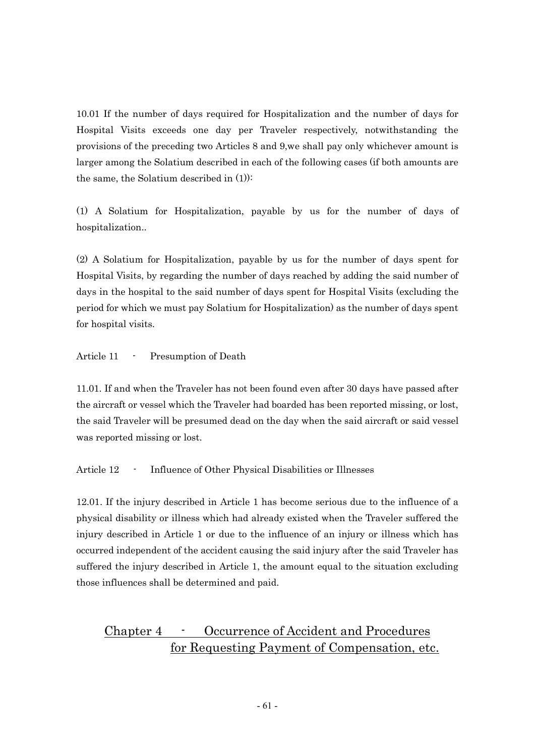10.01 If the number of days required for Hospitalization and the number of days for Hospital Visits exceeds one day per Traveler respectively, notwithstanding the provisions of the preceding two Articles 8 and 9,we shall pay only whichever amount is larger among the Solatium described in each of the following cases (if both amounts are the same, the Solatium described in (1)):

(1) A Solatium for Hospitalization, payable by us for the number of days of hospitalization..

(2) A Solatium for Hospitalization, payable by us for the number of days spent for Hospital Visits, by regarding the number of days reached by adding the said number of days in the hospital to the said number of days spent for Hospital Visits (excluding the period for which we must pay Solatium for Hospitalization) as the number of days spent for hospital visits.

Article 11 - Presumption of Death

11.01. If and when the Traveler has not been found even after 30 days have passed after the aircraft or vessel which the Traveler had boarded has been reported missing, or lost, the said Traveler will be presumed dead on the day when the said aircraft or said vessel was reported missing or lost.

Article 12 - Influence of Other Physical Disabilities or Illnesses

12.01. If the injury described in Article 1 has become serious due to the influence of a physical disability or illness which had already existed when the Traveler suffered the injury described in Article 1 or due to the influence of an injury or illness which has occurred independent of the accident causing the said injury after the said Traveler has suffered the injury described in Article 1, the amount equal to the situation excluding those influences shall be determined and paid.

### Chapter 4 - Occurrence of Accident and Procedures for Requesting Payment of Compensation, etc.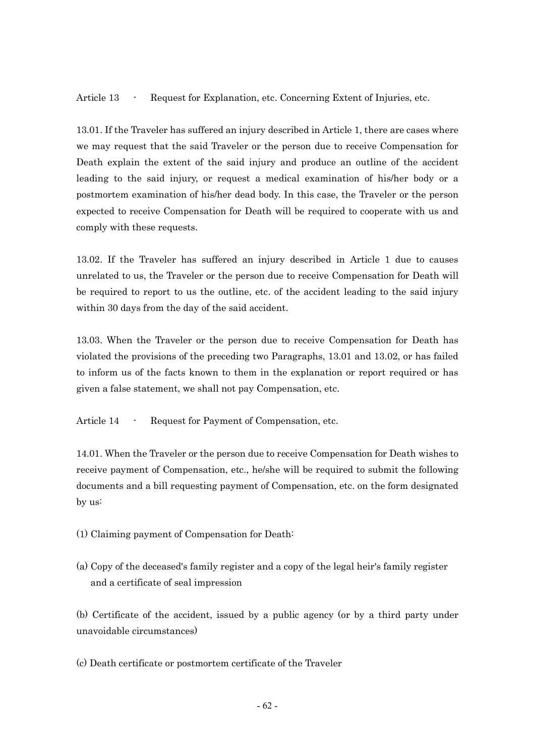Article 13 - Request for Explanation, etc. Concerning Extent of Injuries, etc.

13.01. If the Traveler has suffered an injury described in Article 1, there are cases where we may request that the said Traveler or the person due to receive Compensation for Death explain the extent of the said injury and produce an outline of the accident leading to the said injury, or request a medical examination of his/her body or a postmortem examination of his/her dead body. In this case, the Traveler or the person expected to receive Compensation for Death will be required to cooperate with us and comply with these requests.

13.02. If the Traveler has suffered an injury described in Article 1 due to causes unrelated to us, the Traveler or the person due to receive Compensation for Death will be required to report to us the outline, etc. of the accident leading to the said injury within 30 days from the day of the said accident.

13.03. When the Traveler or the person due to receive Compensation for Death has violated the provisions of the preceding two Paragraphs, 13.01 and 13.02, or has failed to inform us of the facts known to them in the explanation or report required or has given a false statement, we shall not pay Compensation, etc.

Article 14 - Request for Payment of Compensation, etc.

14.01. When the Traveler or the person due to receive Compensation for Death wishes to receive payment of Compensation, etc., he/she will be required to submit the following documents and a bill requesting payment of Compensation, etc. on the form designated by us:

(1) Claiming payment of Compensation for Death:

(a) Copy of the deceased's family register and a copy of the legal heir's family register and a certificate of seal impression

(b) Certificate of the accident, issued by a public agency (or by a third party under unavoidable circumstances)

(c) Death certificate or postmortem certificate of the Traveler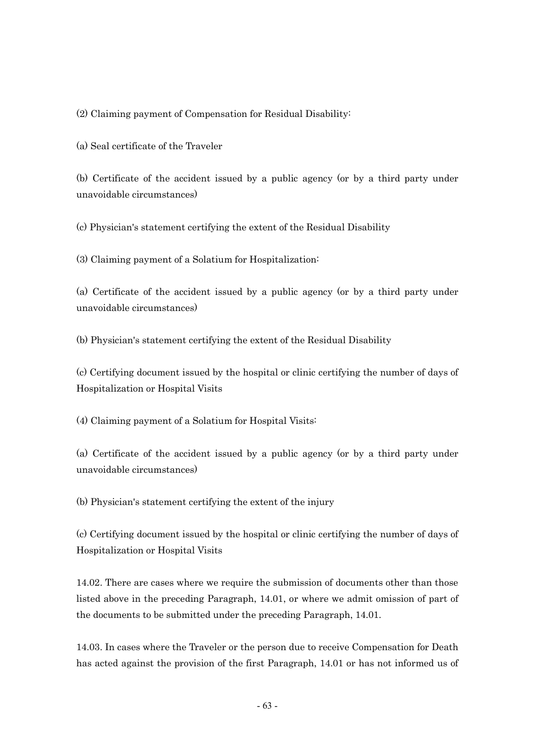(2) Claiming payment of Compensation for Residual Disability:

(a) Seal certificate of the Traveler

(b) Certificate of the accident issued by a public agency (or by a third party under unavoidable circumstances)

(c) Physician's statement certifying the extent of the Residual Disability

(3) Claiming payment of a Solatium for Hospitalization:

(a) Certificate of the accident issued by a public agency (or by a third party under unavoidable circumstances)

(b) Physician's statement certifying the extent of the Residual Disability

(c) Certifying document issued by the hospital or clinic certifying the number of days of Hospitalization or Hospital Visits

(4) Claiming payment of a Solatium for Hospital Visits:

(a) Certificate of the accident issued by a public agency (or by a third party under unavoidable circumstances)

(b) Physician's statement certifying the extent of the injury

(c) Certifying document issued by the hospital or clinic certifying the number of days of Hospitalization or Hospital Visits

14.02. There are cases where we require the submission of documents other than those listed above in the preceding Paragraph, 14.01, or where we admit omission of part of the documents to be submitted under the preceding Paragraph, 14.01.

14.03. In cases where the Traveler or the person due to receive Compensation for Death has acted against the provision of the first Paragraph, 14.01 or has not informed us of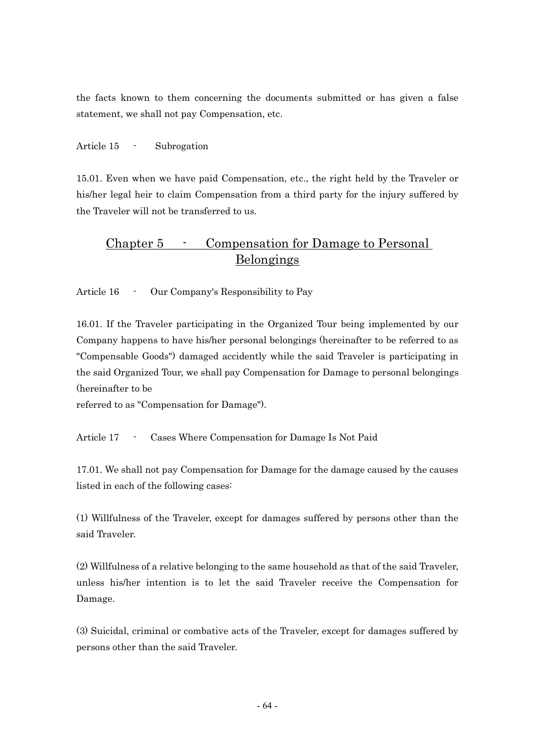the facts known to them concerning the documents submitted or has given a false statement, we shall not pay Compensation, etc.

Article 15 - Subrogation

15.01. Even when we have paid Compensation, etc., the right held by the Traveler or his/her legal heir to claim Compensation from a third party for the injury suffered by the Traveler will not be transferred to us.

### Chapter 5 - Compensation for Damage to Personal Belongings

Article 16 - Our Company's Responsibility to Pay

16.01. If the Traveler participating in the Organized Tour being implemented by our Company happens to have his/her personal belongings (hereinafter to be referred to as "Compensable Goods") damaged accidently while the said Traveler is participating in the said Organized Tour, we shall pay Compensation for Damage to personal belongings (hereinafter to be

referred to as "Compensation for Damage").

Article 17 - Cases Where Compensation for Damage Is Not Paid

17.01. We shall not pay Compensation for Damage for the damage caused by the causes listed in each of the following cases:

(1) Willfulness of the Traveler, except for damages suffered by persons other than the said Traveler.

(2) Willfulness of a relative belonging to the same household as that of the said Traveler, unless his/her intention is to let the said Traveler receive the Compensation for Damage.

(3) Suicidal, criminal or combative acts of the Traveler, except for damages suffered by persons other than the said Traveler.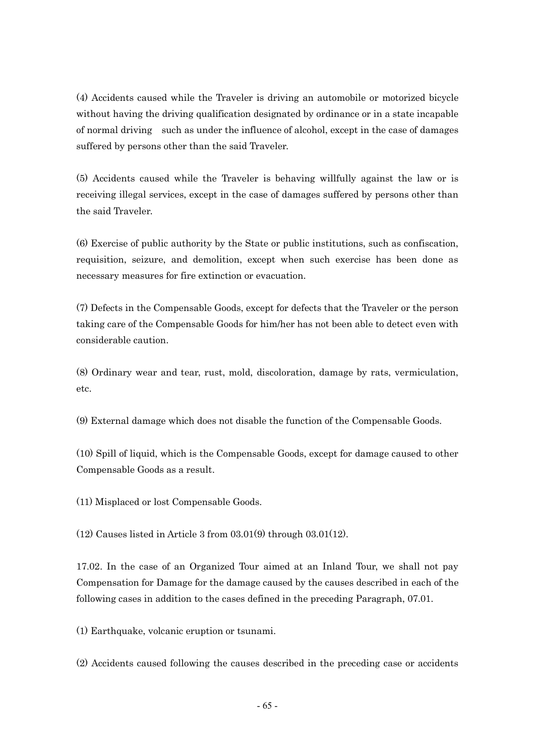(4) Accidents caused while the Traveler is driving an automobile or motorized bicycle without having the driving qualification designated by ordinance or in a state incapable of normal driving such as under the influence of alcohol, except in the case of damages suffered by persons other than the said Traveler.

(5) Accidents caused while the Traveler is behaving willfully against the law or is receiving illegal services, except in the case of damages suffered by persons other than the said Traveler.

(6) Exercise of public authority by the State or public institutions, such as confiscation, requisition, seizure, and demolition, except when such exercise has been done as necessary measures for fire extinction or evacuation.

(7) Defects in the Compensable Goods, except for defects that the Traveler or the person taking care of the Compensable Goods for him/her has not been able to detect even with considerable caution.

(8) Ordinary wear and tear, rust, mold, discoloration, damage by rats, vermiculation, etc.

(9) External damage which does not disable the function of the Compensable Goods.

(10) Spill of liquid, which is the Compensable Goods, except for damage caused to other Compensable Goods as a result.

(11) Misplaced or lost Compensable Goods.

(12) Causes listed in Article 3 from 03.01(9) through 03.01(12).

17.02. In the case of an Organized Tour aimed at an Inland Tour, we shall not pay Compensation for Damage for the damage caused by the causes described in each of the following cases in addition to the cases defined in the preceding Paragraph, 07.01.

(1) Earthquake, volcanic eruption or tsunami.

(2) Accidents caused following the causes described in the preceding case or accidents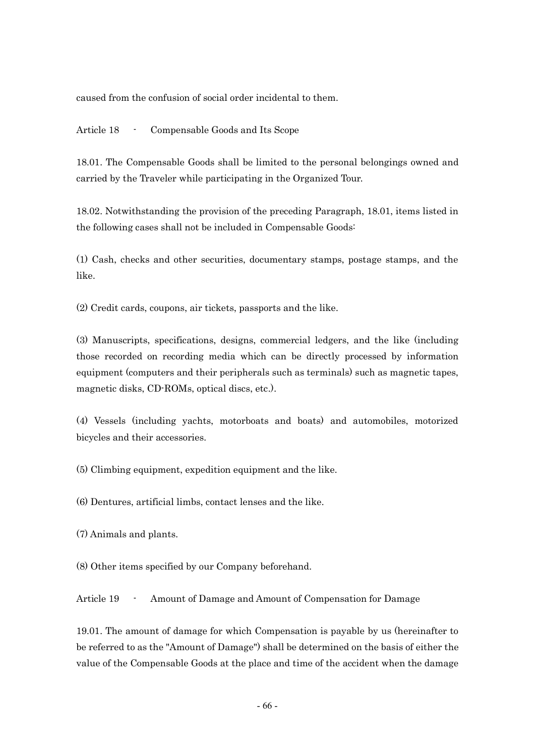caused from the confusion of social order incidental to them.

Article 18 - Compensable Goods and Its Scope

18.01. The Compensable Goods shall be limited to the personal belongings owned and carried by the Traveler while participating in the Organized Tour.

18.02. Notwithstanding the provision of the preceding Paragraph, 18.01, items listed in the following cases shall not be included in Compensable Goods:

(1) Cash, checks and other securities, documentary stamps, postage stamps, and the like.

(2) Credit cards, coupons, air tickets, passports and the like.

(3) Manuscripts, specifications, designs, commercial ledgers, and the like (including those recorded on recording media which can be directly processed by information equipment (computers and their peripherals such as terminals) such as magnetic tapes, magnetic disks, CD-ROMs, optical discs, etc.).

(4) Vessels (including yachts, motorboats and boats) and automobiles, motorized bicycles and their accessories.

(5) Climbing equipment, expedition equipment and the like.

(6) Dentures, artificial limbs, contact lenses and the like.

(7) Animals and plants.

(8) Other items specified by our Company beforehand.

Article 19 - Amount of Damage and Amount of Compensation for Damage

19.01. The amount of damage for which Compensation is payable by us (hereinafter to be referred to as the "Amount of Damage") shall be determined on the basis of either the value of the Compensable Goods at the place and time of the accident when the damage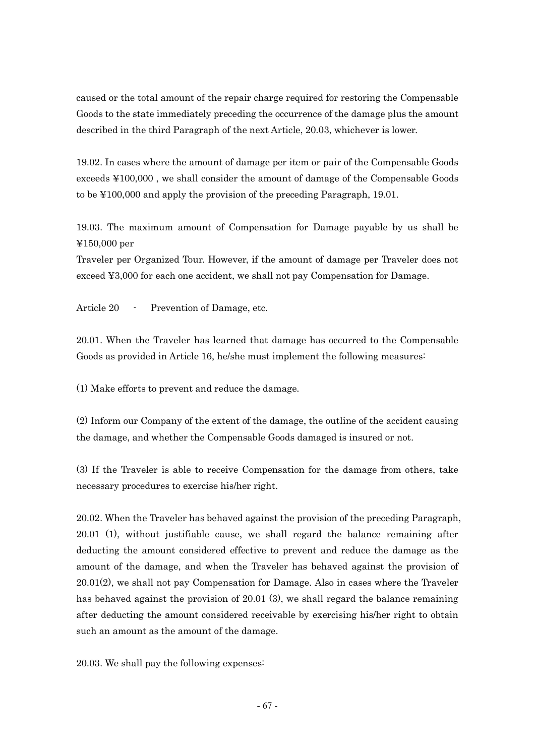caused or the total amount of the repair charge required for restoring the Compensable Goods to the state immediately preceding the occurrence of the damage plus the amount described in the third Paragraph of the next Article, 20.03, whichever is lower.

19.02. In cases where the amount of damage per item or pair of the Compensable Goods exceeds ¥100,000 , we shall consider the amount of damage of the Compensable Goods to be ¥100,000 and apply the provision of the preceding Paragraph, 19.01.

19.03. The maximum amount of Compensation for Damage payable by us shall be ¥150,000 per

Traveler per Organized Tour. However, if the amount of damage per Traveler does not exceed ¥3,000 for each one accident, we shall not pay Compensation for Damage.

Article 20 - Prevention of Damage, etc.

20.01. When the Traveler has learned that damage has occurred to the Compensable Goods as provided in Article 16, he/she must implement the following measures:

(1) Make efforts to prevent and reduce the damage.

(2) Inform our Company of the extent of the damage, the outline of the accident causing the damage, and whether the Compensable Goods damaged is insured or not.

(3) If the Traveler is able to receive Compensation for the damage from others, take necessary procedures to exercise his/her right.

20.02. When the Traveler has behaved against the provision of the preceding Paragraph, 20.01 (1), without justifiable cause, we shall regard the balance remaining after deducting the amount considered effective to prevent and reduce the damage as the amount of the damage, and when the Traveler has behaved against the provision of 20.01(2), we shall not pay Compensation for Damage. Also in cases where the Traveler has behaved against the provision of 20.01 (3), we shall regard the balance remaining after deducting the amount considered receivable by exercising his/her right to obtain such an amount as the amount of the damage.

20.03. We shall pay the following expenses: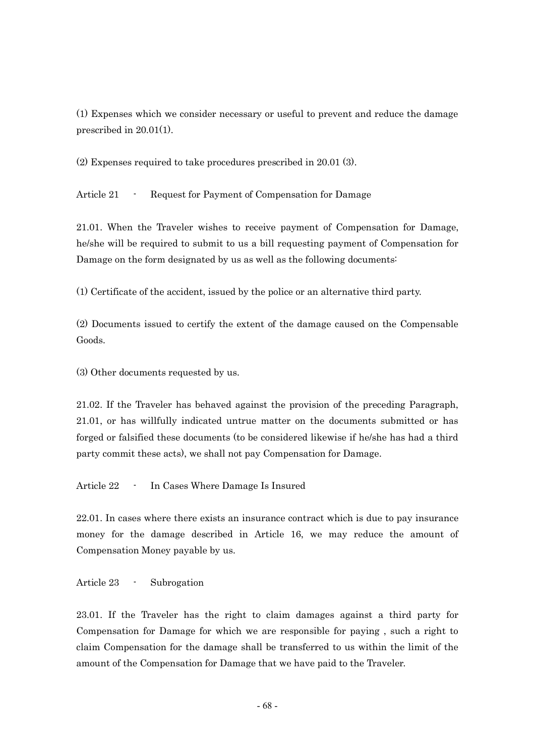(1) Expenses which we consider necessary or useful to prevent and reduce the damage prescribed in 20.01(1).

(2) Expenses required to take procedures prescribed in 20.01 (3).

Article 21 - Request for Payment of Compensation for Damage

21.01. When the Traveler wishes to receive payment of Compensation for Damage, he/she will be required to submit to us a bill requesting payment of Compensation for Damage on the form designated by us as well as the following documents:

(1) Certificate of the accident, issued by the police or an alternative third party.

(2) Documents issued to certify the extent of the damage caused on the Compensable Goods.

(3) Other documents requested by us.

21.02. If the Traveler has behaved against the provision of the preceding Paragraph, 21.01, or has willfully indicated untrue matter on the documents submitted or has forged or falsified these documents (to be considered likewise if he/she has had a third party commit these acts), we shall not pay Compensation for Damage.

Article 22 - In Cases Where Damage Is Insured

22.01. In cases where there exists an insurance contract which is due to pay insurance money for the damage described in Article 16, we may reduce the amount of Compensation Money payable by us.

Article 23 - Subrogation

23.01. If the Traveler has the right to claim damages against a third party for Compensation for Damage for which we are responsible for paying , such a right to claim Compensation for the damage shall be transferred to us within the limit of the amount of the Compensation for Damage that we have paid to the Traveler.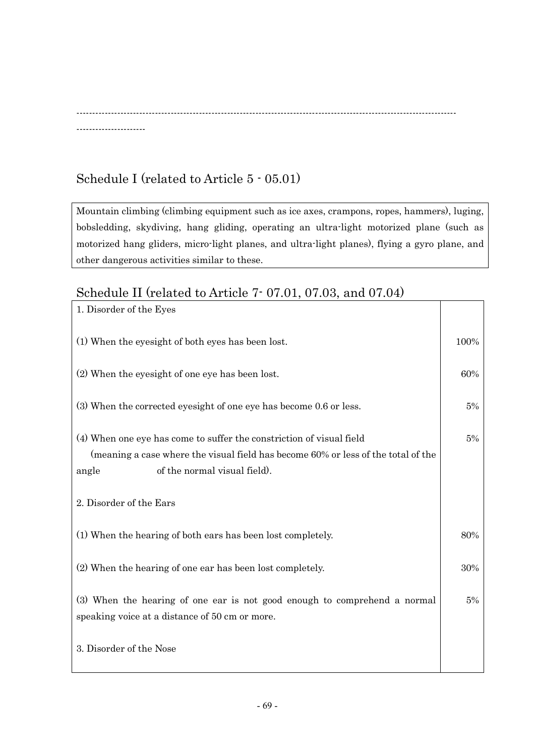-------------------------------------------------------------------------------------------------------------------------

## Schedule I (related to Article 5 - 05.01)

----------------------

Mountain climbing (climbing equipment such as ice axes, crampons, ropes, hammers), luging, bobsledding, skydiving, hang gliding, operating an ultra-light motorized plane (such as motorized hang gliders, micro-light planes, and ultra-light planes), flying a gyro plane, and other dangerous activities similar to these.

## Schedule II (related to Article 7- 07.01, 07.03, and 07.04)

| 1. Disorder of the Eyes                                                                                                                                                                                                       |       |
|-------------------------------------------------------------------------------------------------------------------------------------------------------------------------------------------------------------------------------|-------|
| (1) When the eyesight of both eyes has been lost.                                                                                                                                                                             | 100%  |
| (2) When the eyesight of one eye has been lost.                                                                                                                                                                               | 60%   |
| (3) When the corrected eyesight of one eye has become 0.6 or less.                                                                                                                                                            | $5\%$ |
| (4) When one eye has come to suffer the constriction of visual field<br>(meaning a case where the visual field has become 60% or less of the total of the<br>of the normal visual field).<br>angle<br>2. Disorder of the Ears | 5%    |
|                                                                                                                                                                                                                               |       |
| (1) When the hearing of both ears has been lost completely.                                                                                                                                                                   | 80%   |
| (2) When the hearing of one ear has been lost completely.                                                                                                                                                                     | 30%   |
| (3) When the hearing of one ear is not good enough to comprehend a normal<br>speaking voice at a distance of 50 cm or more.                                                                                                   | $5\%$ |
| 3. Disorder of the Nose                                                                                                                                                                                                       |       |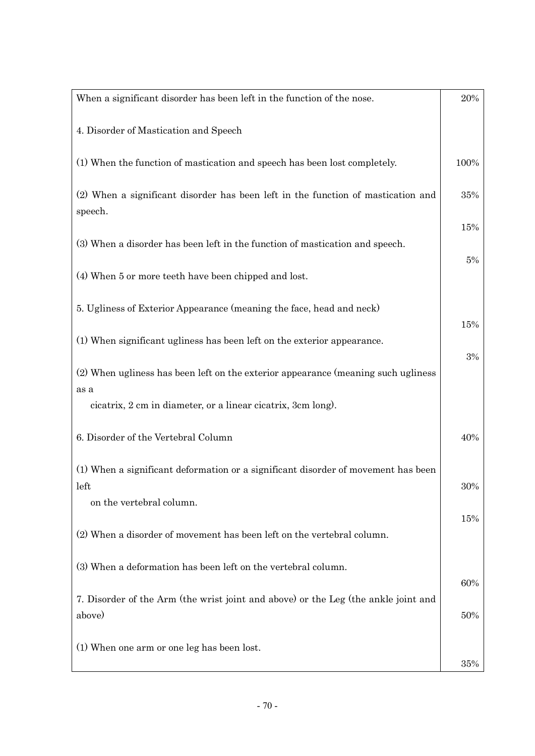| When a significant disorder has been left in the function of the nose.                       | 20%        |
|----------------------------------------------------------------------------------------------|------------|
| 4. Disorder of Mastication and Speech                                                        |            |
| (1) When the function of mastication and speech has been lost completely.                    | 100%       |
| (2) When a significant disorder has been left in the function of mastication and<br>speech.  | 35%        |
| (3) When a disorder has been left in the function of mastication and speech.                 | 15%        |
| (4) When 5 or more teeth have been chipped and lost.                                         | 5%         |
| 5. Ugliness of Exterior Appearance (meaning the face, head and neck)                         | 15%        |
| (1) When significant ugliness has been left on the exterior appearance.                      |            |
| (2) When ugliness has been left on the exterior appearance (meaning such ugliness            | 3%         |
| as a<br>cicatrix, 2 cm in diameter, or a linear cicatrix, 3cm long).                         |            |
| 6. Disorder of the Vertebral Column                                                          | 40%        |
| (1) When a significant deformation or a significant disorder of movement has been            | 30%        |
| left<br>on the vertebral column.                                                             |            |
| (2) When a disorder of movement has been left on the vertebral column.                       | 15%        |
| (3) When a deformation has been left on the vertebral column.                                |            |
| 7. Disorder of the Arm (the wrist joint and above) or the Leg (the ankle joint and<br>above) | 60%<br>50% |
| (1) When one arm or one leg has been lost.                                                   |            |
|                                                                                              | 35%        |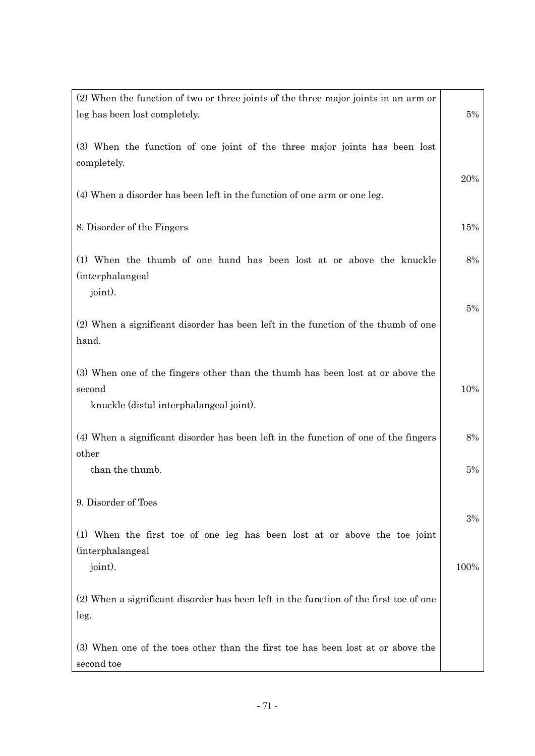| (2) When the function of two or three joints of the three major joints in an arm or<br>leg has been lost completely.                | 5%    |
|-------------------------------------------------------------------------------------------------------------------------------------|-------|
| (3) When the function of one joint of the three major joints has been lost<br>completely.                                           |       |
| (4) When a disorder has been left in the function of one arm or one leg.                                                            | 20%   |
| 8. Disorder of the Fingers                                                                                                          | 15%   |
| (1) When the thumb of one hand has been lost at or above the knuckle<br><i>(interphalangeal)</i><br>joint).                         | 8%    |
| (2) When a significant disorder has been left in the function of the thumb of one<br>hand.                                          | $5\%$ |
| (3) When one of the fingers other than the thumb has been lost at or above the<br>second<br>knuckle (distal interphalangeal joint). | 10%   |
| (4) When a significant disorder has been left in the function of one of the fingers<br>other                                        | 8%    |
| than the thumb.                                                                                                                     | 5%    |
| 9. Disorder of Toes<br>(1) When the first toe of one leg has been lost at or above the toe joint                                    | 3%    |
| <i>(interphalangeal)</i><br>joint).                                                                                                 | 100%  |
| (2) When a significant disorder has been left in the function of the first toe of one<br>leg.                                       |       |
| (3) When one of the toes other than the first toe has been lost at or above the<br>second toe                                       |       |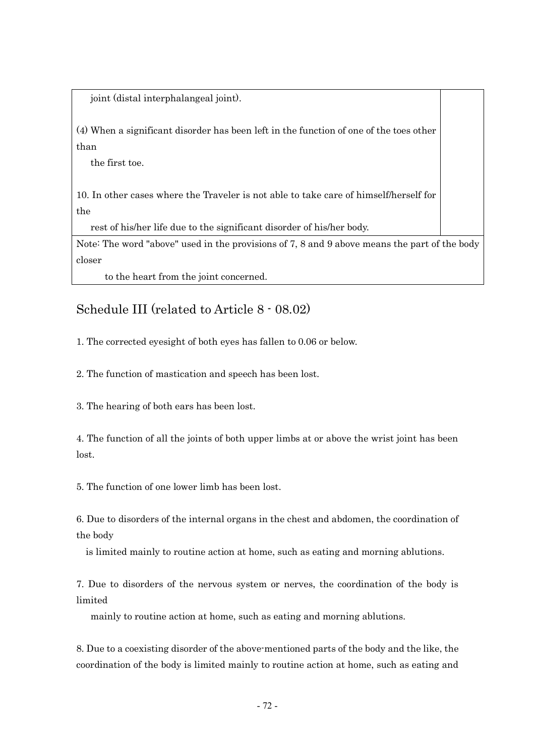joint (distal interphalangeal joint).

(4) When a significant disorder has been left in the function of one of the toes other than

the first toe.

10. In other cases where the Traveler is not able to take care of himself/herself for the

rest of his/her life due to the significant disorder of his/her body.

Note: The word "above" used in the provisions of 7, 8 and 9 above means the part of the body closer

to the heart from the joint concerned.

### Schedule III (related to Article 8 - 08.02)

1. The corrected eyesight of both eyes has fallen to 0.06 or below.

2. The function of mastication and speech has been lost.

3. The hearing of both ears has been lost.

4. The function of all the joints of both upper limbs at or above the wrist joint has been lost.

5. The function of one lower limb has been lost.

6. Due to disorders of the internal organs in the chest and abdomen, the coordination of the body

is limited mainly to routine action at home, such as eating and morning ablutions.

7. Due to disorders of the nervous system or nerves, the coordination of the body is limited

mainly to routine action at home, such as eating and morning ablutions.

8. Due to a coexisting disorder of the above-mentioned parts of the body and the like, the coordination of the body is limited mainly to routine action at home, such as eating and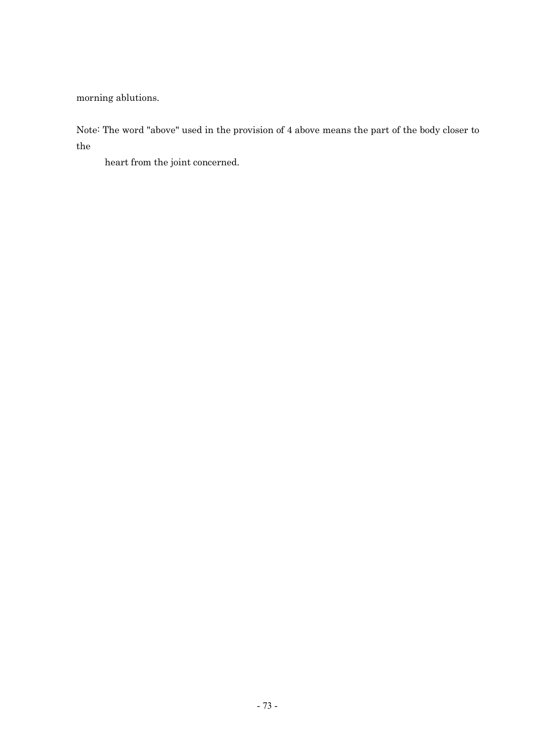morning ablutions.

Note: The word "above" used in the provision of 4 above means the part of the body closer to the

heart from the joint concerned.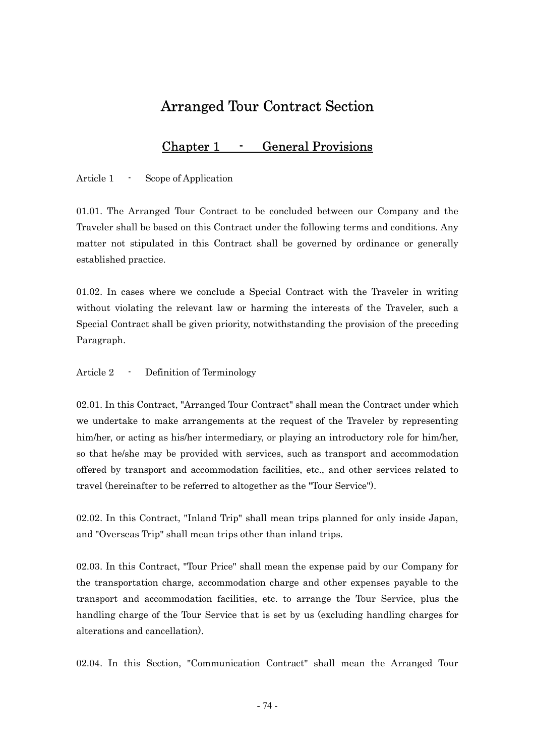# Arranged Tour Contract Section

### Chapter 1 - General Provisions

Article 1 - Scope of Application

01.01. The Arranged Tour Contract to be concluded between our Company and the Traveler shall be based on this Contract under the following terms and conditions. Any matter not stipulated in this Contract shall be governed by ordinance or generally established practice.

01.02. In cases where we conclude a Special Contract with the Traveler in writing without violating the relevant law or harming the interests of the Traveler, such a Special Contract shall be given priority, notwithstanding the provision of the preceding Paragraph.

Article 2 - Definition of Terminology

02.01. In this Contract, "Arranged Tour Contract" shall mean the Contract under which we undertake to make arrangements at the request of the Traveler by representing him/her, or acting as his/her intermediary, or playing an introductory role for him/her, so that he/she may be provided with services, such as transport and accommodation offered by transport and accommodation facilities, etc., and other services related to travel (hereinafter to be referred to altogether as the "Tour Service").

02.02. In this Contract, "Inland Trip" shall mean trips planned for only inside Japan, and "Overseas Trip" shall mean trips other than inland trips.

02.03. In this Contract, "Tour Price" shall mean the expense paid by our Company for the transportation charge, accommodation charge and other expenses payable to the transport and accommodation facilities, etc. to arrange the Tour Service, plus the handling charge of the Tour Service that is set by us (excluding handling charges for alterations and cancellation).

02.04. In this Section, "Communication Contract" shall mean the Arranged Tour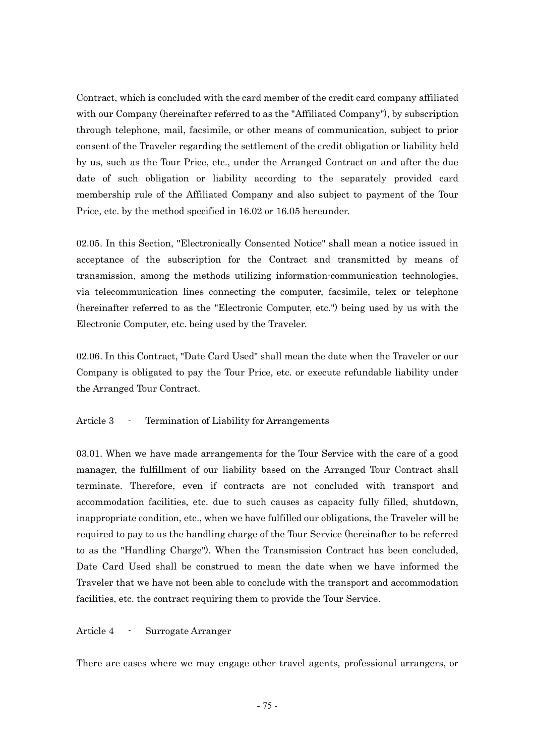Contract, which is concluded with the card member of the credit card company affiliated with our Company (hereinafter referred to as the "Affiliated Company"), by subscription through telephone, mail, facsimile, or other means of communication, subject to prior consent of the Traveler regarding the settlement of the credit obligation or liability held by us, such as the Tour Price, etc., under the Arranged Contract on and after the due date of such obligation or liability according to the separately provided card membership rule of the Affiliated Company and also subject to payment of the Tour Price, etc. by the method specified in 16.02 or 16.05 hereunder.

02.05. In this Section, "Electronically Consented Notice" shall mean a notice issued in acceptance of the subscription for the Contract and transmitted by means of transmission, among the methods utilizing information-communication technologies, via telecommunication lines connecting the computer, facsimile, telex or telephone (hereinafter referred to as the "Electronic Computer, etc.") being used by us with the Electronic Computer, etc. being used by the Traveler.

02.06. In this Contract, "Date Card Used" shall mean the date when the Traveler or our Company is obligated to pay the Tour Price, etc. or execute refundable liability under the Arranged Tour Contract.

#### Article 3 - Termination of Liability for Arrangements

03.01. When we have made arrangements for the Tour Service with the care of a good manager, the fulfillment of our liability based on the Arranged Tour Contract shall terminate. Therefore, even if contracts are not concluded with transport and accommodation facilities, etc. due to such causes as capacity fully filled, shutdown, inappropriate condition, etc., when we have fulfilled our obligations, the Traveler will be required to pay to us the handling charge of the Tour Service (hereinafter to be referred to as the "Handling Charge"). When the Transmission Contract has been concluded, Date Card Used shall be construed to mean the date when we have informed the Traveler that we have not been able to conclude with the transport and accommodation facilities, etc. the contract requiring them to provide the Tour Service.

Article 4 - Surrogate Arranger

There are cases where we may engage other travel agents, professional arrangers, or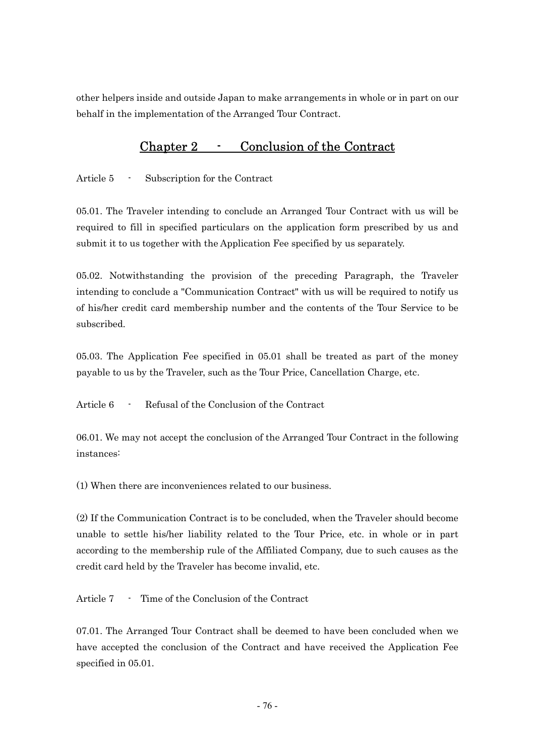other helpers inside and outside Japan to make arrangements in whole or in part on our behalf in the implementation of the Arranged Tour Contract.

## Chapter 2 - Conclusion of the Contract

Article 5 - Subscription for the Contract

05.01. The Traveler intending to conclude an Arranged Tour Contract with us will be required to fill in specified particulars on the application form prescribed by us and submit it to us together with the Application Fee specified by us separately.

05.02. Notwithstanding the provision of the preceding Paragraph, the Traveler intending to conclude a "Communication Contract" with us will be required to notify us of his/her credit card membership number and the contents of the Tour Service to be subscribed.

05.03. The Application Fee specified in 05.01 shall be treated as part of the money payable to us by the Traveler, such as the Tour Price, Cancellation Charge, etc.

Article 6 - Refusal of the Conclusion of the Contract

06.01. We may not accept the conclusion of the Arranged Tour Contract in the following instances:

(1) When there are inconveniences related to our business.

(2) If the Communication Contract is to be concluded, when the Traveler should become unable to settle his/her liability related to the Tour Price, etc. in whole or in part according to the membership rule of the Affiliated Company, due to such causes as the credit card held by the Traveler has become invalid, etc.

Article 7 - Time of the Conclusion of the Contract

07.01. The Arranged Tour Contract shall be deemed to have been concluded when we have accepted the conclusion of the Contract and have received the Application Fee specified in 05.01.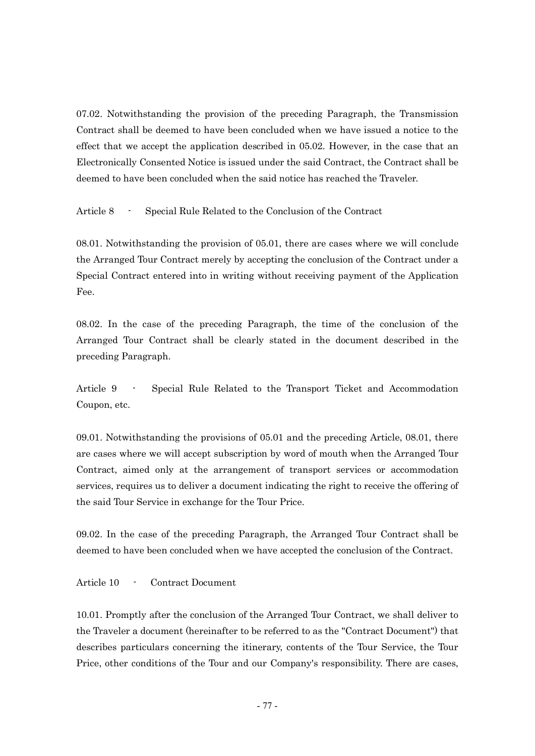07.02. Notwithstanding the provision of the preceding Paragraph, the Transmission Contract shall be deemed to have been concluded when we have issued a notice to the effect that we accept the application described in 05.02. However, in the case that an Electronically Consented Notice is issued under the said Contract, the Contract shall be deemed to have been concluded when the said notice has reached the Traveler.

Article 8 - Special Rule Related to the Conclusion of the Contract

08.01. Notwithstanding the provision of 05.01, there are cases where we will conclude the Arranged Tour Contract merely by accepting the conclusion of the Contract under a Special Contract entered into in writing without receiving payment of the Application Fee.

08.02. In the case of the preceding Paragraph, the time of the conclusion of the Arranged Tour Contract shall be clearly stated in the document described in the preceding Paragraph.

Article 9 - Special Rule Related to the Transport Ticket and Accommodation Coupon, etc.

09.01. Notwithstanding the provisions of 05.01 and the preceding Article, 08.01, there are cases where we will accept subscription by word of mouth when the Arranged Tour Contract, aimed only at the arrangement of transport services or accommodation services, requires us to deliver a document indicating the right to receive the offering of the said Tour Service in exchange for the Tour Price.

09.02. In the case of the preceding Paragraph, the Arranged Tour Contract shall be deemed to have been concluded when we have accepted the conclusion of the Contract.

Article 10 - Contract Document

10.01. Promptly after the conclusion of the Arranged Tour Contract, we shall deliver to the Traveler a document (hereinafter to be referred to as the "Contract Document") that describes particulars concerning the itinerary, contents of the Tour Service, the Tour Price, other conditions of the Tour and our Company's responsibility. There are cases,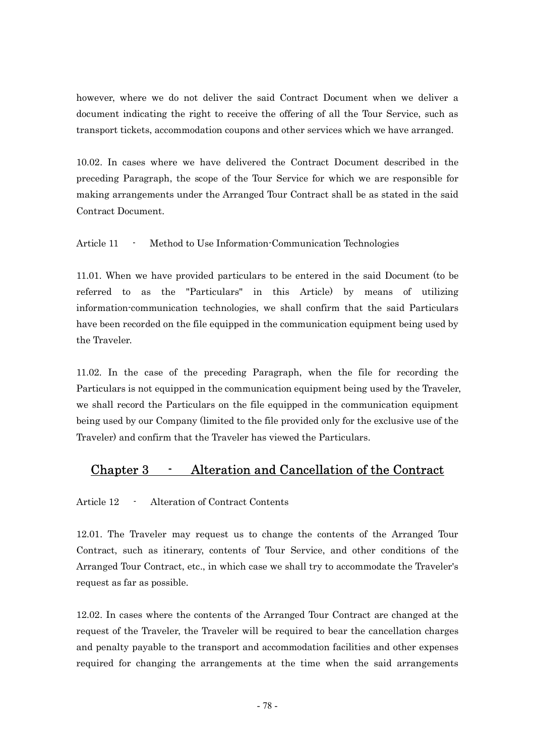however, where we do not deliver the said Contract Document when we deliver a document indicating the right to receive the offering of all the Tour Service, such as transport tickets, accommodation coupons and other services which we have arranged.

10.02. In cases where we have delivered the Contract Document described in the preceding Paragraph, the scope of the Tour Service for which we are responsible for making arrangements under the Arranged Tour Contract shall be as stated in the said Contract Document.

Article 11 - Method to Use Information-Communication Technologies

11.01. When we have provided particulars to be entered in the said Document (to be referred to as the "Particulars" in this Article) by means of utilizing information-communication technologies, we shall confirm that the said Particulars have been recorded on the file equipped in the communication equipment being used by the Traveler.

11.02. In the case of the preceding Paragraph, when the file for recording the Particulars is not equipped in the communication equipment being used by the Traveler. we shall record the Particulars on the file equipped in the communication equipment being used by our Company (limited to the file provided only for the exclusive use of the Traveler) and confirm that the Traveler has viewed the Particulars.

## Chapter 3 - Alteration and Cancellation of the Contract

Article 12 - Alteration of Contract Contents

12.01. The Traveler may request us to change the contents of the Arranged Tour Contract, such as itinerary, contents of Tour Service, and other conditions of the Arranged Tour Contract, etc., in which case we shall try to accommodate the Traveler's request as far as possible.

12.02. In cases where the contents of the Arranged Tour Contract are changed at the request of the Traveler, the Traveler will be required to bear the cancellation charges and penalty payable to the transport and accommodation facilities and other expenses required for changing the arrangements at the time when the said arrangements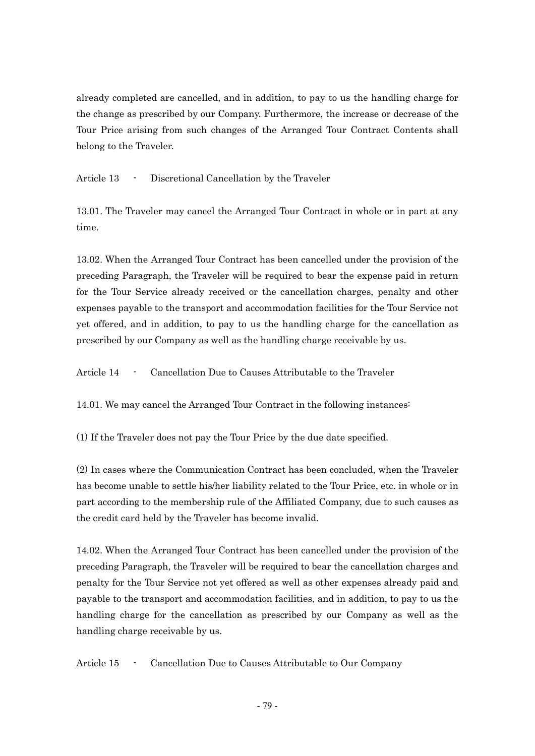already completed are cancelled, and in addition, to pay to us the handling charge for the change as prescribed by our Company. Furthermore, the increase or decrease of the Tour Price arising from such changes of the Arranged Tour Contract Contents shall belong to the Traveler.

Article 13 - Discretional Cancellation by the Traveler

13.01. The Traveler may cancel the Arranged Tour Contract in whole or in part at any time.

13.02. When the Arranged Tour Contract has been cancelled under the provision of the preceding Paragraph, the Traveler will be required to bear the expense paid in return for the Tour Service already received or the cancellation charges, penalty and other expenses payable to the transport and accommodation facilities for the Tour Service not yet offered, and in addition, to pay to us the handling charge for the cancellation as prescribed by our Company as well as the handling charge receivable by us.

Article 14 - Cancellation Due to Causes Attributable to the Traveler

14.01. We may cancel the Arranged Tour Contract in the following instances:

(1) If the Traveler does not pay the Tour Price by the due date specified.

(2) In cases where the Communication Contract has been concluded, when the Traveler has become unable to settle his/her liability related to the Tour Price, etc. in whole or in part according to the membership rule of the Affiliated Company, due to such causes as the credit card held by the Traveler has become invalid.

14.02. When the Arranged Tour Contract has been cancelled under the provision of the preceding Paragraph, the Traveler will be required to bear the cancellation charges and penalty for the Tour Service not yet offered as well as other expenses already paid and payable to the transport and accommodation facilities, and in addition, to pay to us the handling charge for the cancellation as prescribed by our Company as well as the handling charge receivable by us.

Article 15 - Cancellation Due to Causes Attributable to Our Company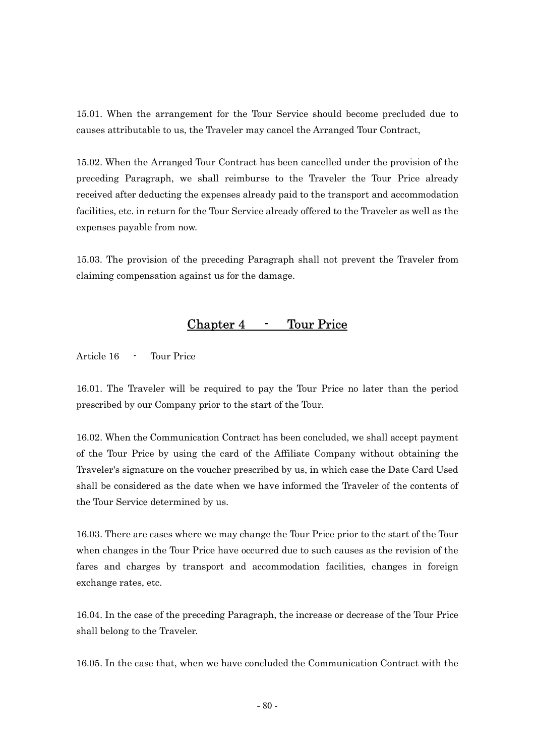15.01. When the arrangement for the Tour Service should become precluded due to causes attributable to us, the Traveler may cancel the Arranged Tour Contract,

15.02. When the Arranged Tour Contract has been cancelled under the provision of the preceding Paragraph, we shall reimburse to the Traveler the Tour Price already received after deducting the expenses already paid to the transport and accommodation facilities, etc. in return for the Tour Service already offered to the Traveler as well as the expenses payable from now.

15.03. The provision of the preceding Paragraph shall not prevent the Traveler from claiming compensation against us for the damage.

### Chapter 4 - Tour Price

Article 16 - Tour Price

16.01. The Traveler will be required to pay the Tour Price no later than the period prescribed by our Company prior to the start of the Tour.

16.02. When the Communication Contract has been concluded, we shall accept payment of the Tour Price by using the card of the Affiliate Company without obtaining the Traveler's signature on the voucher prescribed by us, in which case the Date Card Used shall be considered as the date when we have informed the Traveler of the contents of the Tour Service determined by us.

16.03. There are cases where we may change the Tour Price prior to the start of the Tour when changes in the Tour Price have occurred due to such causes as the revision of the fares and charges by transport and accommodation facilities, changes in foreign exchange rates, etc.

16.04. In the case of the preceding Paragraph, the increase or decrease of the Tour Price shall belong to the Traveler.

16.05. In the case that, when we have concluded the Communication Contract with the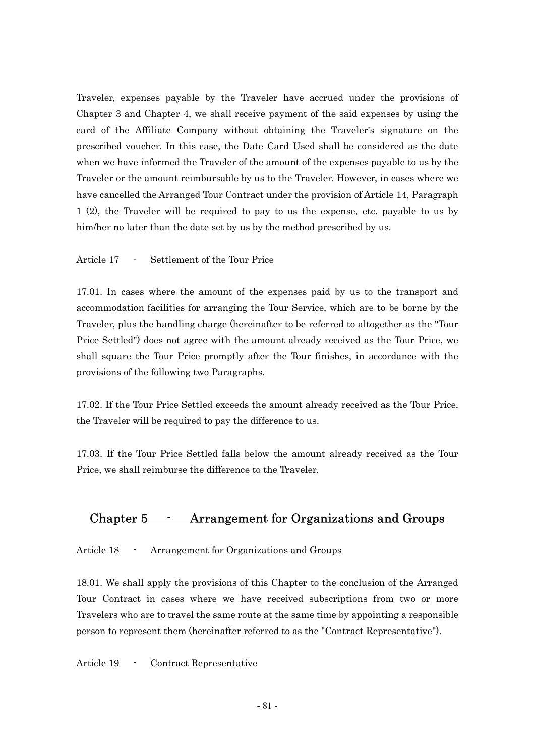Traveler, expenses payable by the Traveler have accrued under the provisions of Chapter 3 and Chapter 4, we shall receive payment of the said expenses by using the card of the Affiliate Company without obtaining the Traveler's signature on the prescribed voucher. In this case, the Date Card Used shall be considered as the date when we have informed the Traveler of the amount of the expenses payable to us by the Traveler or the amount reimbursable by us to the Traveler. However, in cases where we have cancelled the Arranged Tour Contract under the provision of Article 14, Paragraph 1 (2), the Traveler will be required to pay to us the expense, etc. payable to us by him/her no later than the date set by us by the method prescribed by us.

Article 17 - Settlement of the Tour Price

17.01. In cases where the amount of the expenses paid by us to the transport and accommodation facilities for arranging the Tour Service, which are to be borne by the Traveler, plus the handling charge (hereinafter to be referred to altogether as the "Tour Price Settled") does not agree with the amount already received as the Tour Price, we shall square the Tour Price promptly after the Tour finishes, in accordance with the provisions of the following two Paragraphs.

17.02. If the Tour Price Settled exceeds the amount already received as the Tour Price, the Traveler will be required to pay the difference to us.

17.03. If the Tour Price Settled falls below the amount already received as the Tour Price, we shall reimburse the difference to the Traveler.

### Chapter 5 - Arrangement for Organizations and Groups

Article 18 - Arrangement for Organizations and Groups

18.01. We shall apply the provisions of this Chapter to the conclusion of the Arranged Tour Contract in cases where we have received subscriptions from two or more Travelers who are to travel the same route at the same time by appointing a responsible person to represent them (hereinafter referred to as the "Contract Representative").

Article 19 - Contract Representative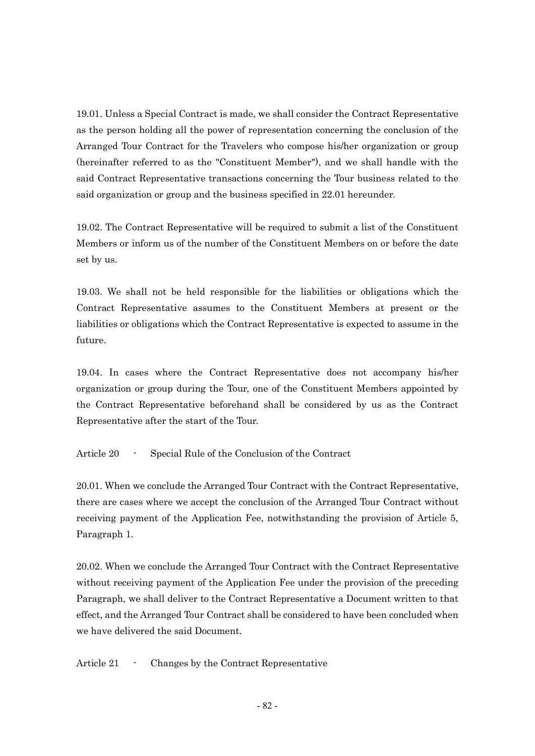19.01. Unless a Special Contract is made, we shall consider the Contract Representative as the person holding all the power of representation concerning the conclusion of the Arranged Tour Contract for the Travelers who compose his/her organization or group (hereinafter referred to as the "Constituent Member"), and we shall handle with the said Contract Representative transactions concerning the Tour business related to the said organization or group and the business specified in 22.01 hereunder.

19.02. The Contract Representative will be required to submit a list of the Constituent Members or inform us of the number of the Constituent Members on or before the date set by us.

19.03. We shall not be held responsible for the liabilities or obligations which the Contract Representative assumes to the Constituent Members at present or the liabilities or obligations which the Contract Representative is expected to assume in the future.

19.04. In cases where the Contract Representative does not accompany his/her organization or group during the Tour, one of the Constituent Members appointed by the Contract Representative beforehand shall be considered by us as the Contract Representative after the start of the Tour.

Article 20 - Special Rule of the Conclusion of the Contract

20.01. When we conclude the Arranged Tour Contract with the Contract Representative, there are cases where we accept the conclusion of the Arranged Tour Contract without receiving payment of the Application Fee, notwithstanding the provision of Article 5, Paragraph 1.

20.02. When we conclude the Arranged Tour Contract with the Contract Representative without receiving payment of the Application Fee under the provision of the preceding Paragraph, we shall deliver to the Contract Representative a Document written to that effect, and the Arranged Tour Contract shall be considered to have been concluded when we have delivered the said Document.

Article 21 - Changes by the Contract Representative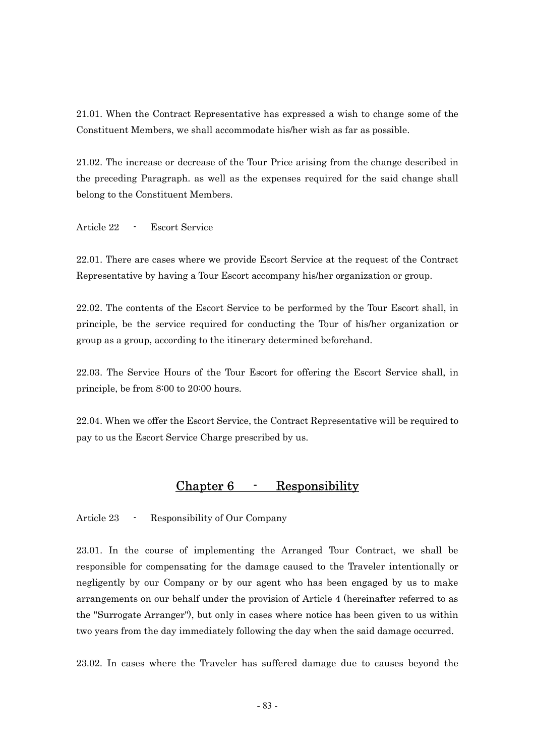21.01. When the Contract Representative has expressed a wish to change some of the Constituent Members, we shall accommodate his/her wish as far as possible.

21.02. The increase or decrease of the Tour Price arising from the change described in the preceding Paragraph. as well as the expenses required for the said change shall belong to the Constituent Members.

Article 22 - Escort Service

22.01. There are cases where we provide Escort Service at the request of the Contract Representative by having a Tour Escort accompany his/her organization or group.

22.02. The contents of the Escort Service to be performed by the Tour Escort shall, in principle, be the service required for conducting the Tour of his/her organization or group as a group, according to the itinerary determined beforehand.

22.03. The Service Hours of the Tour Escort for offering the Escort Service shall, in principle, be from 8:00 to 20:00 hours.

22.04. When we offer the Escort Service, the Contract Representative will be required to pay to us the Escort Service Charge prescribed by us.

### Chapter 6 - Responsibility

Article 23 - Responsibility of Our Company

23.01. In the course of implementing the Arranged Tour Contract, we shall be responsible for compensating for the damage caused to the Traveler intentionally or negligently by our Company or by our agent who has been engaged by us to make arrangements on our behalf under the provision of Article 4 (hereinafter referred to as the "Surrogate Arranger"), but only in cases where notice has been given to us within two years from the day immediately following the day when the said damage occurred.

23.02. In cases where the Traveler has suffered damage due to causes beyond the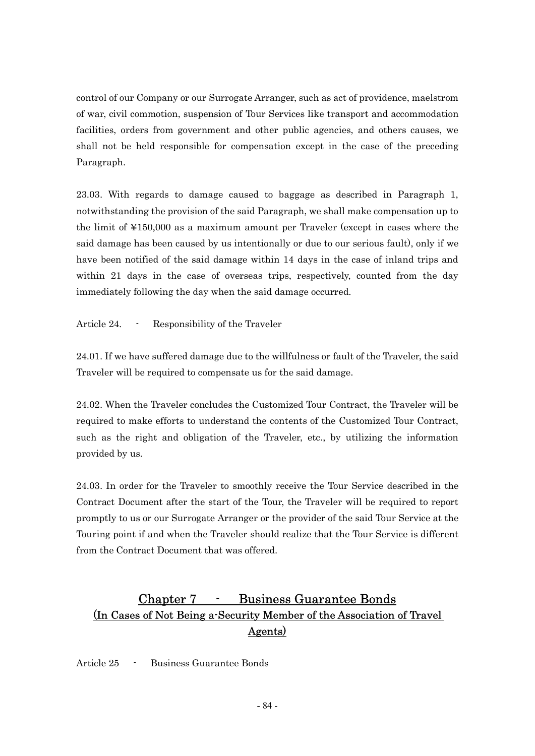control of our Company or our Surrogate Arranger, such as act of providence, maelstrom of war, civil commotion, suspension of Tour Services like transport and accommodation facilities, orders from government and other public agencies, and others causes, we shall not be held responsible for compensation except in the case of the preceding Paragraph.

23.03. With regards to damage caused to baggage as described in Paragraph 1, notwithstanding the provision of the said Paragraph, we shall make compensation up to the limit of ¥150,000 as a maximum amount per Traveler (except in cases where the said damage has been caused by us intentionally or due to our serious fault), only if we have been notified of the said damage within 14 days in the case of inland trips and within 21 days in the case of overseas trips, respectively, counted from the day immediately following the day when the said damage occurred.

Article 24. - Responsibility of the Traveler

24.01. If we have suffered damage due to the willfulness or fault of the Traveler, the said Traveler will be required to compensate us for the said damage.

24.02. When the Traveler concludes the Customized Tour Contract, the Traveler will be required to make efforts to understand the contents of the Customized Tour Contract, such as the right and obligation of the Traveler, etc., by utilizing the information provided by us.

24.03. In order for the Traveler to smoothly receive the Tour Service described in the Contract Document after the start of the Tour, the Traveler will be required to report promptly to us or our Surrogate Arranger or the provider of the said Tour Service at the Touring point if and when the Traveler should realize that the Tour Service is different from the Contract Document that was offered.

## Chapter 7 - Business Guarantee Bonds (In Cases of Not Being a-Security Member of the Association of Travel Agents)

Article 25 - Business Guarantee Bonds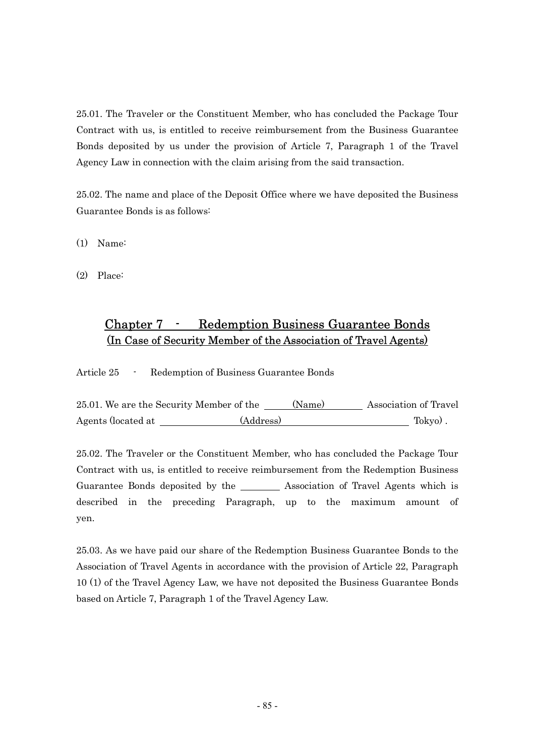25.01. The Traveler or the Constituent Member, who has concluded the Package Tour Contract with us, is entitled to receive reimbursement from the Business Guarantee Bonds deposited by us under the provision of Article 7, Paragraph 1 of the Travel Agency Law in connection with the claim arising from the said transaction.

25.02. The name and place of the Deposit Office where we have deposited the Business Guarantee Bonds is as follows:

(1) Name:

(2) Place:

### Chapter 7 - Redemption Business Guarantee Bonds (In Case of Security Member of the Association of Travel Agents)

Article 25 - Redemption of Business Guarantee Bonds

|                    | 25.01. We are the Security Member of the | (Name) | Association of Travel |
|--------------------|------------------------------------------|--------|-----------------------|
| Agents (located at | (Address)                                |        | Tokyo).               |

25.02. The Traveler or the Constituent Member, who has concluded the Package Tour Contract with us, is entitled to receive reimbursement from the Redemption Business Guarantee Bonds deposited by the \_\_\_\_\_\_\_\_ Association of Travel Agents which is described in the preceding Paragraph, up to the maximum amount of yen.

25.03. As we have paid our share of the Redemption Business Guarantee Bonds to the Association of Travel Agents in accordance with the provision of Article 22, Paragraph 10 (1) of the Travel Agency Law, we have not deposited the Business Guarantee Bonds based on Article 7, Paragraph 1 of the Travel Agency Law.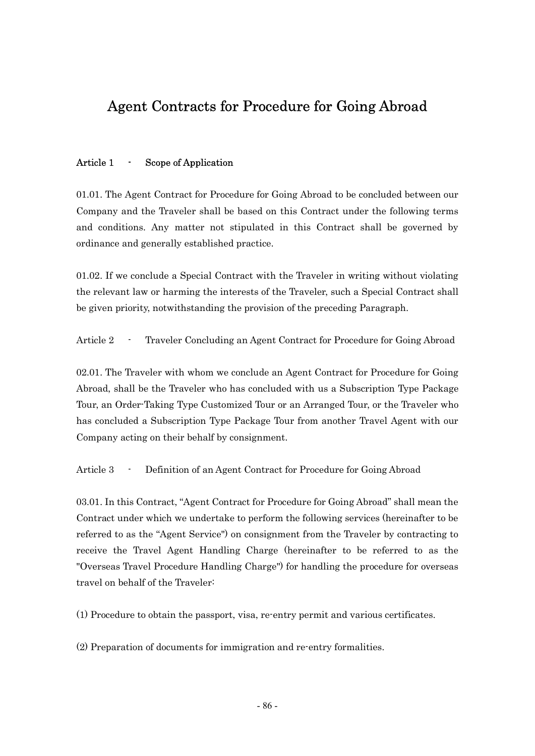# Agent Contracts for Procedure for Going Abroad

#### Article 1 - Scope of Application

01.01. The Agent Contract for Procedure for Going Abroad to be concluded between our Company and the Traveler shall be based on this Contract under the following terms and conditions. Any matter not stipulated in this Contract shall be governed by ordinance and generally established practice.

01.02. If we conclude a Special Contract with the Traveler in writing without violating the relevant law or harming the interests of the Traveler, such a Special Contract shall be given priority, notwithstanding the provision of the preceding Paragraph.

Article 2 - Traveler Concluding an Agent Contract for Procedure for Going Abroad

02.01. The Traveler with whom we conclude an Agent Contract for Procedure for Going Abroad, shall be the Traveler who has concluded with us a Subscription Type Package Tour, an Order-Taking Type Customized Tour or an Arranged Tour, or the Traveler who has concluded a Subscription Type Package Tour from another Travel Agent with our Company acting on their behalf by consignment.

Article 3 - Definition of an Agent Contract for Procedure for Going Abroad

03.01. In this Contract, "Agent Contract for Procedure for Going Abroad" shall mean the Contract under which we undertake to perform the following services (hereinafter to be referred to as the "Agent Service") on consignment from the Traveler by contracting to receive the Travel Agent Handling Charge (hereinafter to be referred to as the "Overseas Travel Procedure Handling Charge") for handling the procedure for overseas travel on behalf of the Traveler:

(1) Procedure to obtain the passport, visa, re-entry permit and various certificates.

(2) Preparation of documents for immigration and re-entry formalities.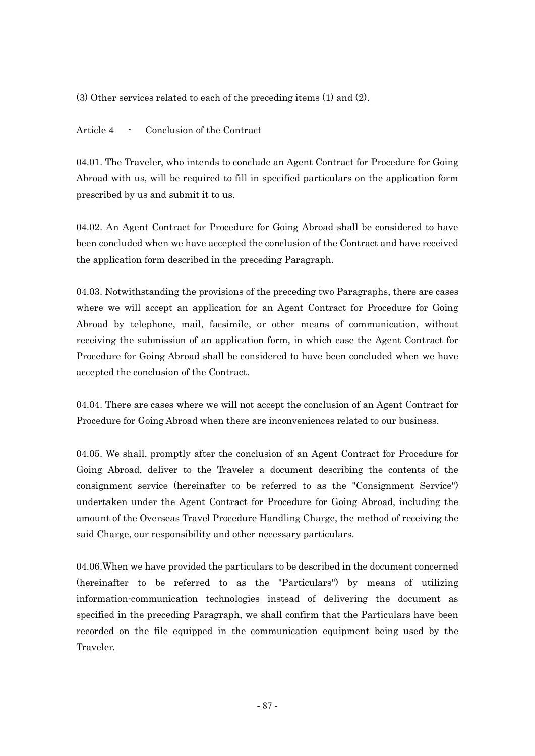(3) Other services related to each of the preceding items (1) and (2).

Article 4 - Conclusion of the Contract

04.01. The Traveler, who intends to conclude an Agent Contract for Procedure for Going Abroad with us, will be required to fill in specified particulars on the application form prescribed by us and submit it to us.

04.02. An Agent Contract for Procedure for Going Abroad shall be considered to have been concluded when we have accepted the conclusion of the Contract and have received the application form described in the preceding Paragraph.

04.03. Notwithstanding the provisions of the preceding two Paragraphs, there are cases where we will accept an application for an Agent Contract for Procedure for Going Abroad by telephone, mail, facsimile, or other means of communication, without receiving the submission of an application form, in which case the Agent Contract for Procedure for Going Abroad shall be considered to have been concluded when we have accepted the conclusion of the Contract.

04.04. There are cases where we will not accept the conclusion of an Agent Contract for Procedure for Going Abroad when there are inconveniences related to our business.

04.05. We shall, promptly after the conclusion of an Agent Contract for Procedure for Going Abroad, deliver to the Traveler a document describing the contents of the consignment service (hereinafter to be referred to as the "Consignment Service") undertaken under the Agent Contract for Procedure for Going Abroad, including the amount of the Overseas Travel Procedure Handling Charge, the method of receiving the said Charge, our responsibility and other necessary particulars.

04.06.When we have provided the particulars to be described in the document concerned (hereinafter to be referred to as the "Particulars") by means of utilizing information-communication technologies instead of delivering the document as specified in the preceding Paragraph, we shall confirm that the Particulars have been recorded on the file equipped in the communication equipment being used by the Traveler.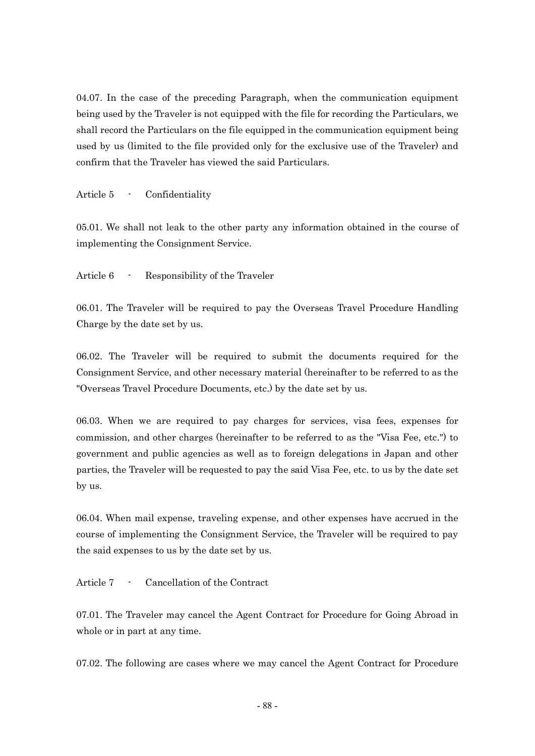04.07. In the case of the preceding Paragraph, when the communication equipment being used by the Traveler is not equipped with the file for recording the Particulars, we shall record the Particulars on the file equipped in the communication equipment being used by us (limited to the file provided only for the exclusive use of the Traveler) and confirm that the Traveler has viewed the said Particulars.

Article 5 - Confidentiality

05.01. We shall not leak to the other party any information obtained in the course of implementing the Consignment Service.

Article 6 - Responsibility of the Traveler

06.01. The Traveler will be required to pay the Overseas Travel Procedure Handling Charge by the date set by us.

06.02. The Traveler will be required to submit the documents required for the Consignment Service, and other necessary material (hereinafter to be referred to as the "Overseas Travel Procedure Documents, etc.) by the date set by us.

06.03. When we are required to pay charges for services, visa fees, expenses for commission, and other charges (hereinafter to be referred to as the "Visa Fee, etc.") to government and public agencies as well as to foreign delegations in Japan and other parties, the Traveler will be requested to pay the said Visa Fee, etc. to us by the date set by us.

06.04. When mail expense, traveling expense, and other expenses have accrued in the course of implementing the Consignment Service, the Traveler will be required to pay the said expenses to us by the date set by us.

Article 7 - Cancellation of the Contract

07.01. The Traveler may cancel the Agent Contract for Procedure for Going Abroad in whole or in part at any time.

07.02. The following are cases where we may cancel the Agent Contract for Procedure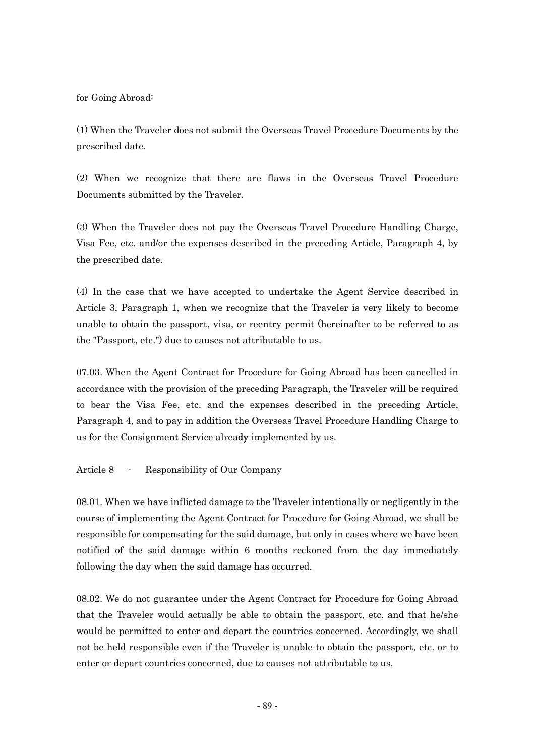for Going Abroad:

(1) When the Traveler does not submit the Overseas Travel Procedure Documents by the prescribed date.

(2) When we recognize that there are flaws in the Overseas Travel Procedure Documents submitted by the Traveler.

(3) When the Traveler does not pay the Overseas Travel Procedure Handling Charge, Visa Fee, etc. and/or the expenses described in the preceding Article, Paragraph 4, by the prescribed date.

(4) In the case that we have accepted to undertake the Agent Service described in Article 3, Paragraph 1, when we recognize that the Traveler is very likely to become unable to obtain the passport, visa, or reentry permit (hereinafter to be referred to as the "Passport, etc.") due to causes not attributable to us.

07.03. When the Agent Contract for Procedure for Going Abroad has been cancelled in accordance with the provision of the preceding Paragraph, the Traveler will be required to bear the Visa Fee, etc. and the expenses described in the preceding Article, Paragraph 4, and to pay in addition the Overseas Travel Procedure Handling Charge to us for the Consignment Service already implemented by us.

Article 8 - Responsibility of Our Company

08.01. When we have inflicted damage to the Traveler intentionally or negligently in the course of implementing the Agent Contract for Procedure for Going Abroad, we shall be responsible for compensating for the said damage, but only in cases where we have been notified of the said damage within 6 months reckoned from the day immediately following the day when the said damage has occurred.

08.02. We do not guarantee under the Agent Contract for Procedure for Going Abroad that the Traveler would actually be able to obtain the passport, etc. and that he/she would be permitted to enter and depart the countries concerned. Accordingly, we shall not be held responsible even if the Traveler is unable to obtain the passport, etc. or to enter or depart countries concerned, due to causes not attributable to us.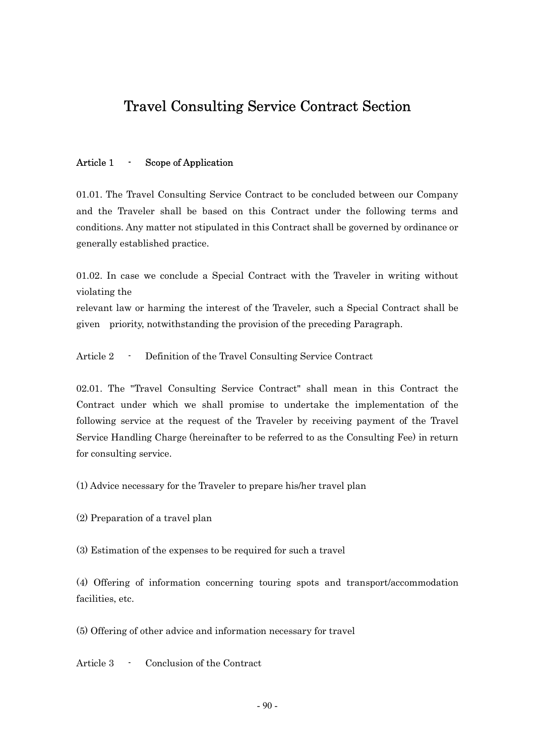# Travel Consulting Service Contract Section

#### Article 1 - Scope of Application

01.01. The Travel Consulting Service Contract to be concluded between our Company and the Traveler shall be based on this Contract under the following terms and conditions. Any matter not stipulated in this Contract shall be governed by ordinance or generally established practice.

01.02. In case we conclude a Special Contract with the Traveler in writing without violating the

relevant law or harming the interest of the Traveler, such a Special Contract shall be given priority, notwithstanding the provision of the preceding Paragraph.

Article 2 - Definition of the Travel Consulting Service Contract

02.01. The "Travel Consulting Service Contract" shall mean in this Contract the Contract under which we shall promise to undertake the implementation of the following service at the request of the Traveler by receiving payment of the Travel Service Handling Charge (hereinafter to be referred to as the Consulting Fee) in return for consulting service.

(1) Advice necessary for the Traveler to prepare his/her travel plan

(2) Preparation of a travel plan

(3) Estimation of the expenses to be required for such a travel

(4) Offering of information concerning touring spots and transport/accommodation facilities, etc.

(5) Offering of other advice and information necessary for travel

Article 3 - Conclusion of the Contract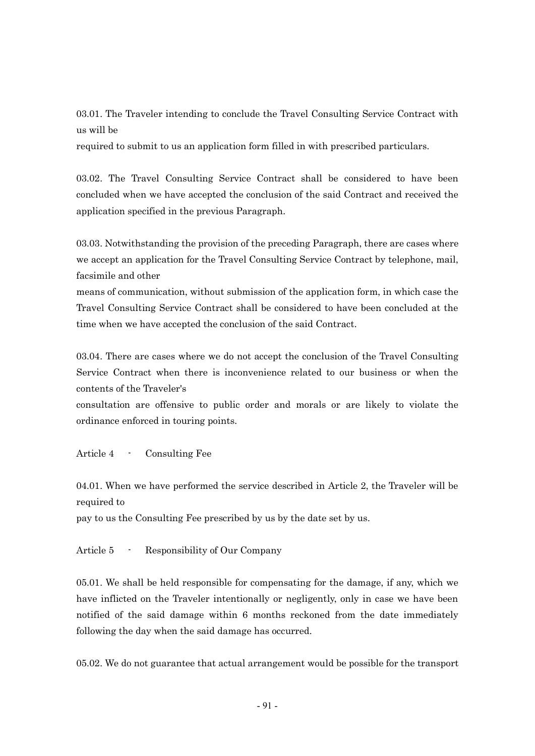03.01. The Traveler intending to conclude the Travel Consulting Service Contract with us will be

required to submit to us an application form filled in with prescribed particulars.

03.02. The Travel Consulting Service Contract shall be considered to have been concluded when we have accepted the conclusion of the said Contract and received the application specified in the previous Paragraph.

03.03. Notwithstanding the provision of the preceding Paragraph, there are cases where we accept an application for the Travel Consulting Service Contract by telephone, mail, facsimile and other

means of communication, without submission of the application form, in which case the Travel Consulting Service Contract shall be considered to have been concluded at the time when we have accepted the conclusion of the said Contract.

03.04. There are cases where we do not accept the conclusion of the Travel Consulting Service Contract when there is inconvenience related to our business or when the contents of the Traveler's

consultation are offensive to public order and morals or are likely to violate the ordinance enforced in touring points.

Article 4 - Consulting Fee

04.01. When we have performed the service described in Article 2, the Traveler will be required to

pay to us the Consulting Fee prescribed by us by the date set by us.

Article 5 - Responsibility of Our Company

05.01. We shall be held responsible for compensating for the damage, if any, which we have inflicted on the Traveler intentionally or negligently, only in case we have been notified of the said damage within 6 months reckoned from the date immediately following the day when the said damage has occurred.

05.02. We do not guarantee that actual arrangement would be possible for the transport